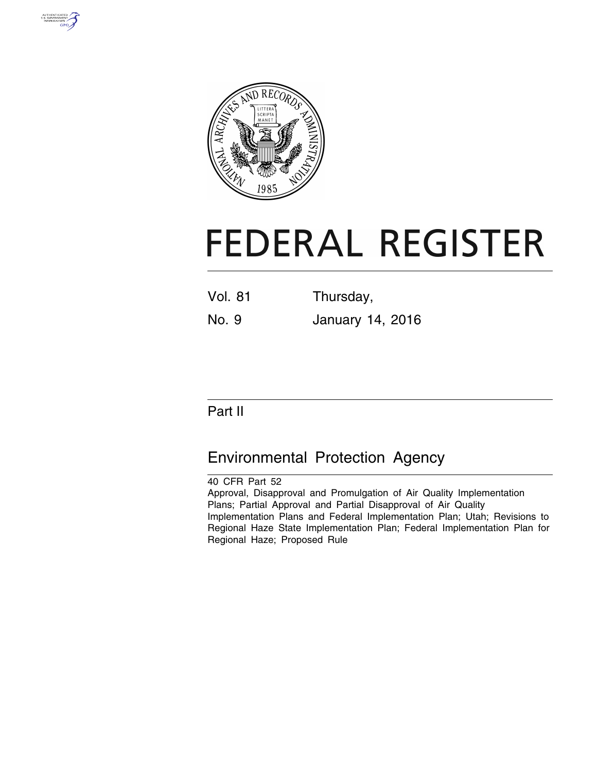



# **FEDERAL REGISTER**

Vol. 81 Thursday,

No. 9 January 14, 2016

## Part II

# Environmental Protection Agency

40 CFR Part 52 Approval, Disapproval and Promulgation of Air Quality Implementation Plans; Partial Approval and Partial Disapproval of Air Quality Implementation Plans and Federal Implementation Plan; Utah; Revisions to Regional Haze State Implementation Plan; Federal Implementation Plan for Regional Haze; Proposed Rule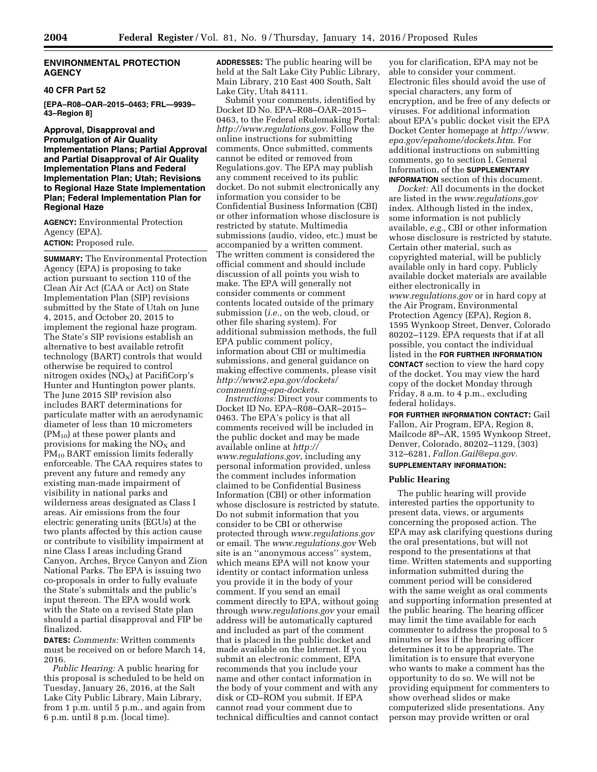#### **ENVIRONMENTAL PROTECTION AGENCY**

#### **40 CFR Part 52**

**[EPA–R08–OAR–2015–0463; FRL—9939– 43–Region 8]** 

**Approval, Disapproval and Promulgation of Air Quality Implementation Plans; Partial Approval and Partial Disapproval of Air Quality Implementation Plans and Federal Implementation Plan; Utah; Revisions to Regional Haze State Implementation Plan; Federal Implementation Plan for Regional Haze** 

**AGENCY:** Environmental Protection Agency (EPA). **ACTION:** Proposed rule.

**SUMMARY:** The Environmental Protection Agency (EPA) is proposing to take action pursuant to section 110 of the Clean Air Act (CAA or Act) on State Implementation Plan (SIP) revisions submitted by the State of Utah on June 4, 2015, and October 20, 2015 to implement the regional haze program. The State's SIP revisions establish an alternative to best available retrofit technology (BART) controls that would otherwise be required to control nitrogen oxides  $(NO<sub>X</sub>)$  at PacifiCorp's Hunter and Huntington power plants. The June 2015 SIP revision also includes BART determinations for particulate matter with an aerodynamic diameter of less than 10 micrometers  $(PM_{10})$  at these power plants and provisions for making the  $NO<sub>x</sub>$  and PM10 BART emission limits federally enforceable. The CAA requires states to prevent any future and remedy any existing man-made impairment of visibility in national parks and wilderness areas designated as Class I areas. Air emissions from the four electric generating units (EGUs) at the two plants affected by this action cause or contribute to visibility impairment at nine Class I areas including Grand Canyon, Arches, Bryce Canyon and Zion National Parks. The EPA is issuing two co-proposals in order to fully evaluate the State's submittals and the public's input thereon. The EPA would work with the State on a revised State plan should a partial disapproval and FIP be finalized.

**DATES:** *Comments:* Written comments must be received on or before March 14, 2016.

*Public Hearing:* A public hearing for this proposal is scheduled to be held on Tuesday, January 26, 2016, at the Salt Lake City Public Library, Main Library, from 1 p.m. until 5 p.m., and again from 6 p.m. until 8 p.m. (local time).

**ADDRESSES:** The public hearing will be held at the Salt Lake City Public Library, Main Library, 210 East 400 South, Salt Lake City, Utah 84111.

Submit your comments, identified by Docket ID No. EPA–R08–OAR–2015– 0463, to the Federal eRulemaking Portal: *<http://www.regulations.gov>*. Follow the online instructions for submitting comments. Once submitted, comments cannot be edited or removed from Regulations.gov. The EPA may publish any comment received to its public docket. Do not submit electronically any information you consider to be Confidential Business Information (CBI) or other information whose disclosure is restricted by statute. Multimedia submissions (audio, video, etc.) must be accompanied by a written comment. The written comment is considered the official comment and should include discussion of all points you wish to make. The EPA will generally not consider comments or comment contents located outside of the primary submission (*i.e.,* on the web, cloud, or other file sharing system). For additional submission methods, the full EPA public comment policy, information about CBI or multimedia submissions, and general guidance on making effective comments, please visit *[http://www2.epa.gov/dockets/](http://www2.epa.gov/dockets/commenting-epa-dockets) [commenting-epa-dockets](http://www2.epa.gov/dockets/commenting-epa-dockets)*.

*Instructions:* Direct your comments to Docket ID No. EPA–R08–OAR–2015– 0463. The EPA's policy is that all comments received will be included in the public docket and may be made available online at *[http://](http://www.regulations.gov) [www.regulations.gov,](http://www.regulations.gov)* including any personal information provided, unless the comment includes information claimed to be Confidential Business Information (CBI) or other information whose disclosure is restricted by statute. Do not submit information that you consider to be CBI or otherwise protected through *[www.regulations.gov](http://www.regulations.gov)*  or email. The *[www.regulations.gov](http://www.regulations.gov)* Web site is an ''anonymous access'' system, which means EPA will not know your identity or contact information unless you provide it in the body of your comment. If you send an email comment directly to EPA, without going through *[www.regulations.gov](http://www.regulations.gov)* your email address will be automatically captured and included as part of the comment that is placed in the public docket and made available on the Internet. If you submit an electronic comment, EPA recommends that you include your name and other contact information in the body of your comment and with any disk or CD–ROM you submit. If EPA cannot read your comment due to technical difficulties and cannot contact

you for clarification, EPA may not be able to consider your comment. Electronic files should avoid the use of special characters, any form of encryption, and be free of any defects or viruses. For additional information about EPA's public docket visit the EPA Docket Center homepage at *[http://www.](http://www.epa.gov/epahome/dockets.htm) [epa.gov/epahome/dockets.htm](http://www.epa.gov/epahome/dockets.htm)*. For additional instructions on submitting comments, go to section I, General Information, of the **SUPPLEMENTARY INFORMATION** section of this document.

*Docket:* All documents in the docket are listed in the *[www.regulations.gov](http://www.regulations.gov)*  index. Although listed in the index, some information is not publicly available, *e.g.,* CBI or other information whose disclosure is restricted by statute. Certain other material, such as copyrighted material, will be publicly available only in hard copy. Publicly available docket materials are available either electronically in *[www.regulations.gov](http://www.regulations.gov)* or in hard copy at the Air Program, Environmental Protection Agency (EPA), Region 8, 1595 Wynkoop Street, Denver, Colorado 80202–1129. EPA requests that if at all possible, you contact the individual listed in the **FOR FURTHER INFORMATION CONTACT** section to view the hard copy of the docket. You may view the hard copy of the docket Monday through Friday, 8 a.m. to 4 p.m., excluding federal holidays.

**FOR FURTHER INFORMATION CONTACT:** Gail Fallon, Air Program, EPA, Region 8, Mailcode 8P–AR, 1595 Wynkoop Street, Denver, Colorado, 80202–1129, (303) 312–6281, *[Fallon.Gail@epa.gov](mailto:Fallon.Gail@epa.gov)*. **SUPPLEMENTARY INFORMATION:** 

#### **Public Hearing**

The public hearing will provide interested parties the opportunity to present data, views, or arguments concerning the proposed action. The EPA may ask clarifying questions during the oral presentations, but will not respond to the presentations at that time. Written statements and supporting information submitted during the comment period will be considered with the same weight as oral comments and supporting information presented at the public hearing. The hearing officer may limit the time available for each commenter to address the proposal to 5 minutes or less if the hearing officer determines it to be appropriate. The limitation is to ensure that everyone who wants to make a comment has the opportunity to do so. We will not be providing equipment for commenters to show overhead slides or make computerized slide presentations. Any person may provide written or oral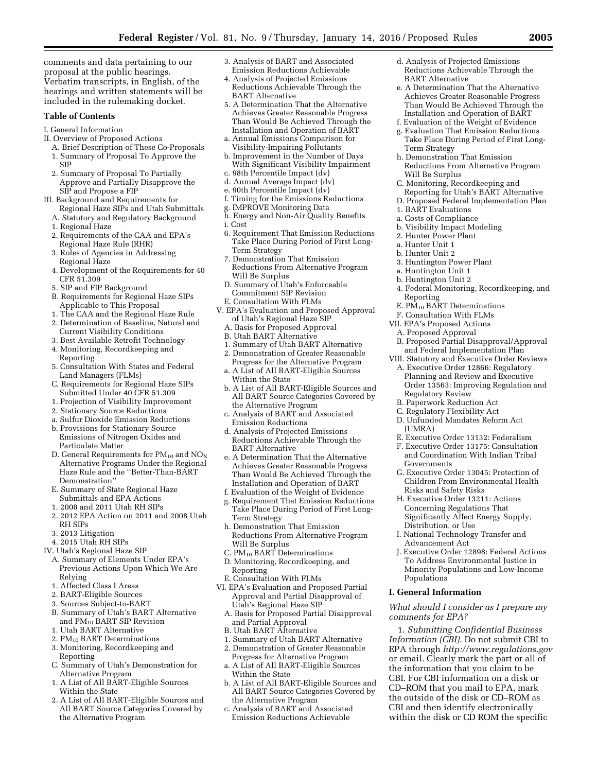comments and data pertaining to our proposal at the public hearings. Verbatim transcripts, in English, of the hearings and written statements will be included in the rulemaking docket.

#### **Table of Contents**

- I. General Information
- II. Overview of Proposed Actions
	- A. Brief Description of These Co-Proposals 1. Summary of Proposal To Approve the SIP
	- 2. Summary of Proposal To Partially Approve and Partially Disapprove the SIP and Propose a FIP
- III. Background and Requirements for Regional Haze SIPs and Utah Submittals
	- A. Statutory and Regulatory Background
	- 1. Regional Haze
	- 2. Requirements of the CAA and EPA's Regional Haze Rule (RHR)
	- 3. Roles of Agencies in Addressing Regional Haze
	- 4. Development of the Requirements for 40 CFR 51.309
	- 5. SIP and FIP Background
	- B. Requirements for Regional Haze SIPs
	- Applicable to This Proposal 1. The CAA and the Regional Haze Rule
	- 2. Determination of Baseline, Natural and Current Visibility Conditions
	- 3. Best Available Retrofit Technology
	- 4. Monitoring, Recordkeeping and
	- Reporting 5. Consultation With States and Federal
	- Land Managers (FLMs) C. Requirements for Regional Haze SIPs
	- Submitted Under 40 CFR 51.309 1. Projection of Visibility Improvement
	-
	- 2. Stationary Source Reductions
	- a. Sulfur Dioxide Emission Reductions b. Provisions for Stationary Source
	- Emissions of Nitrogen Oxides and Particulate Matter
	- D. General Requirements for PM<sub>10</sub> and NO<sub>X</sub> Alternative Programs Under the Regional Haze Rule and the ''Better-Than-BART Demonstration''
	- E. Summary of State Regional Haze Submittals and EPA Actions
	- 1. 2008 and 2011 Utah RH SIPs
	- 2. 2012 EPA Action on 2011 and 2008 Utah RH SIPs
	- 3. 2013 Litigation
- 4. 2015 Utah RH SIPs
- IV. Utah's Regional Haze SIP
	- A. Summary of Elements Under EPA's Previous Actions Upon Which We Are Relying
	- 1. Affected Class I Areas
	- 2. BART-Eligible Sources
	- 3. Sources Subject-to-BART
	- B. Summary of Utah's BART Alternative and PM10 BART SIP Revision
	- 1. Utah BART Alternative
	- 2. PM10 BART Determinations
	- 3. Monitoring, Recordkeeping and Reporting
	- C. Summary of Utah's Demonstration for Alternative Program
	- 1. A List of All BART-Eligible Sources Within the State
	- 2. A List of All BART-Eligible Sources and All BART Source Categories Covered by the Alternative Program
- 3. Analysis of BART and Associated Emission Reductions Achievable
- 4. Analysis of Projected Emissions Reductions Achievable Through the BART Alternative
- 5. A Determination That the Alternative Achieves Greater Reasonable Progress Than Would Be Achieved Through the Installation and Operation of BART
- a. Annual Emissions Comparison for Visibility-Impairing Pollutants
- b. Improvement in the Number of Days With Significant Visibility Impairment c. 98th Percentile Impact (dv)
- d. Annual Average Impact (dv)
- e. 90th Percentile Impact (dv)
- f. Timing for the Emissions Reductions
- g. IMPROVE Monitoring Data
- h. Energy and Non-Air Quality Benefits
- i. Cost
- 6. Requirement That Emission Reductions Take Place During Period of First Long-Term Strategy
- 7. Demonstration That Emission Reductions From Alternative Program Will Be Surplus
- D. Summary of Utah's Enforceable Commitment SIP Revision E. Consultation With FLMs
- V. EPA's Evaluation and Proposed Approval of Utah's Regional Haze SIP
	- A. Basis for Proposed Approval
	- B. Utah BART Alternative
	- 1. Summary of Utah BART Alternative
	- 2. Demonstration of Greater Reasonable Progress for the Alternative Program a. A List of All BART-Eligible Sources
	- Within the State b. A List of All BART-Eligible Sources and All BART Source Categories Covered by
	- the Alternative Program c. Analysis of BART and Associated
	- Emission Reductions
	- d. Analysis of Projected Emissions Reductions Achievable Through the BART Alternative
- e. A Determination That the Alternative Achieves Greater Reasonable Progress Than Would Be Achieved Through the Installation and Operation of BART
- f. Evaluation of the Weight of Evidence
- g. Requirement That Emission Reductions Take Place During Period of First Long-Term Strategy
- h. Demonstration That Emission Reductions From Alternative Program Will Be Surplus
- C.  $PM_{10}$  BART Determinations
- D. Monitoring, Recordkeeping, and Reporting
- E. Consultation With FLMs
- VI. EPA's Evaluation and Proposed Partial Approval and Partial Disapproval of Utah's Regional Haze SIP
	- A. Basis for Proposed Partial Disapproval and Partial Approval
	- B. Utah BART Alternative
	- 1. Summary of Utah BART Alternative 2. Demonstration of Greater Reasonable
	- Progress for Alternative Program a. A List of All BART-Eligible Sources
	- Within the State
	- b. A List of All BART-Eligible Sources and All BART Source Categories Covered by the Alternative Program
	- c. Analysis of BART and Associated Emission Reductions Achievable
- d. Analysis of Projected Emissions Reductions Achievable Through the BART Alternative
- e. A Determination That the Alternative Achieves Greater Reasonable Progress Than Would Be Achieved Through the Installation and Operation of BART
- f. Evaluation of the Weight of Evidence
- g. Evaluation That Emission Reductions Take Place During Period of First Long-Term Strategy
- h. Demonstration That Emission Reductions From Alternative Program Will Be Surplus
- C. Monitoring, Recordkeeping and
- Reporting for Utah's BART Alternative
- D. Proposed Federal Implementation Plan 1. BART Evaluations
- a. Costs of Compliance
- b. Visibility Impact Modeling
- 2. Hunter Power Plant
- a. Hunter Unit 1
- b. Hunter Unit 2
- 3. Huntington Power Plant
- a. Huntington Unit 1
- b. Huntington Unit 2
- 4. Federal Monitoring, Recordkeeping, and Reporting

B. Proposed Partial Disapproval/Approval and Federal Implementation Plan VIII. Statutory and Executive Order Reviews A. Executive Order 12866: Regulatory Planning and Review and Executive Order 13563: Improving Regulation and

E. Executive Order 13132: Federalism F. Executive Order 13175: Consultation and Coordination With Indian Tribal

G. Executive Order 13045: Protection of Children From Environmental Health

I. National Technology Transfer and

J. Executive Order 12898: Federal Actions To Address Environmental Justice in Minority Populations and Low-Income

*What should I consider as I prepare my* 

1. *Submitting Confidential Business Information (CBI).* Do not submit CBI to EPA through *<http://www.regulations.gov>* or email. Clearly mark the part or all of the information that you claim to be CBI. For CBI information on a disk or CD–ROM that you mail to EPA, mark the outside of the disk or CD–ROM as CBI and then identify electronically within the disk or CD ROM the specific

E.  $\tilde{PM}_{10}$  BART Determinations F. Consultation With FLMs

VII. EPA's Proposed Actions A. Proposed Approval

Regulatory Review B. Paperwork Reduction Act C. Regulatory Flexibility Act D. Unfunded Mandates Reform Act

(UMRA)

Governments

Risks and Safety Risks H. Executive Order 13211: Actions Concerning Regulations That Significantly Affect Energy Supply,

Distribution, or Use

Advancement Act

Populations **I. General Information** 

*comments for EPA?*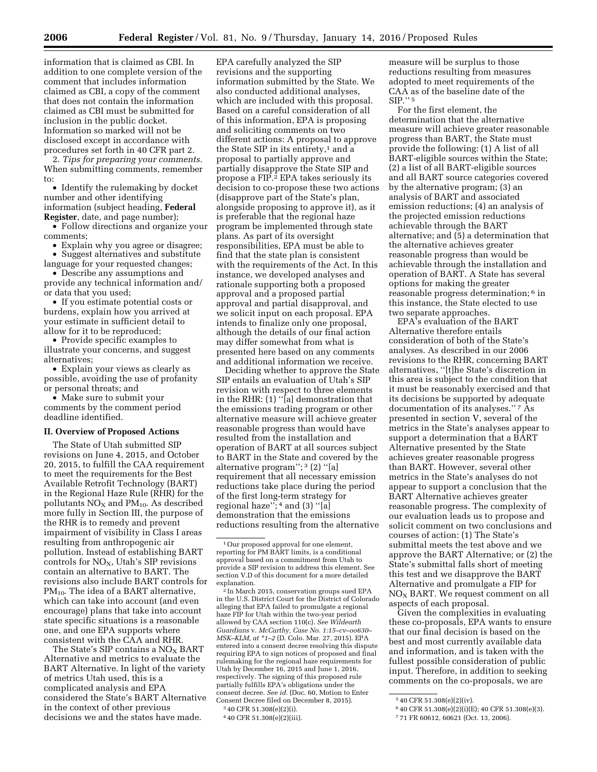information that is claimed as CBI. In addition to one complete version of the comment that includes information claimed as CBI, a copy of the comment that does not contain the information claimed as CBI must be submitted for inclusion in the public docket. Information so marked will not be disclosed except in accordance with procedures set forth in 40 CFR part 2.

2. *Tips for preparing your comments.*  When submitting comments, remember to:

• Identify the rulemaking by docket number and other identifying information (subject heading, **Federal Register**, date, and page number);

• Follow directions and organize your comments;

• Explain why you agree or disagree; • Suggest alternatives and substitute

language for your requested changes; • Describe any assumptions and

provide any technical information and/ or data that you used;

• If you estimate potential costs or burdens, explain how you arrived at your estimate in sufficient detail to allow for it to be reproduced;

• Provide specific examples to illustrate your concerns, and suggest alternatives;

• Explain your views as clearly as possible, avoiding the use of profanity or personal threats; and

• Make sure to submit your comments by the comment period deadline identified.

#### **II. Overview of Proposed Actions**

The State of Utah submitted SIP revisions on June 4, 2015, and October 20, 2015, to fulfill the CAA requirement to meet the requirements for the Best Available Retrofit Technology (BART) in the Regional Haze Rule (RHR) for the pollutants  $NO<sub>X</sub>$  and  $PM<sub>10</sub>$ . As described more fully in Section III, the purpose of the RHR is to remedy and prevent impairment of visibility in Class I areas resulting from anthropogenic air pollution. Instead of establishing BART controls for  $NO<sub>X</sub>$ , Utah's SIP revisions contain an alternative to BART. The revisions also include BART controls for  $PM_{10}$ . The idea of a BART alternative, which can take into account (and even encourage) plans that take into account state specific situations is a reasonable one, and one EPA supports where consistent with the CAA and RHR.

The State's SIP contains a  $NO<sub>X</sub>$  BART Alternative and metrics to evaluate the BART Alternative. In light of the variety of metrics Utah used, this is a complicated analysis and EPA considered the State's BART Alternative in the context of other previous decisions we and the states have made.

EPA carefully analyzed the SIP revisions and the supporting information submitted by the State. We also conducted additional analyses, which are included with this proposal. Based on a careful consideration of all of this information, EPA is proposing and soliciting comments on two different actions: A proposal to approve the State SIP in its entirety,<sup>1</sup> and a proposal to partially approve and partially disapprove the State SIP and propose a FIP.2 EPA takes seriously its decision to co-propose these two actions (disapprove part of the State's plan, alongside proposing to approve it), as it is preferable that the regional haze program be implemented through state plans. As part of its oversight responsibilities, EPA must be able to find that the state plan is consistent with the requirements of the Act. In this instance, we developed analyses and rationale supporting both a proposed approval and a proposed partial approval and partial disapproval, and we solicit input on each proposal. EPA intends to finalize only one proposal, although the details of our final action may differ somewhat from what is presented here based on any comments and additional information we receive.

Deciding whether to approve the State SIP entails an evaluation of Utah's SIP revision with respect to three elements in the RHR: (1) ''[a] demonstration that the emissions trading program or other alternative measure will achieve greater reasonable progress than would have resulted from the installation and operation of BART at all sources subject to BART in the State and covered by the alternative program''; 3 (2) ''[a] requirement that all necessary emission reductions take place during the period of the first long-term strategy for regional haze''; 4 and (3) ''[a] demonstration that the emissions reductions resulting from the alternative

2 In March 2015, conservation groups sued EPA in the U.S. District Court for the District of Colorado alleging that EPA failed to promulgate a regional haze FIP for Utah within the two-year period allowed by CAA section 110(c). *See Wildearth Guardians* v. *McCarthy, Case No. 1:15–cv–oo630– MSK–KLM, at \*1–2* (D. Colo. Mar. 27, 2015). EPA entered into a consent decree resolving this dispute requiring EPA to sign notices of proposed and final rulemaking for the regional haze requirements for Utah by December 16, 2015 and June 1, 2016, respectively. The signing of this proposed rule partially fulfills EPA's obligations under the consent decree. *See id.* (Doc. 60, Motion to Enter Consent Decree filed on December 8, 2015). 3 40 CFR 51.308(e)(2)(i).

measure will be surplus to those reductions resulting from measures adopted to meet requirements of the CAA as of the baseline date of the  $SIP.$ <sup>'' 5</sup>

For the first element, the determination that the alternative measure will achieve greater reasonable progress than BART, the State must provide the following: (1) A list of all BART-eligible sources within the State; (2) a list of all BART-eligible sources and all BART source categories covered by the alternative program; (3) an analysis of BART and associated emission reductions; (4) an analysis of the projected emission reductions achievable through the BART alternative; and (5) a determination that the alternative achieves greater reasonable progress than would be achievable through the installation and operation of BART. A State has several options for making the greater reasonable progress determination; 6 in this instance, the State elected to use two separate approaches.

EPA's evaluation of the BART Alternative therefore entails consideration of both of the State's analyses. As described in our 2006 revisions to the RHR, concerning BART alternatives, ''[t]he State's discretion in this area is subject to the condition that it must be reasonably exercised and that its decisions be supported by adequate documentation of its analyses."<sup>7</sup> As presented in section V, several of the metrics in the State's analyses appear to support a determination that a BART Alternative presented by the State achieves greater reasonable progress than BART. However, several other metrics in the State's analyses do not appear to support a conclusion that the BART Alternative achieves greater reasonable progress. The complexity of our evaluation leads us to propose and solicit comment on two conclusions and courses of action: (1) The State's submittal meets the test above and we approve the BART Alternative; or (2) the State's submittal falls short of meeting this test and we disapprove the BART Alternative and promulgate a FIP for  $NO<sub>X</sub>$  BART. We request comment on all aspects of each proposal.

Given the complexities in evaluating these co-proposals, EPA wants to ensure that our final decision is based on the best and most currently available data and information, and is taken with the fullest possible consideration of public input. Therefore, in addition to seeking comments on the co-proposals, we are

<sup>1</sup>Our proposed approval for one element, reporting for PM BART limits, is a conditional approval based on a commitment from Utah to provide a SIP revision to address this element. See section V.D of this document for a more detailed explanation.

<sup>4</sup> 40 CFR 51.308(e)(2)(iii).

<sup>5</sup> 40 CFR 51.308(e)(2)(iv).

<sup>6</sup> 40 CFR 51.308(e)(2)(i)(E); 40 CFR 51.308(e)(3).

<sup>7</sup> 71 FR 60612, 60621 (Oct. 13, 2006).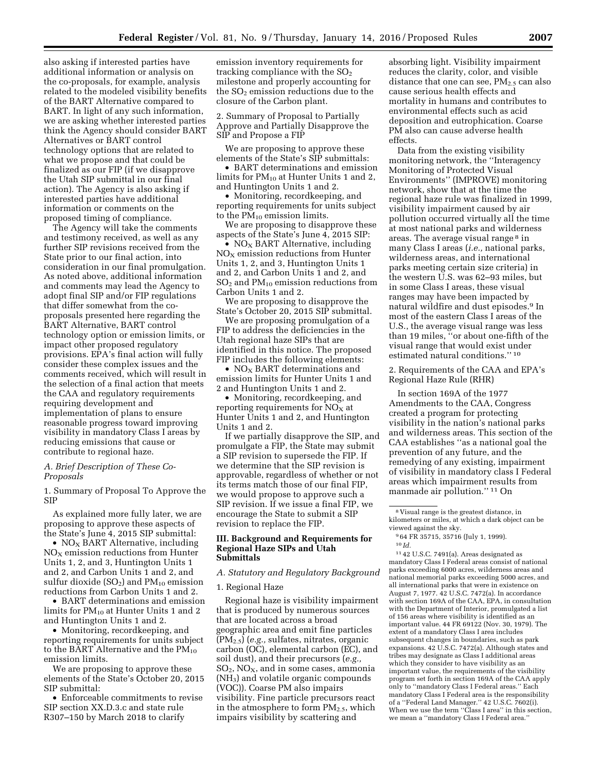also asking if interested parties have additional information or analysis on the co-proposals, for example, analysis related to the modeled visibility benefits of the BART Alternative compared to BART. In light of any such information, we are asking whether interested parties think the Agency should consider BART Alternatives or BART control technology options that are related to what we propose and that could be finalized as our FIP (if we disapprove the Utah SIP submittal in our final action). The Agency is also asking if interested parties have additional information or comments on the proposed timing of compliance.

The Agency will take the comments and testimony received, as well as any further SIP revisions received from the State prior to our final action, into consideration in our final promulgation. As noted above, additional information and comments may lead the Agency to adopt final SIP and/or FIP regulations that differ somewhat from the coproposals presented here regarding the BART Alternative, BART control technology option or emission limits, or impact other proposed regulatory provisions. EPA's final action will fully consider these complex issues and the comments received, which will result in the selection of a final action that meets the CAA and regulatory requirements requiring development and implementation of plans to ensure reasonable progress toward improving visibility in mandatory Class I areas by reducing emissions that cause or contribute to regional haze.

#### *A. Brief Description of These Co-Proposals*

1. Summary of Proposal To Approve the SIP

As explained more fully later, we are proposing to approve these aspects of the State's June 4, 2015 SIP submittal:

• NO<sub>X</sub> BART Alternative, including  $NO<sub>x</sub>$  emission reductions from Hunter Units 1, 2, and 3, Huntington Units 1 and 2, and Carbon Units 1 and 2, and sulfur dioxide  $(SO<sub>2</sub>)$  and  $PM<sub>10</sub>$  emission reductions from Carbon Units 1 and 2.

• BART determinations and emission limits for  $PM_{10}$  at Hunter Units 1 and 2 and Huntington Units 1 and 2.

• Monitoring, recordkeeping, and reporting requirements for units subject to the BART Alternative and the  $PM_{10}$ emission limits.

We are proposing to approve these elements of the State's October 20, 2015 SIP submittal:

• Enforceable commitments to revise SIP section XX.D.3.c and state rule R307–150 by March 2018 to clarify

emission inventory requirements for tracking compliance with the  $SO<sub>2</sub>$ milestone and properly accounting for the  $SO<sub>2</sub>$  emission reductions due to the closure of the Carbon plant.

2. Summary of Proposal to Partially Approve and Partially Disapprove the SIP and Propose a FIP

We are proposing to approve these elements of the State's SIP submittals:

• BART determinations and emission limits for  $PM_{10}$  at Hunter Units 1 and 2, and Huntington Units 1 and 2.

• Monitoring, recordkeeping, and reporting requirements for units subject to the  $PM_{10}$  emission limits.

We are proposing to disapprove these aspects of the State's June 4, 2015 SIP:

•  $NO<sub>x</sub> BART Alternative, including$  $NO<sub>X</sub>$  emission reductions from Hunter Units 1, 2, and 3, Huntington Units 1 and 2, and Carbon Units 1 and 2, and  $SO<sub>2</sub>$  and PM<sub>10</sub> emission reductions from Carbon Units 1 and 2.

We are proposing to disapprove the State's October 20, 2015 SIP submittal.

We are proposing promulgation of a FIP to address the deficiencies in the Utah regional haze SIPs that are identified in this notice. The proposed FIP includes the following elements:

•  $NO<sub>x</sub>$  BART determinations and emission limits for Hunter Units 1 and 2 and Huntington Units 1 and 2.

• Monitoring, recordkeeping, and reporting requirements for  $NO<sub>x</sub>$  at Hunter Units 1 and 2, and Huntington Units 1 and 2.

If we partially disapprove the SIP, and promulgate a FIP, the State may submit a SIP revision to supersede the FIP. If we determine that the SIP revision is approvable, regardless of whether or not its terms match those of our final FIP, we would propose to approve such a SIP revision. If we issue a final FIP, we encourage the State to submit a SIP revision to replace the FIP.

#### **III. Background and Requirements for Regional Haze SIPs and Utah Submittals**

#### *A. Statutory and Regulatory Background*

#### 1. Regional Haze

Regional haze is visibility impairment that is produced by numerous sources that are located across a broad geographic area and emit fine particles (PM2.5) (*e.g.,* sulfates, nitrates, organic carbon (OC), elemental carbon (EC), and soil dust), and their precursors (*e.g.,*   $SO<sub>2</sub>$ , NO<sub>X</sub>, and in some cases, ammonia (NH3) and volatile organic compounds (VOC)). Coarse PM also impairs visibility. Fine particle precursors react in the atmosphere to form  $PM_{2.5}$ , which impairs visibility by scattering and

absorbing light. Visibility impairment reduces the clarity, color, and visible distance that one can see,  $PM_{2.5}$  can also cause serious health effects and mortality in humans and contributes to environmental effects such as acid deposition and eutrophication. Coarse PM also can cause adverse health effects.

Data from the existing visibility monitoring network, the ''Interagency Monitoring of Protected Visual Environments'' (IMPROVE) monitoring network, show that at the time the regional haze rule was finalized in 1999, visibility impairment caused by air pollution occurred virtually all the time at most national parks and wilderness areas. The average visual range 8 in many Class I areas (*i.e.,* national parks, wilderness areas, and international parks meeting certain size criteria) in the western U.S. was 62–93 miles, but in some Class I areas, these visual ranges may have been impacted by natural wildfire and dust episodes.9 In most of the eastern Class I areas of the U.S., the average visual range was less than 19 miles, ''or about one-fifth of the visual range that would exist under estimated natural conditions.'' 10

2. Requirements of the CAA and EPA's Regional Haze Rule (RHR)

In section 169A of the 1977 Amendments to the CAA, Congress created a program for protecting visibility in the nation's national parks and wilderness areas. This section of the CAA establishes ''as a national goal the prevention of any future, and the remedying of any existing, impairment of visibility in mandatory class I Federal areas which impairment results from manmade air pollution.'' 11 On

11 42 U.S.C. 7491(a). Areas designated as mandatory Class I Federal areas consist of national parks exceeding 6000 acres, wilderness areas and national memorial parks exceeding 5000 acres, and all international parks that were in existence on August 7, 1977. 42 U.S.C. 7472(a). In accordance with section 169A of the CAA, EPA, in consultation with the Department of Interior, promulgated a list of 156 areas where visibility is identified as an important value. 44 FR 69122 (Nov. 30, 1979). The extent of a mandatory Class I area includes subsequent changes in boundaries, such as park expansions. 42 U.S.C. 7472(a). Although states and tribes may designate as Class I additional areas which they consider to have visibility as an important value, the requirements of the visibility program set forth in section 169A of the CAA apply only to ''mandatory Class I Federal areas.'' Each mandatory Class I Federal area is the responsibility of a ''Federal Land Manager.'' 42 U.S.C. 7602(i). When we use the term "Class I area" in this section, we mean a ''mandatory Class I Federal area.''

<sup>8</sup> Visual range is the greatest distance, in kilometers or miles, at which a dark object can be viewed against the sky.

<sup>9</sup> 64 FR 35715, 35716 (July 1, 1999).

<sup>10</sup> *Id.*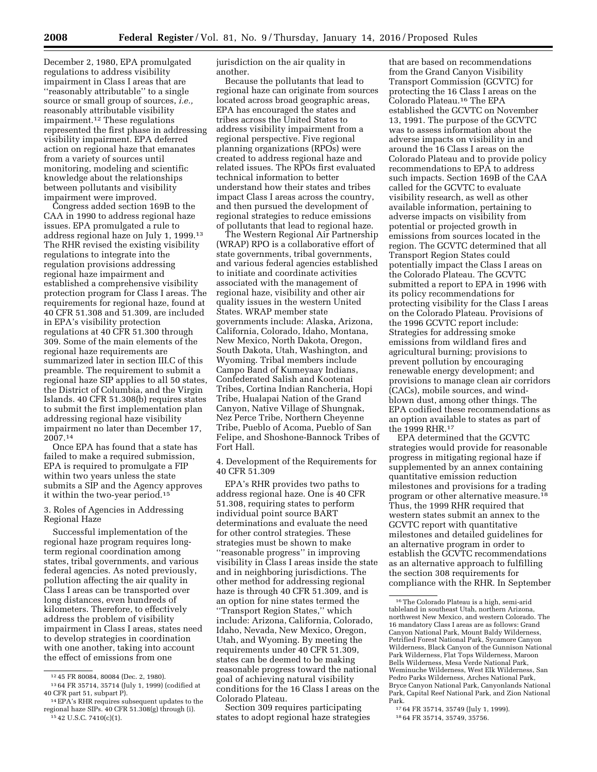December 2, 1980, EPA promulgated regulations to address visibility impairment in Class I areas that are ''reasonably attributable'' to a single source or small group of sources, *i.e.,*  reasonably attributable visibility impairment.12 These regulations represented the first phase in addressing visibility impairment. EPA deferred action on regional haze that emanates from a variety of sources until monitoring, modeling and scientific knowledge about the relationships between pollutants and visibility

impairment were improved. Congress added section 169B to the CAA in 1990 to address regional haze issues. EPA promulgated a rule to address regional haze on July 1, 1999.13 The RHR revised the existing visibility regulations to integrate into the regulation provisions addressing regional haze impairment and established a comprehensive visibility protection program for Class I areas. The requirements for regional haze, found at 40 CFR 51.308 and 51.309, are included in EPA's visibility protection regulations at 40 CFR 51.300 through 309. Some of the main elements of the regional haze requirements are summarized later in section III.C of this preamble. The requirement to submit a regional haze SIP applies to all 50 states, the District of Columbia, and the Virgin Islands. 40 CFR 51.308(b) requires states to submit the first implementation plan addressing regional haze visibility impairment no later than December 17, 2007.14

Once EPA has found that a state has failed to make a required submission, EPA is required to promulgate a FIP within two years unless the state submits a SIP and the Agency approves it within the two-year period.15

3. Roles of Agencies in Addressing Regional Haze

Successful implementation of the regional haze program requires longterm regional coordination among states, tribal governments, and various federal agencies. As noted previously, pollution affecting the air quality in Class I areas can be transported over long distances, even hundreds of kilometers. Therefore, to effectively address the problem of visibility impairment in Class I areas, states need to develop strategies in coordination with one another, taking into account the effect of emissions from one

jurisdiction on the air quality in another.

Because the pollutants that lead to regional haze can originate from sources located across broad geographic areas, EPA has encouraged the states and tribes across the United States to address visibility impairment from a regional perspective. Five regional planning organizations (RPOs) were created to address regional haze and related issues. The RPOs first evaluated technical information to better understand how their states and tribes impact Class I areas across the country, and then pursued the development of regional strategies to reduce emissions of pollutants that lead to regional haze.

The Western Regional Air Partnership (WRAP) RPO is a collaborative effort of state governments, tribal governments, and various federal agencies established to initiate and coordinate activities associated with the management of regional haze, visibility and other air quality issues in the western United States. WRAP member state governments include: Alaska, Arizona, California, Colorado, Idaho, Montana, New Mexico, North Dakota, Oregon, South Dakota, Utah, Washington, and Wyoming. Tribal members include Campo Band of Kumeyaay Indians, Confederated Salish and Kootenai Tribes, Cortina Indian Rancheria, Hopi Tribe, Hualapai Nation of the Grand Canyon, Native Village of Shungnak, Nez Perce Tribe, Northern Cheyenne Tribe, Pueblo of Acoma, Pueblo of San Felipe, and Shoshone-Bannock Tribes of Fort Hall.

4. Development of the Requirements for 40 CFR 51.309

EPA's RHR provides two paths to address regional haze. One is 40 CFR 51.308, requiring states to perform individual point source BART determinations and evaluate the need for other control strategies. These strategies must be shown to make ''reasonable progress'' in improving visibility in Class I areas inside the state and in neighboring jurisdictions. The other method for addressing regional haze is through 40 CFR 51.309, and is an option for nine states termed the ''Transport Region States,'' which include: Arizona, California, Colorado, Idaho, Nevada, New Mexico, Oregon, Utah, and Wyoming. By meeting the requirements under 40 CFR 51.309, states can be deemed to be making reasonable progress toward the national goal of achieving natural visibility conditions for the 16 Class I areas on the Colorado Plateau.

Section 309 requires participating states to adopt regional haze strategies

that are based on recommendations from the Grand Canyon Visibility Transport Commission (GCVTC) for protecting the 16 Class I areas on the Colorado Plateau.16 The EPA established the GCVTC on November 13, 1991. The purpose of the GCVTC was to assess information about the adverse impacts on visibility in and around the 16 Class I areas on the Colorado Plateau and to provide policy recommendations to EPA to address such impacts. Section 169B of the CAA called for the GCVTC to evaluate visibility research, as well as other available information, pertaining to adverse impacts on visibility from potential or projected growth in emissions from sources located in the region. The GCVTC determined that all Transport Region States could potentially impact the Class I areas on the Colorado Plateau. The GCVTC submitted a report to EPA in 1996 with its policy recommendations for protecting visibility for the Class I areas on the Colorado Plateau. Provisions of the 1996 GCVTC report include: Strategies for addressing smoke emissions from wildland fires and agricultural burning; provisions to prevent pollution by encouraging renewable energy development; and provisions to manage clean air corridors (CACs), mobile sources, and windblown dust, among other things. The EPA codified these recommendations as an option available to states as part of the 1999 RHR.17

EPA determined that the GCVTC strategies would provide for reasonable progress in mitigating regional haze if supplemented by an annex containing quantitative emission reduction milestones and provisions for a trading program or other alternative measure.18 Thus, the 1999 RHR required that western states submit an annex to the GCVTC report with quantitative milestones and detailed guidelines for an alternative program in order to establish the GCVTC recommendations as an alternative approach to fulfilling the section 308 requirements for compliance with the RHR. In September

<sup>12</sup> 45 FR 80084, 80084 (Dec. 2, 1980). 13 64 FR 35714, 35714 (July 1, 1999) (codified at <sup>14</sup> EPA's RHR requires subsequent updates to the

regional haze SIPs. 40 CFR 51.308(g) through (i). 15 42 U.S.C. 7410(c)(1).

<sup>16</sup>The Colorado Plateau is a high, semi-arid tableland in southeast Utah, northern Arizona, northwest New Mexico, and western Colorado. The 16 mandatory Class I areas are as follows: Grand Canyon National Park, Mount Baldy Wilderness, Petrified Forest National Park, Sycamore Canyon Wilderness, Black Canyon of the Gunnison National Park Wilderness, Flat Tops Wilderness, Maroon Bells Wilderness, Mesa Verde National Park, Weminuche Wilderness, West Elk Wilderness, San Pedro Parks Wilderness, Arches National Park, Bryce Canyon National Park, Canyonlands National Park, Capital Reef National Park, and Zion National Park.<br><sup>17</sup> 64 FR 35714, 35749 (July 1, 1999).

<sup>18 64</sup> FR 35714, 35749, 35756.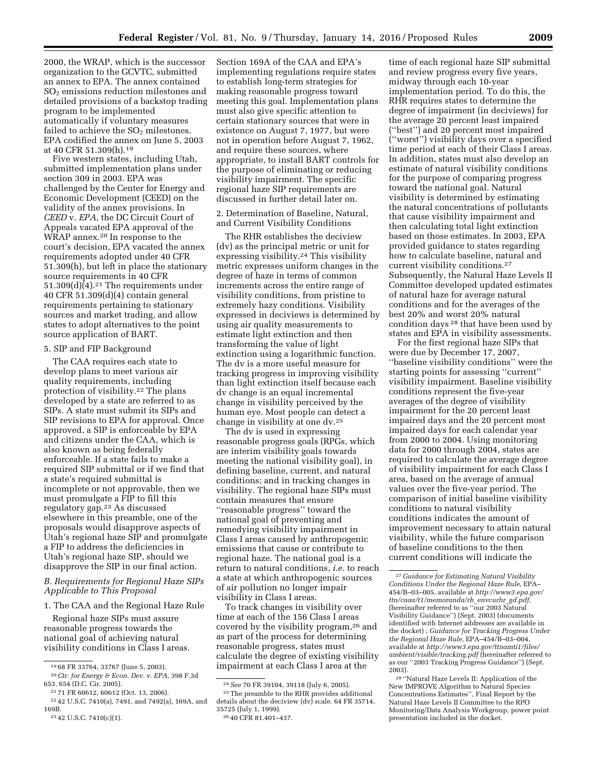2000, the WRAP, which is the successor organization to the GCVTC, submitted an annex to EPA. The annex contained SO2 emissions reduction milestones and detailed provisions of a backstop trading program to be implemented automatically if voluntary measures failed to achieve the  $SO<sub>2</sub>$  milestones. EPA codified the annex on June 5, 2003 at 40 CFR 51.309(h).19

Five western states, including Utah, submitted implementation plans under section 309 in 2003. EPA was challenged by the Center for Energy and Economic Development (CEED) on the validity of the annex provisions. In *CEED* v. *EPA,* the DC Circuit Court of Appeals vacated EPA approval of the WRAP annex.<sup>20</sup> In response to the court's decision, EPA vacated the annex requirements adopted under 40 CFR 51.309(h), but left in place the stationary source requirements in 40 CFR 51.309 $(d)$  $(4)$ .<sup>21</sup> The requirements under 40 CFR 51.309(d)(4) contain general requirements pertaining to stationary sources and market trading, and allow states to adopt alternatives to the point source application of BART.

#### 5. SIP and FIP Background

The CAA requires each state to develop plans to meet various air quality requirements, including protection of visibility.22 The plans developed by a state are referred to as SIPs. A state must submit its SIPs and SIP revisions to EPA for approval. Once approved, a SIP is enforceable by EPA and citizens under the CAA, which is also known as being federally enforceable. If a state fails to make a required SIP submittal or if we find that a state's required submittal is incomplete or not approvable, then we must promulgate a FIP to fill this regulatory gap.23 As discussed elsewhere in this preamble, one of the proposals would disapprove aspects of Utah's regional haze SIP and promulgate a FIP to address the deficiencies in Utah's regional haze SIP, should we disapprove the SIP in our final action.

*B. Requirements for Regional Haze SIPs Applicable to This Proposal* 

1. The CAA and the Regional Haze Rule

Regional haze SIPs must assure reasonable progress towards the national goal of achieving natural visibility conditions in Class I areas.

Section 169A of the CAA and EPA's implementing regulations require states to establish long-term strategies for making reasonable progress toward meeting this goal. Implementation plans must also give specific attention to certain stationary sources that were in existence on August 7, 1977, but were not in operation before August 7, 1962, and require these sources, where appropriate, to install BART controls for the purpose of eliminating or reducing visibility impairment. The specific regional haze SIP requirements are discussed in further detail later on.

2. Determination of Baseline, Natural, and Current Visibility Conditions

The RHR establishes the deciview (dv) as the principal metric or unit for expressing visibility.24 This visibility metric expresses uniform changes in the degree of haze in terms of common increments across the entire range of visibility conditions, from pristine to extremely hazy conditions. Visibility expressed in deciviews is determined by using air quality measurements to estimate light extinction and then transforming the value of light extinction using a logarithmic function. The dv is a more useful measure for tracking progress in improving visibility than light extinction itself because each dv change is an equal incremental change in visibility perceived by the human eye. Most people can detect a change in visibility at one dv.25

The dv is used in expressing reasonable progress goals (RPGs, which are interim visibility goals towards meeting the national visibility goal), in defining baseline, current, and natural conditions; and in tracking changes in visibility. The regional haze SIPs must contain measures that ensure ''reasonable progress'' toward the national goal of preventing and remedying visibility impairment in Class I areas caused by anthropogenic emissions that cause or contribute to regional haze. The national goal is a return to natural conditions, *i.e.* to reach a state at which anthropogenic sources of air pollution no longer impair visibility in Class I areas.

To track changes in visibility over time at each of the 156 Class I areas covered by the visibility program,<sup>26</sup> and as part of the process for determining reasonable progress, states must calculate the degree of existing visibility impairment at each Class I area at the

time of each regional haze SIP submittal and review progress every five years, midway through each 10-year implementation period. To do this, the RHR requires states to determine the degree of impairment (in deciviews) for the average 20 percent least impaired (''best'') and 20 percent most impaired (''worst'') visibility days over a specified time period at each of their Class I areas. In addition, states must also develop an estimate of natural visibility conditions for the purpose of comparing progress toward the national goal. Natural visibility is determined by estimating the natural concentrations of pollutants that cause visibility impairment and then calculating total light extinction based on those estimates. In 2003, EPA provided guidance to states regarding how to calculate baseline, natural and current visibility conditions.27 Subsequently, the Natural Haze Levels II Committee developed updated estimates of natural haze for average natural conditions and for the averages of the best 20% and worst 20% natural condition days 28 that have been used by states and EPA in visibility assessments.

For the first regional haze SIPs that were due by December 17, 2007, ''baseline visibility conditions'' were the starting points for assessing ''current'' visibility impairment. Baseline visibility conditions represent the five-year averages of the degree of visibility impairment for the 20 percent least impaired days and the 20 percent most impaired days for each calendar year from 2000 to 2004. Using monitoring data for 2000 through 2004, states are required to calculate the average degree of visibility impairment for each Class I area, based on the average of annual values over the five-year period. The comparison of initial baseline visibility conditions to natural visibility conditions indicates the amount of improvement necessary to attain natural visibility, while the future comparison of baseline conditions to the then current conditions will indicate the

<sup>19</sup> 68 FR 33764, 33767 (June 5, 2003).

<sup>20</sup>*Ctr. for Energy & Econ. Dev. v. EPA,* 398 F.3d 653, 654 (D.C. Cir. 2005).

<sup>21</sup> 71 FR 60612, 60612 (Oct. 13, 2006).

<sup>22</sup> 42 U.S.C. 7410(a), 7491, and 7492(a), 169A, and 169B.

<sup>23</sup> 42 U.S.C. 7410(c)(1).

<sup>24</sup>*See* 70 FR 39104, 39118 (July 6, 2005).

<sup>25</sup>The preamble to the RHR provides additional details about the deciview (dv) scale. 64 FR 35714, 35725 (July 1, 1999).

<sup>26</sup> 40 CFR 81.401–437.

<sup>27</sup> *Guidance for Estimating Natural Visibility Conditions Under the Regional Haze Rule,* EPA– 454/B–03–005, available at *[http://www3.epa.gov/](http://www3.epa.gov/ttn/caaa/t1/memoranda/rh_envcurhr_gd.pdf) [ttn/caaa/t1/memoranda/rh](http://www3.epa.gov/ttn/caaa/t1/memoranda/rh_envcurhr_gd.pdf)*\_*envcurhr*\_*gd.pdf,*  (hereinafter referred to as ''our 2003 Natural Visibility Guidance'') (Sept. 2003) (documents identified with Internet addresses are available in the docket) ; *Guidance for Tracking Progress Under the Regional Haze Rule,* EPA–454/B–03–004, available at *[http://www3.epa.gov/ttnamti1/files/](http://www3.epa.gov/ttnamti1/files/ambient/visible/tracking.pdf) [ambient/visible/tracking.pdf](http://www3.epa.gov/ttnamti1/files/ambient/visible/tracking.pdf)* (hereinafter referred to as our ''2003 Tracking Progress Guidance'') (Sept. 2003).

<sup>28</sup> ''Natural Haze Levels II: Application of the New IMPROVE Algorithm to Natural Species Concentrations Estimates'', Final Report by the Natural Haze Levels II Committee to the RPO Monitoring/Data Analysis Workgroup, power point presentation included in the docket.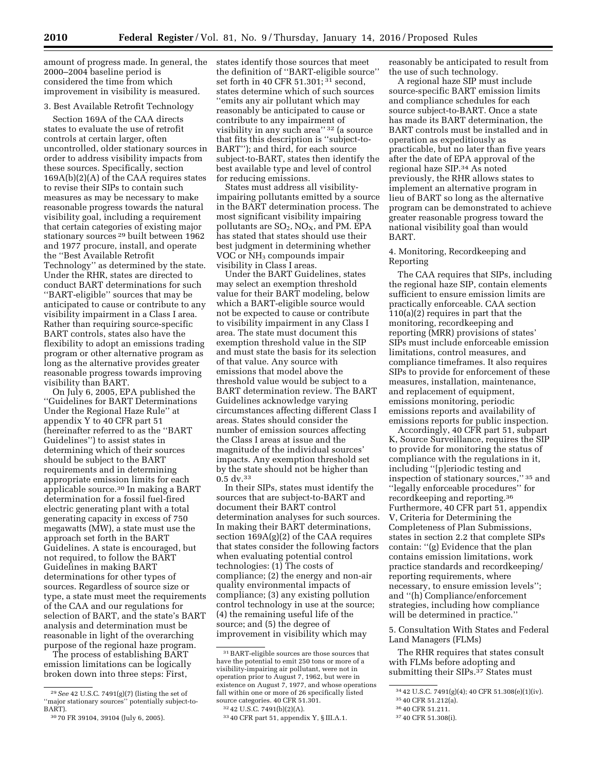amount of progress made. In general, the 2000–2004 baseline period is considered the time from which improvement in visibility is measured.

#### 3. Best Available Retrofit Technology

Section 169A of the CAA directs states to evaluate the use of retrofit controls at certain larger, often uncontrolled, older stationary sources in order to address visibility impacts from these sources. Specifically, section 169A(b)(2)(A) of the CAA requires states to revise their SIPs to contain such measures as may be necessary to make reasonable progress towards the natural visibility goal, including a requirement that certain categories of existing major stationary sources 29 built between 1962 and 1977 procure, install, and operate the ''Best Available Retrofit Technology'' as determined by the state. Under the RHR, states are directed to conduct BART determinations for such ''BART-eligible'' sources that may be anticipated to cause or contribute to any visibility impairment in a Class I area. Rather than requiring source-specific BART controls, states also have the flexibility to adopt an emissions trading program or other alternative program as long as the alternative provides greater reasonable progress towards improving visibility than BART.

On July 6, 2005, EPA published the ''Guidelines for BART Determinations Under the Regional Haze Rule'' at appendix Y to 40 CFR part 51 (hereinafter referred to as the ''BART Guidelines'') to assist states in determining which of their sources should be subject to the BART requirements and in determining appropriate emission limits for each applicable source.30 In making a BART determination for a fossil fuel-fired electric generating plant with a total generating capacity in excess of 750 megawatts (MW), a state must use the approach set forth in the BART Guidelines. A state is encouraged, but not required, to follow the BART Guidelines in making BART determinations for other types of sources. Regardless of source size or type, a state must meet the requirements of the CAA and our regulations for selection of BART, and the state's BART analysis and determination must be reasonable in light of the overarching purpose of the regional haze program.

The process of establishing BART emission limitations can be logically broken down into three steps: First,

states identify those sources that meet the definition of ''BART-eligible source'' set forth in 40 CFR 51.301; 31 second, states determine which of such sources ''emits any air pollutant which may reasonably be anticipated to cause or contribute to any impairment of visibility in any such area" 32 (a source that fits this description is ''subject-to-BART''); and third, for each source subject-to-BART, states then identify the best available type and level of control for reducing emissions.

States must address all visibilityimpairing pollutants emitted by a source in the BART determination process. The most significant visibility impairing pollutants are  $SO_2$ ,  $NO<sub>X</sub>$ , and PM. EPA has stated that states should use their best judgment in determining whether VOC or NH<sub>3</sub> compounds impair visibility in Class I areas.

Under the BART Guidelines, states may select an exemption threshold value for their BART modeling, below which a BART-eligible source would not be expected to cause or contribute to visibility impairment in any Class I area. The state must document this exemption threshold value in the SIP and must state the basis for its selection of that value. Any source with emissions that model above the threshold value would be subject to a BART determination review. The BART Guidelines acknowledge varying circumstances affecting different Class I areas. States should consider the number of emission sources affecting the Class I areas at issue and the magnitude of the individual sources' impacts. Any exemption threshold set by the state should not be higher than 0.5 dv.33

In their SIPs, states must identify the sources that are subject-to-BART and document their BART control determination analyses for such sources. In making their BART determinations, section 169A(g)(2) of the CAA requires that states consider the following factors when evaluating potential control technologies: (1) The costs of compliance; (2) the energy and non-air quality environmental impacts of compliance; (3) any existing pollution control technology in use at the source; (4) the remaining useful life of the source; and (5) the degree of improvement in visibility which may

reasonably be anticipated to result from the use of such technology.

A regional haze SIP must include source-specific BART emission limits and compliance schedules for each source subject-to-BART. Once a state has made its BART determination, the BART controls must be installed and in operation as expeditiously as practicable, but no later than five years after the date of EPA approval of the regional haze SIP.34 As noted previously, the RHR allows states to implement an alternative program in lieu of BART so long as the alternative program can be demonstrated to achieve greater reasonable progress toward the national visibility goal than would BART.

#### 4. Monitoring, Recordkeeping and Reporting

The CAA requires that SIPs, including the regional haze SIP, contain elements sufficient to ensure emission limits are practically enforceable. CAA section 110(a)(2) requires in part that the monitoring, recordkeeping and reporting (MRR) provisions of states' SIPs must include enforceable emission limitations, control measures, and compliance timeframes. It also requires SIPs to provide for enforcement of these measures, installation, maintenance, and replacement of equipment, emissions monitoring, periodic emissions reports and availability of emissions reports for public inspection.

Accordingly, 40 CFR part 51, subpart K, Source Surveillance, requires the SIP to provide for monitoring the status of compliance with the regulations in it, including ''[p]eriodic testing and inspection of stationary sources,'' 35 and ''legally enforceable procedures'' for recordkeeping and reporting.36 Furthermore, 40 CFR part 51, appendix V, Criteria for Determining the Completeness of Plan Submissions, states in section 2.2 that complete SIPs contain: ''(g) Evidence that the plan contains emission limitations, work practice standards and recordkeeping/ reporting requirements, where necessary, to ensure emission levels''; and ''(h) Compliance/enforcement strategies, including how compliance will be determined in practice.''

5. Consultation With States and Federal Land Managers (FLMs)

The RHR requires that states consult with FLMs before adopting and submitting their  $SIPs.<sup>37</sup>$  States must

<sup>29</sup>*See* 42 U.S.C. 7491(g)(7) (listing the set of ''major stationary sources'' potentially subject-to-BART).

<sup>30</sup> 70 FR 39104, 39104 (July 6, 2005).

<sup>31</sup>BART-eligible sources are those sources that have the potential to emit 250 tons or more of a visibility-impairing air pollutant, were not in operation prior to August 7, 1962, but were in existence on August 7, 1977, and whose operations fall within one or more of 26 specifically listed source categories. 40 CFR 51.301.

<sup>32</sup> 42 U.S.C. 7491(b)(2)(A).

<sup>33</sup> 40 CFR part 51, appendix Y, § III.A.1.

<sup>34</sup> 42 U.S.C. 7491(g)(4); 40 CFR 51.308(e)(1)(iv).

<sup>35</sup> 40 CFR 51.212(a).

<sup>36</sup> 40 CFR 51.211.

<sup>37</sup> 40 CFR 51.308(i).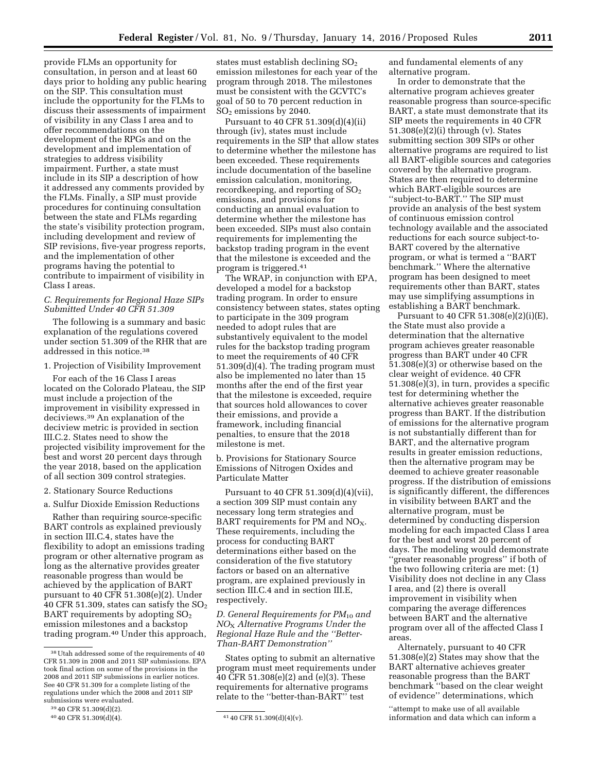provide FLMs an opportunity for consultation, in person and at least 60 days prior to holding any public hearing on the SIP. This consultation must include the opportunity for the FLMs to discuss their assessments of impairment of visibility in any Class I area and to offer recommendations on the development of the RPGs and on the development and implementation of strategies to address visibility impairment. Further, a state must include in its SIP a description of how it addressed any comments provided by the FLMs. Finally, a SIP must provide procedures for continuing consultation between the state and FLMs regarding the state's visibility protection program, including development and review of SIP revisions, five-year progress reports, and the implementation of other programs having the potential to contribute to impairment of visibility in Class I areas.

#### *C. Requirements for Regional Haze SIPs Submitted Under 40 CFR 51.309*

The following is a summary and basic explanation of the regulations covered under section 51.309 of the RHR that are addressed in this notice.38

1. Projection of Visibility Improvement

For each of the 16 Class I areas located on the Colorado Plateau, the SIP must include a projection of the improvement in visibility expressed in deciviews.39 An explanation of the deciview metric is provided in section III.C.2. States need to show the projected visibility improvement for the best and worst 20 percent days through the year 2018, based on the application of all section 309 control strategies.

#### 2. Stationary Source Reductions

a. Sulfur Dioxide Emission Reductions

Rather than requiring source-specific BART controls as explained previously in section III.C.4, states have the flexibility to adopt an emissions trading program or other alternative program as long as the alternative provides greater reasonable progress than would be achieved by the application of BART pursuant to 40 CFR 51.308(e)(2). Under 40 CFR 51.309, states can satisfy the  $SO<sub>2</sub>$ BART requirements by adopting  $SO<sub>2</sub>$ emission milestones and a backstop trading program.40 Under this approach,

states must establish declining  $SO<sub>2</sub>$ emission milestones for each year of the program through 2018. The milestones must be consistent with the GCVTC's goal of 50 to 70 percent reduction in SO2 emissions by 2040.

Pursuant to 40 CFR 51.309(d)(4)(ii) through (iv), states must include requirements in the SIP that allow states to determine whether the milestone has been exceeded. These requirements include documentation of the baseline emission calculation, monitoring, recordkeeping, and reporting of  $SO<sub>2</sub>$ emissions, and provisions for conducting an annual evaluation to determine whether the milestone has been exceeded. SIPs must also contain requirements for implementing the backstop trading program in the event that the milestone is exceeded and the program is triggered.41

The WRAP, in conjunction with EPA, developed a model for a backstop trading program. In order to ensure consistency between states, states opting to participate in the 309 program needed to adopt rules that are substantively equivalent to the model rules for the backstop trading program to meet the requirements of 40 CFR 51.309(d)(4). The trading program must also be implemented no later than 15 months after the end of the first year that the milestone is exceeded, require that sources hold allowances to cover their emissions, and provide a framework, including financial penalties, to ensure that the 2018 milestone is met.

b. Provisions for Stationary Source Emissions of Nitrogen Oxides and Particulate Matter

Pursuant to 40 CFR 51.309(d)(4)(vii), a section 309 SIP must contain any necessary long term strategies and BART requirements for PM and  $NO<sub>X</sub>$ . These requirements, including the process for conducting BART determinations either based on the consideration of the five statutory factors or based on an alternative program, are explained previously in section III.C.4 and in section III.E, respectively.

#### *D. General Requirements for PM*10 *and NO*X *Alternative Programs Under the Regional Haze Rule and the ''Better-Than-BART Demonstration''*

States opting to submit an alternative program must meet requirements under 40 CFR 51.308(e)(2) and (e)(3). These requirements for alternative programs relate to the ''better-than-BART'' test

and fundamental elements of any alternative program.

In order to demonstrate that the alternative program achieves greater reasonable progress than source-specific BART, a state must demonstrate that its SIP meets the requirements in 40 CFR 51.308(e)(2)(i) through (v). States submitting section 309 SIPs or other alternative programs are required to list all BART-eligible sources and categories covered by the alternative program. States are then required to determine which BART-eligible sources are ''subject-to-BART.'' The SIP must provide an analysis of the best system of continuous emission control technology available and the associated reductions for each source subject-to-BART covered by the alternative program, or what is termed a ''BART benchmark.'' Where the alternative program has been designed to meet requirements other than BART, states may use simplifying assumptions in establishing a BART benchmark.

Pursuant to 40 CFR 51.308(e)(2)(i)(E), the State must also provide a determination that the alternative program achieves greater reasonable progress than BART under 40 CFR 51.308(e)(3) or otherwise based on the clear weight of evidence. 40 CFR 51.308(e)(3), in turn, provides a specific test for determining whether the alternative achieves greater reasonable progress than BART. If the distribution of emissions for the alternative program is not substantially different than for BART, and the alternative program results in greater emission reductions, then the alternative program may be deemed to achieve greater reasonable progress. If the distribution of emissions is significantly different, the differences in visibility between BART and the alternative program, must be determined by conducting dispersion modeling for each impacted Class I area for the best and worst 20 percent of days. The modeling would demonstrate ''greater reasonable progress'' if both of the two following criteria are met: (1) Visibility does not decline in any Class I area, and (2) there is overall improvement in visibility when comparing the average differences between BART and the alternative program over all of the affected Class I areas.

Alternately, pursuant to 40 CFR 51.308(e)(2) States may show that the BART alternative achieves greater reasonable progress than the BART benchmark ''based on the clear weight of evidence'' determinations, which

''attempt to make use of all available information and data which can inform a

<sup>38</sup>Utah addressed some of the requirements of 40 CFR 51.309 in 2008 and 2011 SIP submissions. EPA took final action on some of the provisions in the 2008 and 2011 SIP submissions in earlier notices. See 40 CFR 51.309 for a complete listing of the regulations under which the 2008 and 2011 SIP submissions were evaluated.

<sup>39</sup> 40 CFR 51.309(d)(2).

<sup>40</sup> CFR 51.309(d)(4).  $41\,40$  CFR 51.309(d)(4)(v).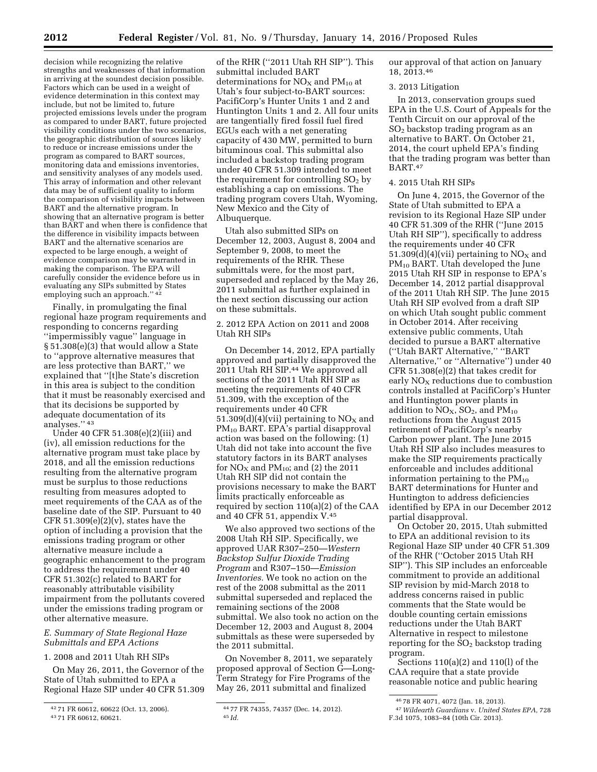decision while recognizing the relative strengths and weaknesses of that information in arriving at the soundest decision possible. Factors which can be used in a weight of evidence determination in this context may include, but not be limited to, future projected emissions levels under the program as compared to under BART, future projected visibility conditions under the two scenarios, the geographic distribution of sources likely to reduce or increase emissions under the program as compared to BART sources, monitoring data and emissions inventories, and sensitivity analyses of any models used. This array of information and other relevant data may be of sufficient quality to inform the comparison of visibility impacts between BART and the alternative program. In showing that an alternative program is better than BART and when there is confidence that the difference in visibility impacts between BART and the alternative scenarios are expected to be large enough, a weight of evidence comparison may be warranted in making the comparison. The EPA will carefully consider the evidence before us in evaluating any SIPs submitted by States employing such an approach.'' 42

Finally, in promulgating the final regional haze program requirements and responding to concerns regarding ''impermissibly vague'' language in § 51.308(e)(3) that would allow a State to ''approve alternative measures that are less protective than BART,'' we explained that ''[t]he State's discretion in this area is subject to the condition that it must be reasonably exercised and that its decisions be supported by adequate documentation of its analyses.'' 43

Under 40 CFR 51.308(e)(2)(iii) and (iv), all emission reductions for the alternative program must take place by 2018, and all the emission reductions resulting from the alternative program must be surplus to those reductions resulting from measures adopted to meet requirements of the CAA as of the baseline date of the SIP. Pursuant to 40 CFR  $51.309(e)(2)(v)$ , states have the option of including a provision that the emissions trading program or other alternative measure include a geographic enhancement to the program to address the requirement under 40 CFR 51.302(c) related to BART for reasonably attributable visibility impairment from the pollutants covered under the emissions trading program or other alternative measure.

#### *E. Summary of State Regional Haze Submittals and EPA Actions*

#### 1. 2008 and 2011 Utah RH SIPs

On May 26, 2011, the Governor of the State of Utah submitted to EPA a Regional Haze SIP under 40 CFR 51.309

of the RHR (''2011 Utah RH SIP''). This submittal included BART determinations for  $NO<sub>x</sub>$  and  $PM<sub>10</sub>$  at Utah's four subject-to-BART sources: PacifiCorp's Hunter Units 1 and 2 and Huntington Units 1 and 2. All four units are tangentially fired fossil fuel fired EGUs each with a net generating capacity of 430 MW, permitted to burn bituminous coal. This submittal also included a backstop trading program under 40 CFR 51.309 intended to meet the requirement for controlling  $SO<sub>2</sub>$  by establishing a cap on emissions. The trading program covers Utah, Wyoming, New Mexico and the City of Albuquerque.

Utah also submitted SIPs on December 12, 2003, August 8, 2004 and September 9, 2008, to meet the requirements of the RHR. These submittals were, for the most part, superseded and replaced by the May 26, 2011 submittal as further explained in the next section discussing our action on these submittals.

#### 2. 2012 EPA Action on 2011 and 2008 Utah RH SIPs

On December 14, 2012, EPA partially approved and partially disapproved the 2011 Utah RH SIP.44 We approved all sections of the 2011 Utah RH SIP as meeting the requirements of 40 CFR 51.309, with the exception of the requirements under 40 CFR 51.309 $(d)(4)(vii)$  pertaining to NO<sub>X</sub> and PM10 BART. EPA's partial disapproval action was based on the following: (1) Utah did not take into account the five statutory factors in its BART analyses for  $NO<sub>X</sub>$  and  $PM<sub>10</sub>$ ; and (2) the 2011 Utah RH SIP did not contain the provisions necessary to make the BART limits practically enforceable as required by section 110(a)(2) of the CAA and 40 CFR 51, appendix V.45

We also approved two sections of the 2008 Utah RH SIP. Specifically, we approved UAR R307–250—*Western Backstop Sulfur Dioxide Trading Program* and R307–150—*Emission Inventories.* We took no action on the rest of the 2008 submittal as the 2011 submittal superseded and replaced the remaining sections of the 2008 submittal. We also took no action on the December 12, 2003 and August 8, 2004 submittals as these were superseded by the 2011 submittal.

On November 8, 2011, we separately proposed approval of Section G—Long-Term Strategy for Fire Programs of the May 26, 2011 submittal and finalized

our approval of that action on January 18, 2013.46

#### 3. 2013 Litigation

In 2013, conservation groups sued EPA in the U.S. Court of Appeals for the Tenth Circuit on our approval of the SO2 backstop trading program as an alternative to BART. On October 21, 2014, the court upheld EPA's finding that the trading program was better than BART.47

#### 4. 2015 Utah RH SIPs

On June 4, 2015, the Governor of the State of Utah submitted to EPA a revision to its Regional Haze SIP under 40 CFR 51.309 of the RHR (''June 2015 Utah RH SIP''), specifically to address the requirements under 40 CFR 51.309(d)(4)(vii) pertaining to  $NO<sub>X</sub>$  and PM10 BART. Utah developed the June 2015 Utah RH SIP in response to EPA's December 14, 2012 partial disapproval of the 2011 Utah RH SIP. The June 2015 Utah RH SIP evolved from a draft SIP on which Utah sought public comment in October 2014. After receiving extensive public comments, Utah decided to pursue a BART alternative (''Utah BART Alternative,'' ''BART Alternative,'' or ''Alternative'') under 40 CFR 51.308(e)(2) that takes credit for early  $NO<sub>x</sub>$  reductions due to combustion controls installed at PacifiCorp's Hunter and Huntington power plants in addition to  $\overline{NO_X}$ ,  $SO_2$ , and  $PM_{10}$ reductions from the August 2015 retirement of PacifiCorp's nearby Carbon power plant. The June 2015 Utah RH SIP also includes measures to make the SIP requirements practically enforceable and includes additional information pertaining to the  $PM_{10}$ BART determinations for Hunter and Huntington to address deficiencies identified by EPA in our December 2012 partial disapproval.

On October 20, 2015, Utah submitted to EPA an additional revision to its Regional Haze SIP under 40 CFR 51.309 of the RHR (''October 2015 Utah RH SIP''). This SIP includes an enforceable commitment to provide an additional SIP revision by mid-March 2018 to address concerns raised in public comments that the State would be double counting certain emissions reductions under the Utah BART Alternative in respect to milestone reporting for the  $SO<sub>2</sub>$  backstop trading program.

Sections 110(a)(2) and 110(l) of the CAA require that a state provide reasonable notice and public hearing

<sup>42</sup> 71 FR 60612, 60622 (Oct. 13, 2006).

<sup>43</sup> 71 FR 60612, 60621.

<sup>44</sup> 77 FR 74355, 74357 (Dec. 14, 2012). 45 *Id.* 

<sup>46</sup> 78 FR 4071, 4072 (Jan. 18, 2013).

<sup>47</sup>*Wildearth Guardians* v. *United States EPA,* 728 F.3d 1075, 1083–84 (10th Cir. 2013).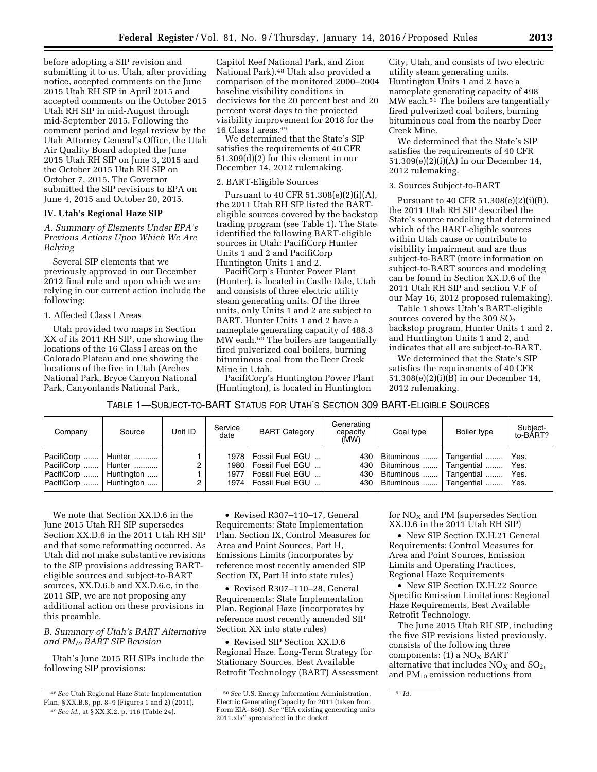before adopting a SIP revision and submitting it to us. Utah, after providing notice, accepted comments on the June 2015 Utah RH SIP in April 2015 and accepted comments on the October 2015 Utah RH SIP in mid-August through mid-September 2015. Following the comment period and legal review by the Utah Attorney General's Office, the Utah Air Quality Board adopted the June 2015 Utah RH SIP on June 3, 2015 and the October 2015 Utah RH SIP on October 7, 2015. The Governor submitted the SIP revisions to EPA on June 4, 2015 and October 20, 2015.

#### **IV. Utah's Regional Haze SIP**

*A. Summary of Elements Under EPA's Previous Actions Upon Which We Are Relying* 

Several SIP elements that we previously approved in our December 2012 final rule and upon which we are relying in our current action include the following:

#### 1. Affected Class I Areas

Utah provided two maps in Section XX of its 2011 RH SIP, one showing the locations of the 16 Class I areas on the Colorado Plateau and one showing the locations of the five in Utah (Arches National Park, Bryce Canyon National Park, Canyonlands National Park,

Capitol Reef National Park, and Zion National Park).48 Utah also provided a comparison of the monitored 2000–2004 baseline visibility conditions in deciviews for the 20 percent best and 20 percent worst days to the projected visibility improvement for 2018 for the 16 Class I areas.49

We determined that the State's SIP satisfies the requirements of 40 CFR 51.309(d)(2) for this element in our December 14, 2012 rulemaking.

#### 2. BART-Eligible Sources

Pursuant to 40 CFR 51.308(e)(2)(i)(A), the 2011 Utah RH SIP listed the BARTeligible sources covered by the backstop trading program (see Table 1). The State identified the following BART-eligible sources in Utah: PacifiCorp Hunter Units 1 and 2 and PacifiCorp Huntington Units 1 and 2.

PacifiCorp's Hunter Power Plant (Hunter), is located in Castle Dale, Utah and consists of three electric utility steam generating units. Of the three units, only Units 1 and 2 are subject to BART. Hunter Units 1 and 2 have a nameplate generating capacity of 488.3 MW each.50 The boilers are tangentially fired pulverized coal boilers, burning bituminous coal from the Deer Creek Mine in Utah.

PacifiCorp's Huntington Power Plant (Huntington), is located in Huntington

City, Utah, and consists of two electric utility steam generating units. Huntington Units 1 and 2 have a nameplate generating capacity of 498 MW each.<sup>51</sup> The boilers are tangentially fired pulverized coal boilers, burning bituminous coal from the nearby Deer Creek Mine.

We determined that the State's SIP satisfies the requirements of 40 CFR 51.309(e)(2)(i)(A) in our December 14, 2012 rulemaking.

#### 3. Sources Subject-to-BART

Pursuant to 40 CFR 51.308(e)(2)(i)(B), the 2011 Utah RH SIP described the State's source modeling that determined which of the BART-eligible sources within Utah cause or contribute to visibility impairment and are thus subject-to-BART (more information on subject-to-BART sources and modeling can be found in Section XX.D.6 of the 2011 Utah RH SIP and section V.F of our May 16, 2012 proposed rulemaking).

Table 1 shows Utah's BART-eligible sources covered by the 309  $SO<sub>2</sub>$ backstop program, Hunter Units 1 and 2, and Huntington Units 1 and 2, and indicates that all are subject-to-BART.

We determined that the State's SIP satisfies the requirements of 40 CFR 51.308(e)(2)(i)(B) in our December 14, 2012 rulemaking.

TABLE 1—SUBJECT-TO-BART STATUS FOR UTAH'S SECTION 309 BART-ELIGIBLE SOURCES

| Company                                              | Source | Unit ID | Service<br>date | <b>BART Category</b>               | Generating<br>capacity<br>(MW) | Coal type                                          | Boiler type | Subject-<br>to-BART? |
|------------------------------------------------------|--------|---------|-----------------|------------------------------------|--------------------------------|----------------------------------------------------|-------------|----------------------|
| PacifiCorp    Hunter<br>PacifiCorp    Hunter         |        |         | 1978 l<br>1980  | Fossil Fuel EGU<br>Fossil Fuel EGU | 430  <br>430                   | Bituminous    Tangential<br>Bituminous  Tangential |             | Yes.<br>Yes.         |
| PacifiCorp    Huntington<br>PacifiCorp    Huntington |        |         | 1977<br>1974    | Fossil Fuel EGU<br>Fossil Fuel EGU | 430                            | Bituminous  Tangential<br>430   Bituminous         | Tangential  | Yes.<br>Yes.         |

We note that Section XX.D.6 in the June 2015 Utah RH SIP supersedes Section XX.D.6 in the 2011 Utah RH SIP and that some reformatting occurred. As Utah did not make substantive revisions to the SIP provisions addressing BARTeligible sources and subject-to-BART sources, XX.D.6.b and XX.D.6.c, in the 2011 SIP, we are not proposing any additional action on these provisions in this preamble.

## *B. Summary of Utah's BART Alternative and PM10 BART SIP Revision*

Utah's June 2015 RH SIPs include the following SIP provisions:

• Revised R307–110–17, General Requirements: State Implementation Plan. Section IX, Control Measures for Area and Point Sources, Part H, Emissions Limits (incorporates by reference most recently amended SIP Section IX, Part H into state rules)

• Revised R307–110–28, General Requirements: State Implementation Plan, Regional Haze (incorporates by reference most recently amended SIP Section XX into state rules)

• Revised SIP Section XX.D.6 Regional Haze. Long-Term Strategy for Stationary Sources. Best Available Retrofit Technology (BART) Assessment

for  $NO<sub>X</sub>$  and PM (supersedes Section XX.D.6 in the 2011 Utah RH SIP)

• New SIP Section IX.H.21 General Requirements: Control Measures for Area and Point Sources, Emission Limits and Operating Practices, Regional Haze Requirements

• New SIP Section IX.H.22 Source Specific Emission Limitations: Regional Haze Requirements, Best Available Retrofit Technology.

The June 2015 Utah RH SIP, including the five SIP revisions listed previously, consists of the following three components:  $(1)$  a NO<sub>X</sub> BART alternative that includes  $NO<sub>X</sub>$  and  $SO<sub>2</sub>$ , and  $PM_{10}$  emission reductions from

51 *Id.* 

<sup>48</sup>*See* Utah Regional Haze State Implementation Plan, § XX.B.8, pp. 8–9 (Figures 1 and 2) (2011). 49*See id.,* at § XX.K.2, p. 116 (Table 24).

<sup>50</sup>*See* U.S. Energy Information Administration, Electric Generating Capacity for 2011 (taken from Form EIA–860). *See* ''EIA existing generating units 2011.xls'' spreadsheet in the docket.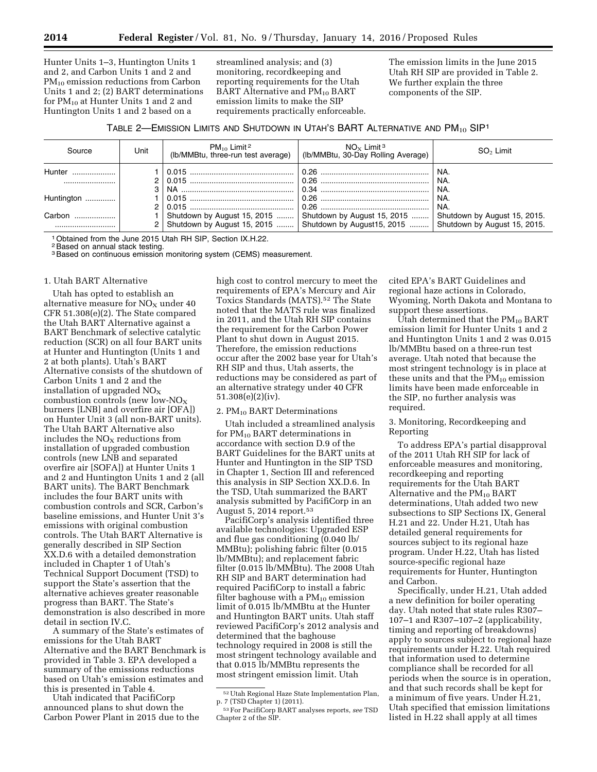Hunter Units 1–3, Huntington Units 1 and 2, and Carbon Units 1 and 2 and  $PM_{10}$  emission reductions from Carbon Units 1 and 2; (2) BART determinations for  $PM_{10}$  at Hunter Units 1 and 2 and Huntington Units 1 and 2 based on a

streamlined analysis; and (3) monitoring, recordkeeping and reporting requirements for the Utah BART Alternative and PM<sub>10</sub> BART emission limits to make the SIP requirements practically enforceable. The emission limits in the June 2015 Utah RH SIP are provided in Table 2. We further explain the three components of the SIP.

## TABLE 2—EMISSION LIMITS AND SHUTDOWN IN UTAH'S BART ALTERNATIVE AND PM<sub>10</sub> SIP<sup>1</sup>

| Source     | Unit          | $PM_{10}$ Limit <sup>2</sup><br>(lb/MMBtu, three-run test average) | $NO_x$ Limit <sup>3</sup><br>(Ib/MMBtu, 30-Day Rolling Average)                                                                       | $SO2$ Limit                                                  |
|------------|---------------|--------------------------------------------------------------------|---------------------------------------------------------------------------------------------------------------------------------------|--------------------------------------------------------------|
| Hunter     | 3             |                                                                    |                                                                                                                                       | ' NA.<br>NA.<br>` NA.                                        |
| Huntington | $\mathcal{P}$ |                                                                    |                                                                                                                                       | NA.<br>NA.                                                   |
| Carbon     |               |                                                                    | Shutdown by August 15, 2015  Shutdown by August 15, 2015<br>Shutdown by August 15, 2015 $\ldots$ Shutdown by August 15, 2015 $\ldots$ | Shutdown by August 15, 2015.<br>Shutdown by August 15, 2015. |

1Obtained from the June 2015 Utah RH SIP, Section IX.H.22.

<sup>2</sup> Based on annual stack testing.

<sup>3</sup> Based on continuous emission monitoring system (CEMS) measurement.

#### 1. Utah BART Alternative

Utah has opted to establish an alternative measure for  $NO<sub>X</sub>$  under 40 CFR 51.308(e)(2). The State compared the Utah BART Alternative against a BART Benchmark of selective catalytic reduction (SCR) on all four BART units at Hunter and Huntington (Units 1 and 2 at both plants). Utah's BART Alternative consists of the shutdown of Carbon Units 1 and 2 and the installation of upgraded  $NO<sub>X</sub>$ combustion controls (new low-NOX burners [LNB] and overfire air [OFA]) on Hunter Unit 3 (all non-BART units). The Utah BART Alternative also includes the  $NO<sub>x</sub>$  reductions from installation of upgraded combustion controls (new LNB and separated overfire air [SOFA]) at Hunter Units 1 and 2 and Huntington Units 1 and 2 (all BART units). The BART Benchmark includes the four BART units with combustion controls and SCR, Carbon's baseline emissions, and Hunter Unit 3's emissions with original combustion controls. The Utah BART Alternative is generally described in SIP Section XX.D.6 with a detailed demonstration included in Chapter 1 of Utah's Technical Support Document (TSD) to support the State's assertion that the alternative achieves greater reasonable progress than BART. The State's demonstration is also described in more detail in section IV.C.

A summary of the State's estimates of emissions for the Utah BART Alternative and the BART Benchmark is provided in Table 3. EPA developed a summary of the emissions reductions based on Utah's emission estimates and this is presented in Table 4.

Utah indicated that PacifiCorp announced plans to shut down the Carbon Power Plant in 2015 due to the

high cost to control mercury to meet the requirements of EPA's Mercury and Air Toxics Standards (MATS).52 The State noted that the MATS rule was finalized in 2011, and the Utah RH SIP contains the requirement for the Carbon Power Plant to shut down in August 2015. Therefore, the emission reductions occur after the 2002 base year for Utah's RH SIP and thus, Utah asserts, the reductions may be considered as part of an alternative strategy under 40 CFR 51.308(e)(2)(iv).

#### 2.  $PM_{10}$  BART Determinations

Utah included a streamlined analysis for  $PM_{10}$  BART determinations in accordance with section D.9 of the BART Guidelines for the BART units at Hunter and Huntington in the SIP TSD in Chapter 1, Section III and referenced this analysis in SIP Section XX.D.6. In the TSD, Utah summarized the BART analysis submitted by PacifiCorp in an August 5, 2014 report.53

PacifiCorp's analysis identified three available technologies: Upgraded ESP and flue gas conditioning (0.040 lb/ MMBtu); polishing fabric filter (0.015 lb/MMBtu); and replacement fabric filter (0.015 lb/MMBtu). The 2008 Utah RH SIP and BART determination had required PacifiCorp to install a fabric filter baghouse with a  $PM_{10}$  emission limit of 0.015 lb/MMBtu at the Hunter and Huntington BART units. Utah staff reviewed PacifiCorp's 2012 analysis and determined that the baghouse technology required in 2008 is still the most stringent technology available and that 0.015 lb/MMBtu represents the most stringent emission limit. Utah

cited EPA's BART Guidelines and regional haze actions in Colorado, Wyoming, North Dakota and Montana to support these assertions.

Utah determined that the  $\rm PM_{10}$  BART emission limit for Hunter Units 1 and 2 and Huntington Units 1 and 2 was 0.015 lb/MMBtu based on a three-run test average. Utah noted that because the most stringent technology is in place at these units and that the  $PM_{10}$  emission limits have been made enforceable in the SIP, no further analysis was required.

## 3. Monitoring, Recordkeeping and Reporting

To address EPA's partial disapproval of the 2011 Utah RH SIP for lack of enforceable measures and monitoring, recordkeeping and reporting requirements for the Utah BART Alternative and the  $PM_{10}$  BART determinations, Utah added two new subsections to SIP Sections IX, General H.21 and 22. Under H.21, Utah has detailed general requirements for sources subject to its regional haze program. Under H.22, Utah has listed source-specific regional haze requirements for Hunter, Huntington and Carbon.

Specifically, under H.21, Utah added a new definition for boiler operating day. Utah noted that state rules R307– 107–1 and R307–107–2 (applicability, timing and reporting of breakdowns) apply to sources subject to regional haze requirements under H.22. Utah required that information used to determine compliance shall be recorded for all periods when the source is in operation, and that such records shall be kept for a minimum of five years. Under H.21, Utah specified that emission limitations listed in H.22 shall apply at all times

<sup>52</sup>Utah Regional Haze State Implementation Plan, p. 7 (TSD Chapter 1) (2011).

<sup>53</sup>For PacifiCorp BART analyses reports, *see* TSD Chapter 2 of the SIP.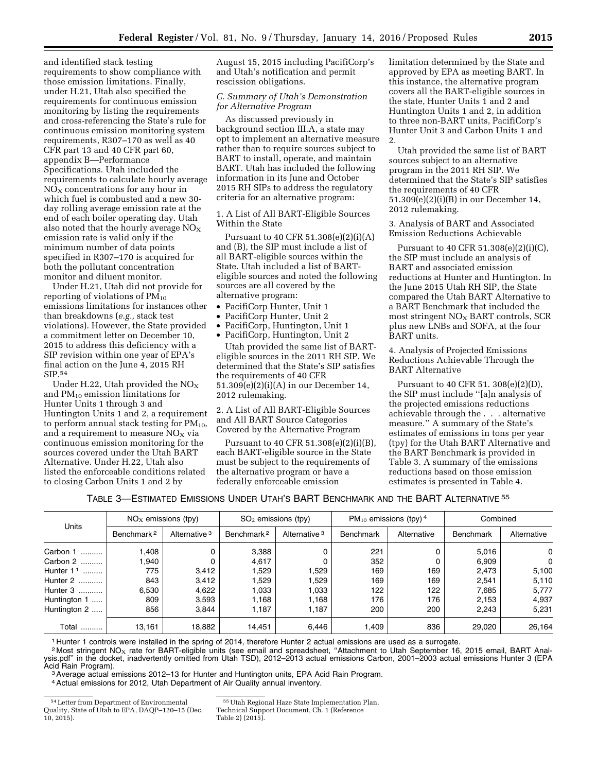and identified stack testing requirements to show compliance with those emission limitations. Finally, under H.21, Utah also specified the requirements for continuous emission monitoring by listing the requirements and cross-referencing the State's rule for continuous emission monitoring system requirements, R307–170 as well as 40 CFR part 13 and 40 CFR part 60, appendix B—Performance Specifications. Utah included the requirements to calculate hourly average  $NO<sub>X</sub>$  concentrations for any hour in which fuel is combusted and a new 30 day rolling average emission rate at the end of each boiler operating day. Utah also noted that the hourly average  $NO<sub>x</sub>$ emission rate is valid only if the minimum number of data points specified in R307–170 is acquired for both the pollutant concentration monitor and diluent monitor.

Under H.21, Utah did not provide for reporting of violations of  $PM_{10}$ emissions limitations for instances other than breakdowns (*e.g.,* stack test violations). However, the State provided a commitment letter on December 10, 2015 to address this deficiency with a SIP revision within one year of EPA's final action on the June 4, 2015 RH SIP.54

Under H.22, Utah provided the  $NO<sub>X</sub>$ and  $PM_{10}$  emission limitations for Hunter Units 1 through 3 and Huntington Units 1 and 2, a requirement to perform annual stack testing for  $PM_{10}$ , and a requirement to measure  $NO<sub>x</sub>$  via continuous emission monitoring for the sources covered under the Utah BART Alternative. Under H.22, Utah also listed the enforceable conditions related to closing Carbon Units 1 and 2 by

August 15, 2015 including PacifiCorp's and Utah's notification and permit rescission obligations.

#### *C. Summary of Utah's Demonstration for Alternative Program*

As discussed previously in background section III.A, a state may opt to implement an alternative measure rather than to require sources subject to BART to install, operate, and maintain BART. Utah has included the following information in its June and October 2015 RH SIPs to address the regulatory criteria for an alternative program:

1. A List of All BART-Eligible Sources Within the State

Pursuant to 40 CFR 51.308(e)(2)(i)(A) and (B), the SIP must include a list of all BART-eligible sources within the State. Utah included a list of BARTeligible sources and noted the following sources are all covered by the alternative program:

- PacifiCorp Hunter, Unit 1
- PacifiCorp Hunter, Unit 2
- PacifiCorp, Huntington, Unit 1

• PacifiCorp, Huntington, Unit 2 Utah provided the same list of BARTeligible sources in the 2011 RH SIP. We determined that the State's SIP satisfies the requirements of 40 CFR 51.309(e)(2)(i)(A) in our December 14, 2012 rulemaking.

2. A List of All BART-Eligible Sources and All BART Source Categories Covered by the Alternative Program

Pursuant to 40 CFR 51.308(e)(2)(i)(B), each BART-eligible source in the State must be subject to the requirements of the alternative program or have a federally enforceable emission

limitation determined by the State and approved by EPA as meeting BART. In this instance, the alternative program covers all the BART-eligible sources in the state, Hunter Units 1 and 2 and Huntington Units 1 and 2, in addition to three non-BART units, PacifiCorp's Hunter Unit 3 and Carbon Units 1 and 2.

Utah provided the same list of BART sources subject to an alternative program in the 2011 RH SIP. We determined that the State's SIP satisfies the requirements of 40 CFR 51.309(e)(2)(i)(B) in our December 14, 2012 rulemaking.

3. Analysis of BART and Associated Emission Reductions Achievable

Pursuant to 40 CFR 51.308(e)(2)(i)(C), the SIP must include an analysis of BART and associated emission reductions at Hunter and Huntington. In the June 2015 Utah RH SIP, the State compared the Utah BART Alternative to a BART Benchmark that included the most stringent  $NO<sub>x</sub>$  BART controls, SCR plus new LNBs and SOFA, at the four BART units.

4. Analysis of Projected Emissions Reductions Achievable Through the BART Alternative

Pursuant to 40 CFR 51. 308(e)(2)(D), the SIP must include ''[a]n analysis of the projected emissions reductions achievable through the . . . alternative measure.'' A summary of the State's estimates of emissions in tons per year (tpy) for the Utah BART Alternative and the BART Benchmark is provided in Table 3. A summary of the emissions reductions based on those emission estimates is presented in Table 4.

| Table 3—Estimated Emissions Under Utah's BART Benchmark and the BART Alternative $^{55}$ |  |  |
|------------------------------------------------------------------------------------------|--|--|
|------------------------------------------------------------------------------------------|--|--|

| <b>Units</b>  | $NO_x$ emissions (tpy) |                          | $SO2$ emissions (tpy)  |                          | $PM_{10}$ emissions (tpy) 4 |             | Combined  |             |
|---------------|------------------------|--------------------------|------------------------|--------------------------|-----------------------------|-------------|-----------|-------------|
|               | Benchmark <sup>2</sup> | Alternative <sup>3</sup> | Benchmark <sup>2</sup> | Alternative <sup>3</sup> | <b>Benchmark</b>            | Alternative | Benchmark | Alternative |
| Carbon 1<br>. | .408                   |                          | 3,388                  |                          | 221                         | 0           | 5,016     | 0           |
| Carbon 2      | .940                   |                          | 4.617                  |                          | 352                         |             | 6,909     | $\Omega$    |
| Hunter $11$   | 775                    | 3,412                    | 1,529                  | 1,529                    | 169                         | 169         | 2,473     | 5,100       |
| Hunter 2      | 843                    | 3,412                    | 1,529                  | 1,529                    | 169                         | 169         | 2,541     | 5,110       |
| Hunter 3      | 6.530                  | 4.622                    | 1.033                  | 1.033                    | 122                         | 122         | 7,685     | 5.777       |
| Huntington 1  | 809                    | 3,593                    | 1.168                  | 1.168                    | 176                         | 176         | 2,153     | 4,937       |
| Huntington 2  | 856                    | 3.844                    | 1.187                  | 1.187                    | 200                         | 200         | 2.243     | 5.231       |
| Total<br>     | 13,161                 | 18,882                   | 14.451                 | 6.446                    | 1.409                       | 836         | 29,020    | 26,164      |

1 Hunter 1 controls were installed in the spring of 2014, therefore Hunter 2 actual emissions are used as a surrogate.

 $2$  Most stringent NO<sub>X</sub> rate for BART-eligible units (see email and spreadsheet, "Attachment to Utah September 16, 2015 email, BART Analysis.pdf'' in the docket, inadvertently omitted from Utah TSD), 2012–2013 actual emissions Carbon, 2001–2003 actual emissions Hunter 3 (EPA<br>Acid Rain Program).

<sup>3</sup> Average actual emissions 2012–13 for Hunter and Huntington units, EPA Acid Rain Program.

4Actual emissions for 2012, Utah Department of Air Quality annual inventory.

<sup>54</sup>Letter from Department of Environmental Quality, State of Utah to EPA, DAQP–120–15 (Dec. 10, 2015).

<sup>55</sup>Utah Regional Haze State Implementation Plan, Technical Support Document, Ch. 1 (Reference

Table 2) (2015).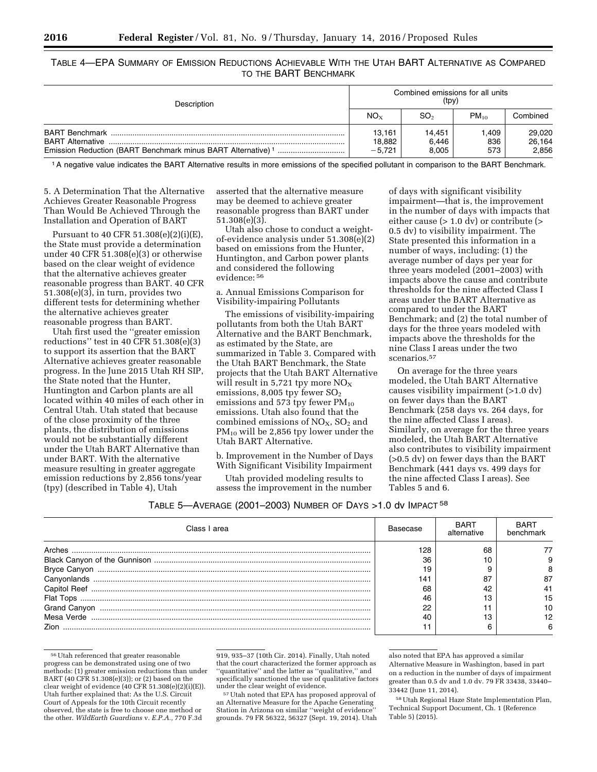TABLE 4—EPA SUMMARY OF EMISSION REDUCTIONS ACHIEVABLE WITH THE UTAH BART ALTERNATIVE AS COMPARED TO THE BART BENCHMARK

| Description                                                                                        | Combined emissions for all units<br>(tpy) |                          |                    |                           |  |
|----------------------------------------------------------------------------------------------------|-------------------------------------------|--------------------------|--------------------|---------------------------|--|
|                                                                                                    |                                           | SO <sub>2</sub>          | $PM_{10}$          | Combined                  |  |
| <b>BART Alternative</b><br>Emission Reduction (BART Benchmark minus BART Alternative) <sup>1</sup> | 13,161<br>18,882<br>$-5.721$              | 14.451<br>6,446<br>8.005 | .409<br>836<br>573 | 29,020<br>26,164<br>2,856 |  |

1A negative value indicates the BART Alternative results in more emissions of the specified pollutant in comparison to the BART Benchmark.

5. A Determination That the Alternative Achieves Greater Reasonable Progress Than Would Be Achieved Through the Installation and Operation of BART

Pursuant to 40 CFR 51.308(e)(2)(i)(E), the State must provide a determination under 40 CFR 51.308(e)(3) or otherwise based on the clear weight of evidence that the alternative achieves greater reasonable progress than BART. 40 CFR 51.308(e)(3), in turn, provides two different tests for determining whether the alternative achieves greater reasonable progress than BART.

Utah first used the ''greater emission reductions'' test in 40 CFR 51.308(e)(3) to support its assertion that the BART Alternative achieves greater reasonable progress. In the June 2015 Utah RH SIP, the State noted that the Hunter, Huntington and Carbon plants are all located within 40 miles of each other in Central Utah. Utah stated that because of the close proximity of the three plants, the distribution of emissions would not be substantially different under the Utah BART Alternative than under BART. With the alternative measure resulting in greater aggregate emission reductions by 2,856 tons/year (tpy) (described in Table 4), Utah

asserted that the alternative measure may be deemed to achieve greater reasonable progress than BART under 51.308(e)(3).

Utah also chose to conduct a weightof-evidence analysis under 51.308(e)(2) based on emissions from the Hunter, Huntington, and Carbon power plants and considered the following evidence: 56

a. Annual Emissions Comparison for Visibility-impairing Pollutants

The emissions of visibility-impairing pollutants from both the Utah BART Alternative and the BART Benchmark, as estimated by the State, are summarized in Table 3. Compared with the Utah BART Benchmark, the State projects that the Utah BART Alternative will result in 5,721 tpy more  $NO<sub>x</sub>$ emissions, 8,005 tpy fewer  $SO<sub>2</sub>$ emissions and 573 tpy fewer  $PM_{10}$ emissions. Utah also found that the combined emissions of  $NO<sub>x</sub>$ ,  $SO<sub>2</sub>$  and PM10 will be 2,856 tpy lower under the Utah BART Alternative.

b. Improvement in the Number of Days With Significant Visibility Impairment

Utah provided modeling results to assess the improvement in the number

of days with significant visibility impairment—that is, the improvement in the number of days with impacts that either cause  $(>1.0 \mathrm{dv})$  or contribute  $(>$ 0.5 dv) to visibility impairment. The State presented this information in a number of ways, including: (1) the average number of days per year for three years modeled (2001–2003) with impacts above the cause and contribute thresholds for the nine affected Class I areas under the BART Alternative as compared to under the BART Benchmark; and (2) the total number of days for the three years modeled with impacts above the thresholds for the nine Class I areas under the two scenarios.57

On average for the three years modeled, the Utah BART Alternative causes visibility impairment (>1.0 dv) on fewer days than the BART Benchmark (258 days vs. 264 days, for the nine affected Class I areas). Similarly, on average for the three years modeled, the Utah BART Alternative also contributes to visibility impairment (>0.5 dv) on fewer days than the BART Benchmark (441 days vs. 499 days for the nine affected Class I areas). See Tables 5 and 6.

| Class I area | Basecase | <b>BART</b><br>alternative | <b>BART</b><br>benchmark |
|--------------|----------|----------------------------|--------------------------|
|              | 128      | 68                         |                          |
|              | 36       |                            |                          |
|              | 19       |                            |                          |
|              | 14۰      | $\circ$                    |                          |
|              | 68       |                            |                          |
|              | 46       |                            | 5                        |
| Grand Canyon | 22       |                            |                          |
|              | 40       |                            |                          |
| 7ion         |          |                            |                          |

<sup>56</sup>Utah referenced that greater reasonable progress can be demonstrated using one of two methods: (1) greater emission reductions than under BART (40 CFR 51.308(e)(3)); or (2) based on the clear weight of evidence (40 CFR 51.308(e)(2)(i)(E)). Utah further explained that: As the U.S. Circuit Court of Appeals for the 10th Circuit recently observed, the state is free to choose one method or the other. *WildEarth Guardians* v. *E.P.A.,* 770 F.3d

919, 935–37 (10th Cir. 2014). Finally, Utah noted that the court characterized the former approach as ''quantitative'' and the latter as ''qualitative,'' and specifically sanctioned the use of qualitative factors

<sup>57</sup> Utah noted that EPA has proposed approval of an Alternative Measure for the Apache Generating Station in Arizona on similar ''weight of evidence'' grounds. 79 FR 56322, 56327 (Sept. 19, 2014). Utah

also noted that EPA has approved a similar Alternative Measure in Washington, based in part on a reduction in the number of days of impairment greater than 0.5 dv and 1.0 dv. 79 FR 33438, 33440– 33442 (June 11, 2014).

58Utah Regional Haze State Implementation Plan, Technical Support Document, Ch. 1 (Reference Table 5) (2015).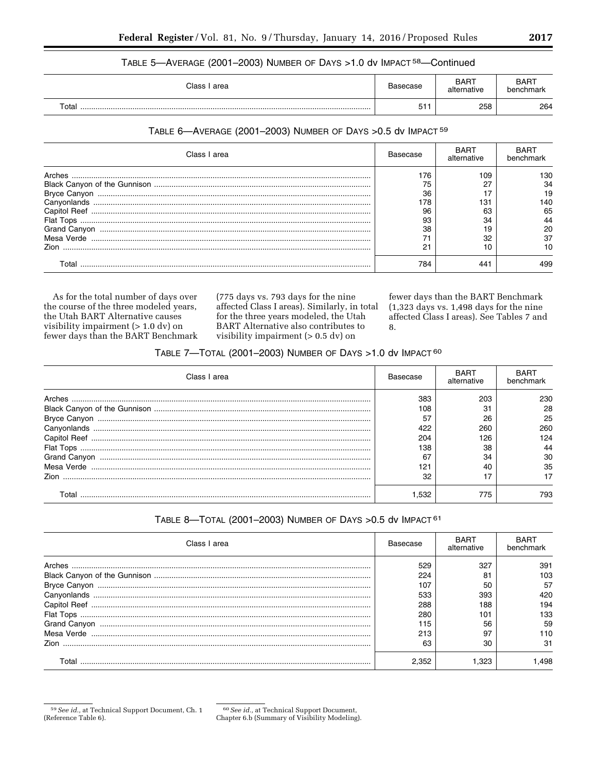## TABLE 5-AVERAGE (2001-2003) NUMBER OF DAYS >1.0 dv IMPACT 58-Continued

| Class I | Basecase | <b>BART</b> | <b>BART</b> |
|---------|----------|-------------|-------------|
| area    |          | alternative | benchmark   |
| Total   | 51<br>ບ⊩ | 258         | 264         |

#### TABLE 6-AVERAGE (2001-2003) NUMBER OF DAYS > 0.5 dv IMPACT 59

| Class I area | Basecase | BART<br>alternative | <b>BART</b><br>henchmark |
|--------------|----------|---------------------|--------------------------|
| Arches       | 176      | 109                 | 130                      |
|              | 75       | דר                  | 34                       |
|              | 36       |                     | 19                       |
|              | 178      | 131                 | 140                      |
|              | 96       | 63                  | 65                       |
|              | 93       | 34                  | 44                       |
|              | 38       |                     | 20                       |
|              |          | 32                  | 37                       |
| <b>Zion</b>  | 21       |                     |                          |
| Total        | 784      | 441                 | 499                      |

As for the total number of days over the course of the three modeled years, the Utah BART Alternative causes visibility impairment  $(> 1.0 \text{ dv})$  on fewer days than the BART Benchmark (775 days vs. 793 days for the nine affected Class I areas). Similarly, in total for the three years modeled, the Utah BART Alternative also contributes to visibility impairment  $(> 0.5 \, \text{dv})$  on

fewer days than the BART Benchmark  $(1,323$  days vs. 1,498 days for the nine affected Class I areas). See Tables 7 and 8.

## TABLE 7-TOTAL (2001-2003) NUMBER OF DAYS > 1.0 dv IMPACT 60

| Class I area | Basecase | <b>BART</b><br>alternative | <b>BART</b><br>benchmark |
|--------------|----------|----------------------------|--------------------------|
| Arches       | 383      | 203                        | 230                      |
|              | 108      | 31                         | 28                       |
|              | 57       | 26                         | 25                       |
|              | 422      | 260                        | 260                      |
|              | 204      | 126                        | 124                      |
|              | 138      | 38                         | 44                       |
|              | 67       | 34                         | 30                       |
|              | 121      | 40                         | 35                       |
| Zion.        | 32       |                            |                          |
| Total        | .532     | 775                        | 793                      |

## TABLE 8-TOTAL (2001-2003) NUMBER OF DAYS > 0.5 dv IMPACT 61

| Class I area | Basecase | <b>BART</b><br>alternative | <b>BART</b><br>benchmark |
|--------------|----------|----------------------------|--------------------------|
| Arches       | 529      | 327                        | 391                      |
|              | 224      | 81                         | 103                      |
|              | 107      | 50                         | 57                       |
|              | 533      | 393                        | 420                      |
|              | 288      | 188                        | 194                      |
|              | 280      | 101                        | 133                      |
|              | 115      | 56                         | 59                       |
|              | 213      | 67                         | 110                      |
| <b>Zion</b>  | 63       | 30                         | 31                       |
| Total        | 2.352    |                            | .498                     |

<sup>&</sup>lt;sup>59</sup> See id., at Technical Support Document, Ch. 1 (Reference Table 6).

<sup>&</sup>lt;sup>60</sup> See id., at Technical Support Document, Chapter 6.b (Summary of Visibility Modeling).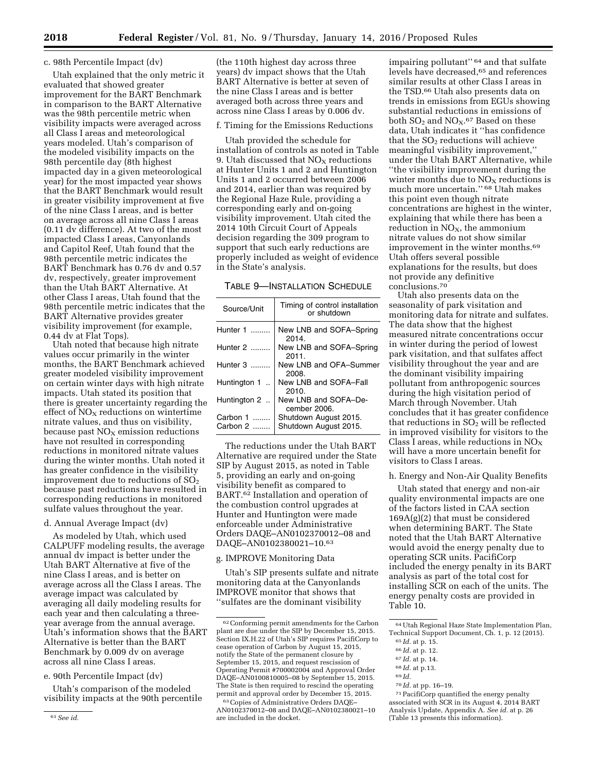#### c. 98th Percentile Impact (dv)

Utah explained that the only metric it evaluated that showed greater improvement for the BART Benchmark in comparison to the BART Alternative was the 98th percentile metric when visibility impacts were averaged across all Class I areas and meteorological years modeled. Utah's comparison of the modeled visibility impacts on the 98th percentile day (8th highest impacted day in a given meteorological year) for the most impacted year shows that the BART Benchmark would result in greater visibility improvement at five of the nine Class I areas, and is better on average across all nine Class I areas (0.11 dv difference). At two of the most impacted Class I areas, Canyonlands and Capitol Reef, Utah found that the 98th percentile metric indicates the BART Benchmark has 0.76 dv and 0.57 dv, respectively, greater improvement than the Utah BART Alternative. At other Class I areas, Utah found that the 98th percentile metric indicates that the BART Alternative provides greater visibility improvement (for example, 0.44 dv at Flat Tops).

Utah noted that because high nitrate values occur primarily in the winter months, the BART Benchmark achieved greater modeled visibility improvement on certain winter days with high nitrate impacts. Utah stated its position that there is greater uncertainty regarding the effect of  $NO<sub>x</sub>$  reductions on wintertime nitrate values, and thus on visibility, because past  $NO<sub>x</sub>$  emission reductions have not resulted in corresponding reductions in monitored nitrate values during the winter months. Utah noted it has greater confidence in the visibility improvement due to reductions of  $SO<sub>2</sub>$ because past reductions have resulted in corresponding reductions in monitored sulfate values throughout the year.

#### d. Annual Average Impact (dv)

As modeled by Utah, which used CALPUFF modeling results, the average annual dv impact is better under the Utah BART Alternative at five of the nine Class I areas, and is better on average across all the Class I areas. The average impact was calculated by averaging all daily modeling results for each year and then calculating a threeyear average from the annual average. Utah's information shows that the BART Alternative is better than the BART Benchmark by 0.009 dv on average across all nine Class I areas.

## e. 90th Percentile Impact (dv)

Utah's comparison of the modeled visibility impacts at the 90th percentile

#### f. Timing for the Emissions Reductions

Utah provided the schedule for installation of controls as noted in Table 9. Utah discussed that  $NO<sub>X</sub>$  reductions at Hunter Units 1 and 2 and Huntington Units 1 and 2 occurred between 2006 and 2014, earlier than was required by the Regional Haze Rule, providing a corresponding early and on-going visibility improvement. Utah cited the 2014 10th Circuit Court of Appeals decision regarding the 309 program to support that such early reductions are properly included as weight of evidence in the State's analysis.

#### TABLE 9—INSTALLATION SCHEDULE

| Source/Unit          | Timing of control installation<br>or shutdown |
|----------------------|-----------------------------------------------|
| Hunter 1             | New LNB and SOFA-Spring<br>2014.              |
| Hunter 2             | New LNB and SOFA-Spring<br>2011.              |
| Hunter 3             | New LNB and OFA-Summer<br>2008.               |
| Huntington 1.        | New LNB and SOFA-Fall<br>2010.                |
| Huntington 2.        | New LNB and SOFA-De-<br>cember 2006.          |
| Carbon 1<br>$\cdots$ | Shutdown August 2015.                         |
| Carbon 2             | Shutdown August 2015.                         |

The reductions under the Utah BART Alternative are required under the State SIP by August 2015, as noted in Table 5, providing an early and on-going visibility benefit as compared to BART.62 Installation and operation of the combustion control upgrades at Hunter and Huntington were made enforceable under Administrative Orders DAQE–AN0102370012–08 and DAQE–AN0102380021–10.63

## g. IMPROVE Monitoring Data

Utah's SIP presents sulfate and nitrate monitoring data at the Canyonlands IMPROVE monitor that shows that ''sulfates are the dominant visibility

impairing pollutant'' 64 and that sulfate levels have decreased,<sup>65</sup> and references similar results at other Class I areas in the TSD.66 Utah also presents data on trends in emissions from EGUs showing substantial reductions in emissions of both  $SO_2$  and  $NO_X$ .<sup>67</sup> Based on these data, Utah indicates it ''has confidence that the  $SO<sub>2</sub>$  reductions will achieve meaningful visibility improvement,'' under the Utah BART Alternative, while ''the visibility improvement during the winter months due to  $NO<sub>x</sub>$  reductions is much more uncertain.'' 68 Utah makes this point even though nitrate concentrations are highest in the winter, explaining that while there has been a reduction in  $NO<sub>x</sub>$ , the ammonium nitrate values do not show similar improvement in the winter months.69 Utah offers several possible explanations for the results, but does not provide any definitive conclusions.70

Utah also presents data on the seasonality of park visitation and monitoring data for nitrate and sulfates. The data show that the highest measured nitrate concentrations occur in winter during the period of lowest park visitation, and that sulfates affect visibility throughout the year and are the dominant visibility impairing pollutant from anthropogenic sources during the high visitation period of March through November. Utah concludes that it has greater confidence that reductions in  $SO<sub>2</sub>$  will be reflected in improved visibility for visitors to the Class I areas, while reductions in  $NO<sub>x</sub>$ will have a more uncertain benefit for visitors to Class I areas.

## h. Energy and Non-Air Quality Benefits

Utah stated that energy and non-air quality environmental impacts are one of the factors listed in CAA section 169A(g)(2) that must be considered when determining BART. The State noted that the Utah BART Alternative would avoid the energy penalty due to operating SCR units. PacifiCorp included the energy penalty in its BART analysis as part of the total cost for installing SCR on each of the units. The energy penalty costs are provided in Table 10.

71PacifiCorp quantified the energy penalty associated with SCR in its August 4, 2014 BART Analysis Update, Appendix A. *See id.* at p. 26 (Table 13 presents this information).

<sup>(</sup>the 110th highest day across three years) dv impact shows that the Utah BART Alternative is better at seven of the nine Class I areas and is better averaged both across three years and across nine Class I areas by 0.006 dv.

<sup>62</sup>Conforming permit amendments for the Carbon plant are due under the SIP by December 15, 2015. Section IX.H.22 of Utah's SIP requires PacifiCorp to cease operation of Carbon by August 15, 2015, notify the State of the permanent closure by September 15, 2015, and request rescission of Operating Permit #700002004 and Approval Order DAQE–AN0100810005–08 by September 15, 2015. The State is then required to rescind the operating permit and approval order by December 15, 2015.

<sup>63</sup>Copies of Administrative Orders DAQE– AN0102370012–08 and DAQE–AN0102380021–10 are included in the docket.

<sup>64</sup>Utah Regional Haze State Implementation Plan, Technical Support Document, Ch. 1, p. 12 (2015).

<sup>65</sup> *Id.* at p. 15.

<sup>66</sup> *Id.* at p. 12. 67 *Id.* at p. 14.

<sup>68</sup> *Id.* at p.13.

<sup>69</sup> *Id.* 

<sup>70</sup> *Id.* at pp. 16–19.

<sup>61</sup>*See id.*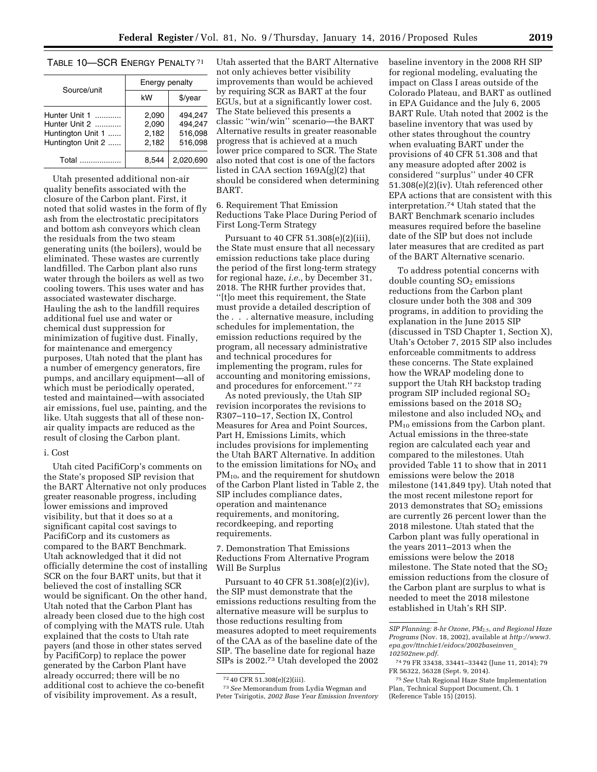## TABLE 10—SCR ENERGY PENALTY 71

| Source/unit                                                              | Energy penalty                   |                                          |  |  |
|--------------------------------------------------------------------------|----------------------------------|------------------------------------------|--|--|
|                                                                          | kW                               | \$/year                                  |  |  |
| Hunter Unit 1<br>Hunter Unit 2<br>Huntington Unit 1<br>Huntington Unit 2 | 2.090<br>2,090<br>2,182<br>2.182 | 494.247<br>494.247<br>516.098<br>516.098 |  |  |
| Total<br>. <b>.</b>                                                      | 8.544                            | 2.020.690                                |  |  |

Utah presented additional non-air quality benefits associated with the closure of the Carbon plant. First, it noted that solid wastes in the form of fly ash from the electrostatic precipitators and bottom ash conveyors which clean the residuals from the two steam generating units (the boilers), would be eliminated. These wastes are currently landfilled. The Carbon plant also runs water through the boilers as well as two cooling towers. This uses water and has associated wastewater discharge. Hauling the ash to the landfill requires additional fuel use and water or chemical dust suppression for minimization of fugitive dust. Finally, for maintenance and emergency purposes, Utah noted that the plant has a number of emergency generators, fire pumps, and ancillary equipment—all of which must be periodically operated, tested and maintained—with associated air emissions, fuel use, painting, and the like. Utah suggests that all of these nonair quality impacts are reduced as the result of closing the Carbon plant.

#### i. Cost

Utah cited PacifiCorp's comments on the State's proposed SIP revision that the BART Alternative not only produces greater reasonable progress, including lower emissions and improved visibility, but that it does so at a significant capital cost savings to PacifiCorp and its customers as compared to the BART Benchmark. Utah acknowledged that it did not officially determine the cost of installing SCR on the four BART units, but that it believed the cost of installing SCR would be significant. On the other hand, Utah noted that the Carbon Plant has already been closed due to the high cost of complying with the MATS rule. Utah explained that the costs to Utah rate payers (and those in other states served by PacifiCorp) to replace the power generated by the Carbon Plant have already occurred; there will be no additional cost to achieve the co-benefit of visibility improvement. As a result,

Utah asserted that the BART Alternative not only achieves better visibility improvements than would be achieved by requiring SCR as BART at the four EGUs, but at a significantly lower cost. The State believed this presents a classic ''win/win'' scenario—the BART Alternative results in greater reasonable progress that is achieved at a much lower price compared to SCR. The State also noted that cost is one of the factors listed in CAA section 169A(g)(2) that should be considered when determining BART.

6. Requirement That Emission Reductions Take Place During Period of First Long-Term Strategy

Pursuant to 40 CFR 51.308(e)(2)(iii), the State must ensure that all necessary emission reductions take place during the period of the first long-term strategy for regional haze, *i.e.,* by December 31, 2018. The RHR further provides that, ''[t]o meet this requirement, the State must provide a detailed description of the . . . alternative measure, including schedules for implementation, the emission reductions required by the program, all necessary administrative and technical procedures for implementing the program, rules for accounting and monitoring emissions, and procedures for enforcement.'' 72

As noted previously, the Utah SIP revision incorporates the revisions to R307–110–17, Section IX, Control Measures for Area and Point Sources, Part H, Emissions Limits, which includes provisions for implementing the Utah BART Alternative. In addition to the emission limitations for  $NO<sub>x</sub>$  and PM10, and the requirement for shutdown of the Carbon Plant listed in Table 2, the SIP includes compliance dates, operation and maintenance requirements, and monitoring, recordkeeping, and reporting requirements.

7. Demonstration That Emissions Reductions From Alternative Program Will Be Surplus

Pursuant to 40 CFR 51.308(e)(2)(iv), the SIP must demonstrate that the emissions reductions resulting from the alternative measure will be surplus to those reductions resulting from measures adopted to meet requirements of the CAA as of the baseline date of the SIP. The baseline date for regional haze SIPs is 2002.73 Utah developed the 2002

73*See* Memorandum from Lydia Wegman and Peter Tsirigotis, *2002 Base Year Emission Inventory*  baseline inventory in the 2008 RH SIP for regional modeling, evaluating the impact on Class I areas outside of the Colorado Plateau, and BART as outlined in EPA Guidance and the July 6, 2005 BART Rule. Utah noted that 2002 is the baseline inventory that was used by other states throughout the country when evaluating BART under the provisions of 40 CFR 51.308 and that any measure adopted after 2002 is considered ''surplus'' under 40 CFR 51.308(e)(2)(iv). Utah referenced other EPA actions that are consistent with this interpretation.74 Utah stated that the BART Benchmark scenario includes measures required before the baseline date of the SIP but does not include later measures that are credited as part of the BART Alternative scenario.

To address potential concerns with double counting  $SO<sub>2</sub>$  emissions reductions from the Carbon plant closure under both the 308 and 309 programs, in addition to providing the explanation in the June 2015 SIP (discussed in TSD Chapter 1, Section X), Utah's October 7, 2015 SIP also includes enforceable commitments to address these concerns. The State explained how the WRAP modeling done to support the Utah RH backstop trading program SIP included regional  $SO<sub>2</sub>$ emissions based on the 2018  $SO<sub>2</sub>$ milestone and also included  $NO<sub>x</sub>$  and PM<sub>10</sub> emissions from the Carbon plant. Actual emissions in the three-state region are calculated each year and compared to the milestones. Utah provided Table 11 to show that in 2011 emissions were below the 2018 milestone (141,849 tpy). Utah noted that the most recent milestone report for 2013 demonstrates that  $SO<sub>2</sub>$  emissions are currently 26 percent lower than the 2018 milestone. Utah stated that the Carbon plant was fully operational in the years 2011–2013 when the emissions were below the 2018 milestone. The State noted that the  $SO<sub>2</sub>$ emission reductions from the closure of the Carbon plant are surplus to what is needed to meet the 2018 milestone established in Utah's RH SIP.

<sup>72</sup> 40 CFR 51.308(e)(2)(iii).

*SIP Planning: 8-hr Ozone, PM*2.5, *and Regional Haze Programs* (Nov. 18, 2002), available at *[http://www3.](http://www3.epa.gov/ttnchie1/eidocs/2002baseinven_102502new.pdf) [epa.gov/ttnchie1/eidocs/2002baseinven](http://www3.epa.gov/ttnchie1/eidocs/2002baseinven_102502new.pdf)*\_ *[102502new.pdf.](http://www3.epa.gov/ttnchie1/eidocs/2002baseinven_102502new.pdf)* 

<sup>74</sup> 79 FR 33438, 33441–33442 (June 11, 2014); 79 FR 56322, 56328 (Sept. 9, 2014).

<sup>75</sup>*See* Utah Regional Haze State Implementation Plan, Technical Support Document, Ch. 1 (Reference Table 15) (2015).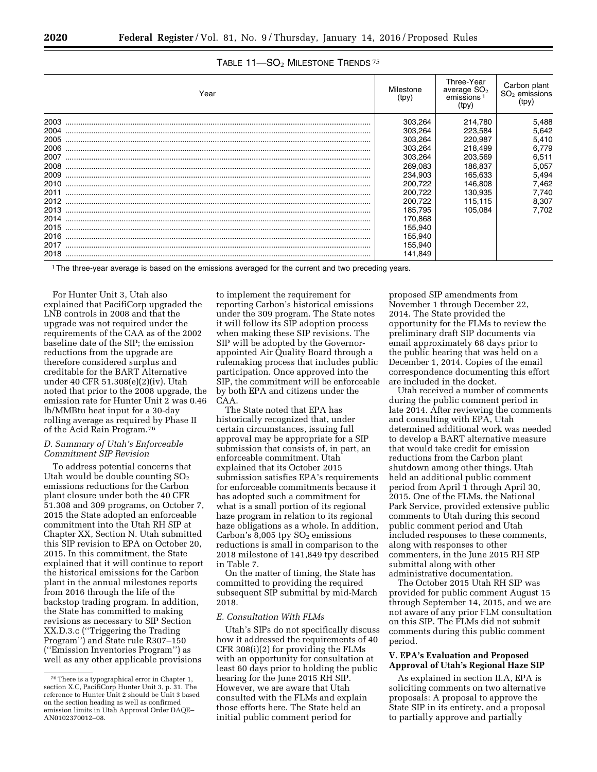| Year | Milestone<br>(tpy) | Three-Year<br>average SO <sub>2</sub><br>emissions <sup>1</sup><br>(tpy) | Carbon plant<br>$SO2$ emissions<br>(tpy) |
|------|--------------------|--------------------------------------------------------------------------|------------------------------------------|
| 2003 | 303,264            | 214,780                                                                  | 5,488                                    |
| 2004 | 303.264            | 223,584                                                                  | 5,642                                    |
| 2005 | 303,264            | 220,987                                                                  | 5,410                                    |
| 2006 | 303.264            | 218,499                                                                  | 6,779                                    |
| 2007 | 303.264            | 203,569                                                                  | 6,511                                    |
| 2008 | 269,083            | 186,837                                                                  | 5,057                                    |
| 2009 | 234.903            | 165.633                                                                  | 5,494                                    |
| 2010 | 200,722            | 146,808                                                                  | 7,462                                    |
| 2011 | 200,722            | 130,935                                                                  | 7,740                                    |
| 2012 | 200,722            | 115,115                                                                  | 8,307                                    |
| 2013 | 185.795            | 105.084                                                                  | 7.702                                    |
| 2014 | 170,868            |                                                                          |                                          |
| 2015 | 155,940            |                                                                          |                                          |
| 2016 | 155,940            |                                                                          |                                          |
| 2017 | 155,940            |                                                                          |                                          |
| 2018 | 141,849            |                                                                          |                                          |

## TABLE 11-SO<sub>2</sub> MILESTONE TRENDS<sup>75</sup>

1The three-year average is based on the emissions averaged for the current and two preceding years.

For Hunter Unit 3, Utah also explained that PacifiCorp upgraded the LNB controls in 2008 and that the upgrade was not required under the requirements of the CAA as of the 2002 baseline date of the SIP; the emission reductions from the upgrade are therefore considered surplus and creditable for the BART Alternative under 40 CFR 51.308(e)(2)(iv). Utah noted that prior to the 2008 upgrade, the emission rate for Hunter Unit 2 was 0.46 lb/MMBtu heat input for a 30-day rolling average as required by Phase II of the Acid Rain Program.76

## *D. Summary of Utah's Enforceable Commitment SIP Revision*

To address potential concerns that Utah would be double counting  $SO<sub>2</sub>$ emissions reductions for the Carbon plant closure under both the 40 CFR 51.308 and 309 programs, on October 7, 2015 the State adopted an enforceable commitment into the Utah RH SIP at Chapter XX, Section N. Utah submitted this SIP revision to EPA on October 20, 2015. In this commitment, the State explained that it will continue to report the historical emissions for the Carbon plant in the annual milestones reports from 2016 through the life of the backstop trading program. In addition, the State has committed to making revisions as necessary to SIP Section XX.D.3.c (''Triggering the Trading Program'') and State rule R307–150 (''Emission Inventories Program'') as well as any other applicable provisions

to implement the requirement for reporting Carbon's historical emissions under the 309 program. The State notes it will follow its SIP adoption process when making these SIP revisions. The SIP will be adopted by the Governorappointed Air Quality Board through a rulemaking process that includes public participation. Once approved into the SIP, the commitment will be enforceable by both EPA and citizens under the CAA.

The State noted that EPA has historically recognized that, under certain circumstances, issuing full approval may be appropriate for a SIP submission that consists of, in part, an enforceable commitment. Utah explained that its October 2015 submission satisfies EPA's requirements for enforceable commitments because it has adopted such a commitment for what is a small portion of its regional haze program in relation to its regional haze obligations as a whole. In addition, Carbon's 8,005 tpy  $SO<sub>2</sub>$  emissions reductions is small in comparison to the 2018 milestone of 141,849 tpy described in Table 7.

On the matter of timing, the State has committed to providing the required subsequent SIP submittal by mid-March 2018.

## *E. Consultation With FLMs*

Utah's SIPs do not specifically discuss how it addressed the requirements of 40 CFR 308(i)(2) for providing the FLMs with an opportunity for consultation at least 60 days prior to holding the public hearing for the June 2015 RH SIP. However, we are aware that Utah consulted with the FLMs and explain those efforts here. The State held an initial public comment period for

proposed SIP amendments from November 1 through December 22, 2014. The State provided the opportunity for the FLMs to review the preliminary draft SIP documents via email approximately 68 days prior to the public hearing that was held on a December 1, 2014. Copies of the email correspondence documenting this effort are included in the docket.

Utah received a number of comments during the public comment period in late 2014. After reviewing the comments and consulting with EPA, Utah determined additional work was needed to develop a BART alternative measure that would take credit for emission reductions from the Carbon plant shutdown among other things. Utah held an additional public comment period from April 1 through April 30, 2015. One of the FLMs, the National Park Service, provided extensive public comments to Utah during this second public comment period and Utah included responses to these comments, along with responses to other commenters, in the June 2015 RH SIP submittal along with other administrative documentation.

The October 2015 Utah RH SIP was provided for public comment August 15 through September 14, 2015, and we are not aware of any prior FLM consultation on this SIP. The FLMs did not submit comments during this public comment period.

## **V. EPA's Evaluation and Proposed Approval of Utah's Regional Haze SIP**

As explained in section II.A, EPA is soliciting comments on two alternative proposals: A proposal to approve the State SIP in its entirety, and a proposal to partially approve and partially

<sup>76</sup>There is a typographical error in Chapter 1, section X.C, PacifiCorp Hunter Unit 3, p. 31. The reference to Hunter Unit 2 should be Unit 3 based on the section heading as well as confirmed emission limits in Utah Approval Order DAQE– AN0102370012–08.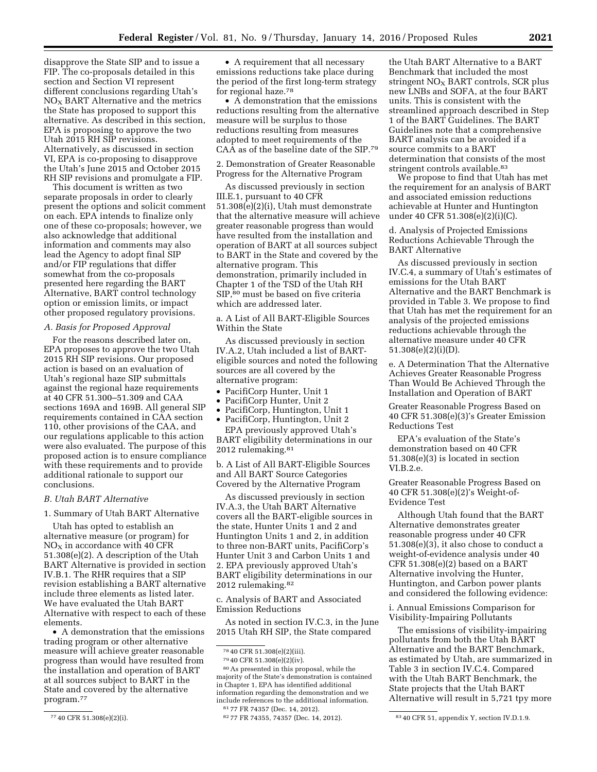disapprove the State SIP and to issue a FIP. The co-proposals detailed in this section and Section VI represent different conclusions regarding Utah's  $NO<sub>x</sub>$  BART Alternative and the metrics the State has proposed to support this alternative. As described in this section, EPA is proposing to approve the two Utah 2015 RH SIP revisions. Alternatively, as discussed in section VI, EPA is co-proposing to disapprove the Utah's June 2015 and October 2015 RH SIP revisions and promulgate a FIP.

This document is written as two separate proposals in order to clearly present the options and solicit comment on each. EPA intends to finalize only one of these co-proposals; however, we also acknowledge that additional information and comments may also lead the Agency to adopt final SIP and/or FIP regulations that differ somewhat from the co-proposals presented here regarding the BART Alternative, BART control technology option or emission limits, or impact other proposed regulatory provisions.

#### *A. Basis for Proposed Approval*

For the reasons described later on, EPA proposes to approve the two Utah 2015 RH SIP revisions. Our proposed action is based on an evaluation of Utah's regional haze SIP submittals against the regional haze requirements at 40 CFR 51.300–51.309 and CAA sections 169A and 169B. All general SIP requirements contained in CAA section 110, other provisions of the CAA, and our regulations applicable to this action were also evaluated. The purpose of this proposed action is to ensure compliance with these requirements and to provide additional rationale to support our conclusions.

## *B. Utah BART Alternative*

1. Summary of Utah BART Alternative

Utah has opted to establish an alternative measure (or program) for  $NO<sub>x</sub>$  in accordance with 40 CFR 51.308(e)(2). A description of the Utah BART Alternative is provided in section IV.B.1. The RHR requires that a SIP revision establishing a BART alternative include three elements as listed later. We have evaluated the Utah BART Alternative with respect to each of these elements.

• A demonstration that the emissions trading program or other alternative measure will achieve greater reasonable progress than would have resulted from the installation and operation of BART at all sources subject to BART in the State and covered by the alternative program.77

• A requirement that all necessary emissions reductions take place during the period of the first long-term strategy for regional haze.78

• A demonstration that the emissions reductions resulting from the alternative measure will be surplus to those reductions resulting from measures adopted to meet requirements of the CAA as of the baseline date of the SIP.79

2. Demonstration of Greater Reasonable Progress for the Alternative Program

As discussed previously in section III.E.1, pursuant to 40 CFR 51.308(e)(2)(i), Utah must demonstrate that the alternative measure will achieve greater reasonable progress than would have resulted from the installation and operation of BART at all sources subject to BART in the State and covered by the alternative program. This demonstration, primarily included in Chapter 1 of the TSD of the Utah RH SIP,<sup>80</sup> must be based on five criteria which are addressed later.

a. A List of All BART-Eligible Sources Within the State

As discussed previously in section IV.A.2, Utah included a list of BARTeligible sources and noted the following sources are all covered by the alternative program:

- PacifiCorp Hunter, Unit 1
- PacifiCorp Hunter, Unit 2
- PacifiCorp, Huntington, Unit 1 • PacifiCorp, Huntington, Unit 2
- 

EPA previously approved Utah's BART eligibility determinations in our 2012 rulemaking.81

b. A List of All BART-Eligible Sources and All BART Source Categories Covered by the Alternative Program

As discussed previously in section IV.A.3, the Utah BART Alternative covers all the BART-eligible sources in the state, Hunter Units 1 and 2 and Huntington Units 1 and 2, in addition to three non-BART units, PacifiCorp's Hunter Unit 3 and Carbon Units 1 and 2. EPA previously approved Utah's BART eligibility determinations in our 2012 rulemaking.82

c. Analysis of BART and Associated Emission Reductions

As noted in section IV.C.3, in the June 2015 Utah RH SIP, the State compared

80As presented in this proposal, while the majority of the State's demonstration is contained in Chapter 1, EPA has identified additional information regarding the demonstration and we include references to the additional information.

the Utah BART Alternative to a BART Benchmark that included the most stringent  $NO<sub>x</sub>$  BART controls, SCR plus new LNBs and SOFA, at the four BART units. This is consistent with the streamlined approach described in Step 1 of the BART Guidelines. The BART Guidelines note that a comprehensive BART analysis can be avoided if a source commits to a BART determination that consists of the most stringent controls available.83

We propose to find that Utah has met the requirement for an analysis of BART and associated emission reductions achievable at Hunter and Huntington under 40 CFR 51.308(e)(2)(i)(C).

d. Analysis of Projected Emissions Reductions Achievable Through the BART Alternative

As discussed previously in section IV.C.4, a summary of Utah's estimates of emissions for the Utah BART Alternative and the BART Benchmark is provided in Table 3. We propose to find that Utah has met the requirement for an analysis of the projected emissions reductions achievable through the alternative measure under 40 CFR 51.308(e)(2)(i)(D).

e. A Determination That the Alternative Achieves Greater Reasonable Progress Than Would Be Achieved Through the Installation and Operation of BART

Greater Reasonable Progress Based on 40 CFR 51.308(e)(3)'s Greater Emission Reductions Test

EPA's evaluation of the State's demonstration based on 40 CFR 51.308(e)(3) is located in section VI.B.2.e.

Greater Reasonable Progress Based on 40 CFR 51.308(e)(2)'s Weight-of-Evidence Test

Although Utah found that the BART Alternative demonstrates greater reasonable progress under 40 CFR 51.308(e)(3), it also chose to conduct a weight-of-evidence analysis under 40 CFR 51.308(e)(2) based on a BART Alternative involving the Hunter, Huntington, and Carbon power plants and considered the following evidence:

i. Annual Emissions Comparison for Visibility-Impairing Pollutants

The emissions of visibility-impairing pollutants from both the Utah BART Alternative and the BART Benchmark, as estimated by Utah, are summarized in Table 3 in section IV.C.4. Compared with the Utah BART Benchmark, the State projects that the Utah BART Alternative will result in 5,721 tpy more

<sup>77</sup> 40 CFR 51.308(e)(2)(i).

<sup>78</sup> 40 CFR 51.308(e)(2)(iii).

<sup>79</sup> 40 CFR 51.308(e)(2)(iv).

<sup>81 77</sup> FR 74357 (Dec. 14, 2012).<br>82 77 FR 74355, 74357 (Dec. 14, 2012).

<sup>83 40</sup> CFR 51, appendix Y, section IV.D.1.9.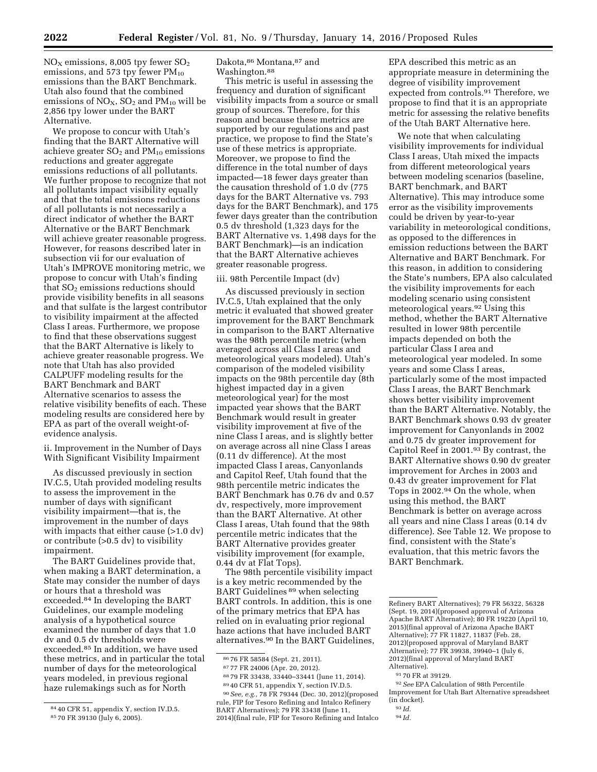$NO<sub>X</sub>$  emissions, 8,005 tpy fewer  $SO<sub>2</sub>$ emissions, and 573 tpy fewer  $PM_{10}$ emissions than the BART Benchmark. Utah also found that the combined emissions of  $NO<sub>X</sub>$ ,  $SO<sub>2</sub>$  and  $PM<sub>10</sub>$  will be 2,856 tpy lower under the BART Alternative.

We propose to concur with Utah's finding that the BART Alternative will achieve greater  $SO<sub>2</sub>$  and  $PM<sub>10</sub>$  emissions reductions and greater aggregate emissions reductions of all pollutants. We further propose to recognize that not all pollutants impact visibility equally and that the total emissions reductions of all pollutants is not necessarily a direct indicator of whether the BART Alternative or the BART Benchmark will achieve greater reasonable progress. However, for reasons described later in subsection vii for our evaluation of Utah's IMPROVE monitoring metric, we propose to concur with Utah's finding that SO<sub>2</sub> emissions reductions should provide visibility benefits in all seasons and that sulfate is the largest contributor to visibility impairment at the affected Class I areas. Furthermore, we propose to find that these observations suggest that the BART Alternative is likely to achieve greater reasonable progress. We note that Utah has also provided CALPUFF modeling results for the BART Benchmark and BART Alternative scenarios to assess the relative visibility benefits of each. These modeling results are considered here by EPA as part of the overall weight-ofevidence analysis.

ii. Improvement in the Number of Days With Significant Visibility Impairment

As discussed previously in section IV.C.5, Utah provided modeling results to assess the improvement in the number of days with significant visibility impairment—that is, the improvement in the number of days with impacts that either cause (>1.0 dv) or contribute (>0.5 dv) to visibility impairment.

The BART Guidelines provide that, when making a BART determination, a State may consider the number of days or hours that a threshold was exceeded.84 In developing the BART Guidelines, our example modeling analysis of a hypothetical source examined the number of days that 1.0 dv and 0.5 dv thresholds were exceeded.85 In addition, we have used these metrics, and in particular the total number of days for the meteorological years modeled, in previous regional haze rulemakings such as for North

Dakota,86 Montana,87 and Washington.88

This metric is useful in assessing the frequency and duration of significant visibility impacts from a source or small group of sources. Therefore, for this reason and because these metrics are supported by our regulations and past practice, we propose to find the State's use of these metrics is appropriate. Moreover, we propose to find the difference in the total number of days impacted—18 fewer days greater than the causation threshold of 1.0 dv (775 days for the BART Alternative vs. 793 days for the BART Benchmark), and 175 fewer days greater than the contribution 0.5 dv threshold (1,323 days for the BART Alternative vs. 1,498 days for the BART Benchmark)—is an indication that the BART Alternative achieves greater reasonable progress.

#### iii. 98th Percentile Impact (dv)

As discussed previously in section IV.C.5, Utah explained that the only metric it evaluated that showed greater improvement for the BART Benchmark in comparison to the BART Alternative was the 98th percentile metric (when averaged across all Class I areas and meteorological years modeled). Utah's comparison of the modeled visibility impacts on the 98th percentile day (8th highest impacted day in a given meteorological year) for the most impacted year shows that the BART Benchmark would result in greater visibility improvement at five of the nine Class I areas, and is slightly better on average across all nine Class I areas (0.11 dv difference). At the most impacted Class I areas, Canyonlands and Capitol Reef, Utah found that the 98th percentile metric indicates the BART Benchmark has 0.76 dv and 0.57 dv, respectively, more improvement than the BART Alternative. At other Class I areas, Utah found that the 98th percentile metric indicates that the BART Alternative provides greater visibility improvement (for example, 0.44 dv at Flat Tops).

The 98th percentile visibility impact is a key metric recommended by the BART Guidelines 89 when selecting BART controls. In addition, this is one of the primary metrics that EPA has relied on in evaluating prior regional haze actions that have included BART alternatives.90 In the BART Guidelines,

89 40 CFR 51, appendix Y, section IV.D.5.

EPA described this metric as an appropriate measure in determining the degree of visibility improvement expected from controls.91 Therefore, we propose to find that it is an appropriate metric for assessing the relative benefits of the Utah BART Alternative here.

We note that when calculating visibility improvements for individual Class I areas, Utah mixed the impacts from different meteorological years between modeling scenarios (baseline, BART benchmark, and BART Alternative). This may introduce some error as the visibility improvements could be driven by year-to-year variability in meteorological conditions, as opposed to the differences in emission reductions between the BART Alternative and BART Benchmark. For this reason, in addition to considering the State's numbers, EPA also calculated the visibility improvements for each modeling scenario using consistent meteorological years.92 Using this method, whether the BART Alternative resulted in lower 98th percentile impacts depended on both the particular Class I area and meteorological year modeled. In some years and some Class I areas, particularly some of the most impacted Class I areas, the BART Benchmark shows better visibility improvement than the BART Alternative. Notably, the BART Benchmark shows 0.93 dv greater improvement for Canyonlands in 2002 and 0.75 dv greater improvement for Capitol Reef in 2001.93 By contrast, the BART Alternative shows 0.90 dv greater improvement for Arches in 2003 and 0.43 dv greater improvement for Flat Tops in 2002.94 On the whole, when using this method, the BART Benchmark is better on average across all years and nine Class I areas (0.14 dv difference). See Table 12. We propose to find, consistent with the State's evaluation, that this metric favors the BART Benchmark.

<sup>84</sup> 40 CFR 51, appendix Y, section IV.D.5. 85 70 FR 39130 (July 6, 2005).

<sup>86</sup> 76 FR 58584 (Sept. 21, 2011).

<sup>87</sup> 77 FR 24006 (Apr. 20, 2012).

<sup>88</sup> 79 FR 33438, 33440–33441 (June 11, 2014).

<sup>90</sup>*See, e.g.,* 78 FR 79344 (Dec. 30, 2012)(proposed rule, FIP for Tesoro Refining and Intalco Refinery BART Alternatives); 79 FR 33438 (June 11, 2014)(final rule, FIP for Tesoro Refining and Intalco

Refinery BART Alternatives); 79 FR 56322, 56328 (Sept. 19, 2014)(proposed approval of Arizona Apache BART Alternative); 80 FR 19220 (April 10, 2015)(final approval of Arizona Apache BART Alternative); 77 FR 11827, 11837 (Feb. 28, 2012)(proposed approval of Maryland BART Alternative); 77 FR 39938, 39940–1 (July 6, 2012)(final approval of Maryland BART Alternative).

<sup>91</sup> 70 FR at 39129.

<sup>92</sup>*See* EPA Calculation of 98th Percentile Improvement for Utah Bart Alternative spreadsheet (in docket).

<sup>93</sup> *Id.* 

<sup>94</sup> *Id.*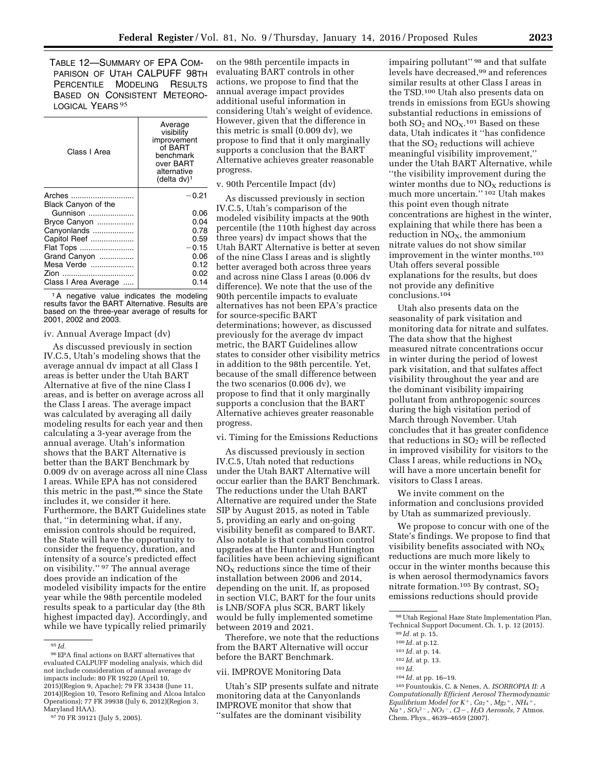TABLE 12—SUMMARY OF EPA COM-PARISON OF UTAH CALPUFF 98TH PERCENTILE MODELING RESULTS BASED ON CONSISTENT METEORO-LOGICAL YEARS 95

| Class I Area                                                                                                          | Average<br>visibility<br>improvement<br>of BART<br>benchmark<br>over BART<br>alternative<br>(delta $dv$ ) <sup>1</sup> |
|-----------------------------------------------------------------------------------------------------------------------|------------------------------------------------------------------------------------------------------------------------|
| Arches<br>Black Canyon of the<br>Gunnison<br>Bryce Canyon<br>Canyonlands<br>Capitol Reef<br>Flat Tops<br>Grand Canyon | $-0.21$<br>0.06<br>0.04<br>0.78<br>0.59<br>$-0.15$<br>0.06                                                             |
| Mesa Verde<br>Zion<br><br>Class I Area Average                                                                        | 0.12<br>0.02<br>0.14                                                                                                   |

1A negative value indicates the modeling results favor the BART Alternative. Results are based on the three-year average of results for 2001, 2002 and 2003.

#### iv. Annual Average Impact (dv)

As discussed previously in section IV.C.5, Utah's modeling shows that the average annual dv impact at all Class I areas is better under the Utah BART Alternative at five of the nine Class I areas, and is better on average across all the Class I areas. The average impact was calculated by averaging all daily modeling results for each year and then calculating a 3-year average from the annual average. Utah's information shows that the BART Alternative is better than the BART Benchmark by 0.009 dv on average across all nine Class I areas. While EPA has not considered this metric in the past,96 since the State includes it, we consider it here. Furthermore, the BART Guidelines state that, ''in determining what, if any, emission controls should be required, the State will have the opportunity to consider the frequency, duration, and intensity of a source's predicted effect on visibility.'' 97 The annual average does provide an indication of the modeled visibility impacts for the entire year while the 98th percentile modeled results speak to a particular day (the 8th highest impacted day). Accordingly, and while we have typically relied primarily

on the 98th percentile impacts in evaluating BART controls in other actions, we propose to find that the annual average impact provides additional useful information in considering Utah's weight of evidence. However, given that the difference in this metric is small (0.009 dv), we propose to find that it only marginally supports a conclusion that the BART Alternative achieves greater reasonable progress.

#### v. 90th Percentile Impact (dv)

As discussed previously in section IV.C.5, Utah's comparison of the modeled visibility impacts at the 90th percentile (the 110th highest day across three years) dv impact shows that the Utah BART Alternative is better at seven of the nine Class I areas and is slightly better averaged both across three years and across nine Class I areas (0.006 dv difference). We note that the use of the 90th percentile impacts to evaluate alternatives has not been EPA's practice for source-specific BART determinations; however, as discussed previously for the average dv impact metric, the BART Guidelines allow states to consider other visibility metrics in addition to the 98th percentile. Yet, because of the small difference between the two scenarios (0.006 dv), we propose to find that it only marginally supports a conclusion that the BART Alternative achieves greater reasonable progress.

#### vi. Timing for the Emissions Reductions

As discussed previously in section IV.C.5, Utah noted that reductions under the Utah BART Alternative will occur earlier than the BART Benchmark. The reductions under the Utah BART Alternative are required under the State SIP by August 2015, as noted in Table 5, providing an early and on-going visibility benefit as compared to BART. Also notable is that combustion control upgrades at the Hunter and Huntington facilities have been achieving significant  $NO<sub>x</sub>$  reductions since the time of their installation between 2006 and 2014, depending on the unit. If, as proposed in section VI.C, BART for the four units is LNB/SOFA plus SCR, BART likely would be fully implemented sometime between 2019 and 2021.

Therefore, we note that the reductions from the BART Alternative will occur before the BART Benchmark.

#### vii. IMPROVE Monitoring Data

Utah's SIP presents sulfate and nitrate monitoring data at the Canyonlands IMPROVE monitor that show that ''sulfates are the dominant visibility

impairing pollutant" <sup>98</sup> and that sulfate levels have decreased,99 and references similar results at other Class I areas in the TSD.100 Utah also presents data on trends in emissions from EGUs showing substantial reductions in emissions of both  $SO_2$  and  $NO_X$ .<sup>101</sup> Based on these data, Utah indicates it ''has confidence that the  $SO<sub>2</sub>$  reductions will achieve meaningful visibility improvement,'' under the Utah BART Alternative, while ''the visibility improvement during the winter months due to  $NO<sub>X</sub>$  reductions is much more uncertain.'' 102 Utah makes this point even though nitrate concentrations are highest in the winter, explaining that while there has been a reduction in  $NO<sub>X</sub>$ , the ammonium nitrate values do not show similar improvement in the winter months.103 Utah offers several possible explanations for the results, but does not provide any definitive conclusions.104

Utah also presents data on the seasonality of park visitation and monitoring data for nitrate and sulfates. The data show that the highest measured nitrate concentrations occur in winter during the period of lowest park visitation, and that sulfates affect visibility throughout the year and are the dominant visibility impairing pollutant from anthropogenic sources during the high visitation period of March through November. Utah concludes that it has greater confidence that reductions in  $SO_2$  will be reflected in improved visibility for visitors to the Class I areas, while reductions in  $NO<sub>X</sub>$ will have a more uncertain benefit for visitors to Class I areas.

We invite comment on the information and conclusions provided by Utah as summarized previously.

We propose to concur with one of the State's findings. We propose to find that visibility benefits associated with  $NO<sub>x</sub>$ reductions are much more likely to occur in the winter months because this is when aerosol thermodynamics favors nitrate formation.105 By contrast, SO<sup>2</sup> emissions reductions should provide

104 *Id.* at pp. 16–19.

105Fountoukis, C. & Nenes, A. *ISORROPIA II: A Computationally Efficient Aerosol Thermodynamic Equilibrium Model for K*∂, *Ca*<sup>2</sup> <sup>∂</sup>, *Mg*<sup>2</sup> <sup>∂</sup>, *NH*<sup>4</sup> ∂, *Na*<sup>+</sup>, *SO*<sub>4</sub><sup>2−</sup>, *NO*<sub>3</sub><sup>−</sup>, *Cl* −, *H*<sub>2</sub>O *Aerosols*, 7 Atmos. Chem. Phys., 4639–4659 (2007).

<sup>95</sup> *Id.* 

<sup>96</sup>EPA final actions on BART alternatives that evaluated CALPUFF modeling analysis, which did not include consideration of annual average dv impacts include: 80 FR 19220 (April 10, 2015)(Region 9, Apache); 79 FR 33438 (June 11, 2014)(Region 10, Tesoro Refining and Alcoa Intalco Operations); 77 FR 39938 (July 6, 2012)(Region 3, Maryland HAA).

<sup>97</sup> 70 FR 39121 (July 5, 2005).

<sup>98</sup>Utah Regional Haze State Implementation Plan, Technical Support Document, Ch. 1, p. 12 (2015).

<sup>99</sup> *Id.* at p. 15. 100 *Id.* at p.12.

<sup>101</sup> *Id.* at p. 14.

<sup>102</sup> *Id.* at p. 13.

<sup>103</sup> *Id.*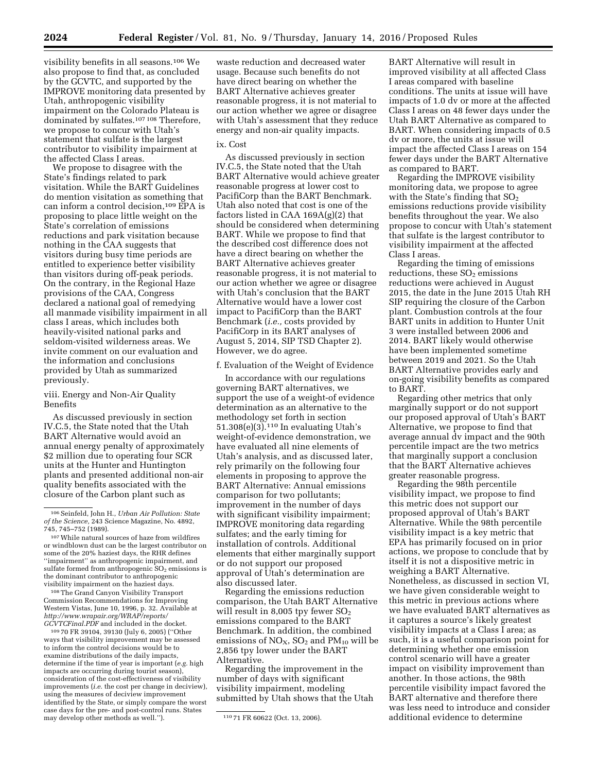visibility benefits in all seasons.106 We also propose to find that, as concluded by the GCVTC, and supported by the IMPROVE monitoring data presented by Utah, anthropogenic visibility impairment on the Colorado Plateau is dominated by sulfates.107 108 Therefore, we propose to concur with Utah's statement that sulfate is the largest contributor to visibility impairment at the affected Class I areas.

We propose to disagree with the State's findings related to park visitation. While the BART Guidelines do mention visitation as something that can inform a control decision,<sup>109</sup> EPA is proposing to place little weight on the State's correlation of emissions reductions and park visitation because nothing in the CAA suggests that visitors during busy time periods are entitled to experience better visibility than visitors during off-peak periods. On the contrary, in the Regional Haze provisions of the CAA, Congress declared a national goal of remedying all manmade visibility impairment in all class I areas, which includes both heavily-visited national parks and seldom-visited wilderness areas. We invite comment on our evaluation and the information and conclusions provided by Utah as summarized previously.

viii. Energy and Non-Air Quality Benefits

As discussed previously in section IV.C.5, the State noted that the Utah BART Alternative would avoid an annual energy penalty of approximately \$2 million due to operating four SCR units at the Hunter and Huntington plants and presented additional non-air quality benefits associated with the closure of the Carbon plant such as

107While natural sources of haze from wildfires or windblown dust can be the largest contributor on some of the 20% haziest days, the RHR defines ''impairment'' as anthropogenic impairment, and sulfate formed from anthropogenic  $SO<sub>2</sub>$  emissions is the dominant contributor to anthropogenic visibility impairment on the haziest days.

108The Grand Canyon Visibility Transport Commission Recommendations for Improving Western Vistas, June 10, 1996, p. 32. Available at *[http://www.wrapair.org/WRAP/reports/](http://www.wrapair.org/WRAP/reports/GCVTCFinal.PDF) [GCVTCFinal.PDF](http://www.wrapair.org/WRAP/reports/GCVTCFinal.PDF)* and included in the docket.

109 70 FR 39104, 39130 (July 6, 2005) (''Other ways that visibility improvement may be assessed to inform the control decisions would be to examine distributions of the daily impacts, determine if the time of year is important (*e.g.* high impacts are occurring during tourist season), consideration of the cost-effectiveness of visibility improvements (*i.e.* the cost per change in deciview), using the measures of deciview improvement identified by the State, or simply compare the worst case days for the pre- and post-control runs. States may develop other methods as well."). 110 71 FR 60622 (Oct. 13, 2006).

waste reduction and decreased water usage. Because such benefits do not have direct bearing on whether the BART Alternative achieves greater reasonable progress, it is not material to our action whether we agree or disagree with Utah's assessment that they reduce energy and non-air quality impacts.

## ix. Cost

As discussed previously in section IV.C.5, the State noted that the Utah BART Alternative would achieve greater reasonable progress at lower cost to PacifiCorp than the BART Benchmark. Utah also noted that cost is one of the factors listed in CAA 169A(g)(2) that should be considered when determining BART. While we propose to find that the described cost difference does not have a direct bearing on whether the BART Alternative achieves greater reasonable progress, it is not material to our action whether we agree or disagree with Utah's conclusion that the BART Alternative would have a lower cost impact to PacifiCorp than the BART Benchmark (*i.e.,* costs provided by PacifiCorp in its BART analyses of August 5, 2014, SIP TSD Chapter 2). However, we do agree.

#### f. Evaluation of the Weight of Evidence

In accordance with our regulations governing BART alternatives, we support the use of a weight-of evidence determination as an alternative to the methodology set forth in section 51.308(e)(3).110 In evaluating Utah's weight-of-evidence demonstration, we have evaluated all nine elements of Utah's analysis, and as discussed later, rely primarily on the following four elements in proposing to approve the BART Alternative: Annual emissions comparison for two pollutants; improvement in the number of days with significant visibility impairment; IMPROVE monitoring data regarding sulfates; and the early timing for installation of controls. Additional elements that either marginally support or do not support our proposed approval of Utah's determination are also discussed later.

Regarding the emissions reduction comparison, the Utah BART Alternative will result in 8,005 tpy fewer  $SO<sub>2</sub>$ emissions compared to the BART Benchmark. In addition, the combined emissions of  $NO<sub>X</sub>$ ,  $SO<sub>2</sub>$  and  $PM<sub>10</sub>$  will be 2,856 tpy lower under the BART Alternative.

Regarding the improvement in the number of days with significant visibility impairment, modeling submitted by Utah shows that the Utah

BART Alternative will result in improved visibility at all affected Class I areas compared with baseline conditions. The units at issue will have impacts of 1.0 dv or more at the affected Class I areas on 48 fewer days under the Utah BART Alternative as compared to BART. When considering impacts of 0.5 dv or more, the units at issue will impact the affected Class I areas on 154 fewer days under the BART Alternative as compared to BART.

Regarding the IMPROVE visibility monitoring data, we propose to agree with the State's finding that  $SO<sub>2</sub>$ emissions reductions provide visibility benefits throughout the year. We also propose to concur with Utah's statement that sulfate is the largest contributor to visibility impairment at the affected Class I areas.

Regarding the timing of emissions reductions, these  $SO<sub>2</sub>$  emissions reductions were achieved in August 2015, the date in the June 2015 Utah RH SIP requiring the closure of the Carbon plant. Combustion controls at the four BART units in addition to Hunter Unit 3 were installed between 2006 and 2014. BART likely would otherwise have been implemented sometime between 2019 and 2021. So the Utah BART Alternative provides early and on-going visibility benefits as compared to BART.

Regarding other metrics that only marginally support or do not support our proposed approval of Utah's BART Alternative, we propose to find that average annual dv impact and the 90th percentile impact are the two metrics that marginally support a conclusion that the BART Alternative achieves greater reasonable progress.

Regarding the 98th percentile visibility impact, we propose to find this metric does not support our proposed approval of Utah's BART Alternative. While the 98th percentile visibility impact is a key metric that EPA has primarily focused on in prior actions, we propose to conclude that by itself it is not a dispositive metric in weighing a BART Alternative. Nonetheless, as discussed in section VI, we have given considerable weight to this metric in previous actions where we have evaluated BART alternatives as it captures a source's likely greatest visibility impacts at a Class I area; as such, it is a useful comparison point for determining whether one emission control scenario will have a greater impact on visibility improvement than another. In those actions, the 98th percentile visibility impact favored the BART alternative and therefore there was less need to introduce and consider additional evidence to determine

<sup>106</sup>Seinfeld, John H., *Urban Air Pollution: State of the Science,* 243 Science Magazine, No. 4892, 745, 745–752 (1989).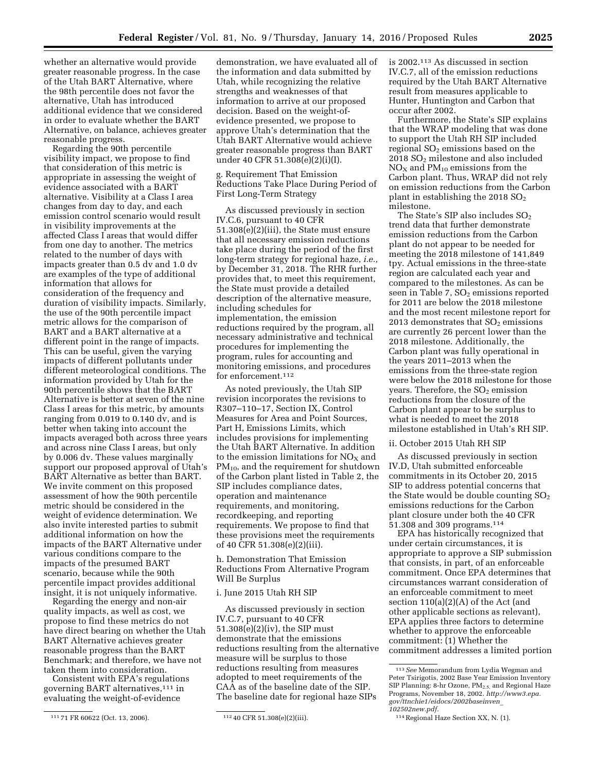whether an alternative would provide greater reasonable progress. In the case of the Utah BART Alternative, where the 98th percentile does not favor the alternative, Utah has introduced additional evidence that we considered in order to evaluate whether the BART Alternative, on balance, achieves greater reasonable progress.

Regarding the 90th percentile visibility impact, we propose to find that consideration of this metric is appropriate in assessing the weight of evidence associated with a BART alternative. Visibility at a Class I area changes from day to day, and each emission control scenario would result in visibility improvements at the affected Class I areas that would differ from one day to another. The metrics related to the number of days with impacts greater than 0.5 dv and 1.0 dv are examples of the type of additional information that allows for consideration of the frequency and duration of visibility impacts. Similarly, the use of the 90th percentile impact metric allows for the comparison of BART and a BART alternative at a different point in the range of impacts. This can be useful, given the varying impacts of different pollutants under different meteorological conditions. The information provided by Utah for the 90th percentile shows that the BART Alternative is better at seven of the nine Class I areas for this metric, by amounts ranging from 0.019 to 0.140 dv, and is better when taking into account the impacts averaged both across three years and across nine Class I areas, but only by 0.006 dv. These values marginally support our proposed approval of Utah's BART Alternative as better than BART. We invite comment on this proposed assessment of how the 90th percentile metric should be considered in the weight of evidence determination. We also invite interested parties to submit additional information on how the impacts of the BART Alternative under various conditions compare to the impacts of the presumed BART scenario, because while the 90th percentile impact provides additional insight, it is not uniquely informative.

Regarding the energy and non-air quality impacts, as well as cost, we propose to find these metrics do not have direct bearing on whether the Utah BART Alternative achieves greater reasonable progress than the BART Benchmark; and therefore, we have not taken them into consideration.

Consistent with EPA's regulations governing BART alternatives,111 in evaluating the weight-of-evidence

demonstration, we have evaluated all of the information and data submitted by Utah, while recognizing the relative strengths and weaknesses of that information to arrive at our proposed decision. Based on the weight-ofevidence presented, we propose to approve Utah's determination that the Utah BART Alternative would achieve greater reasonable progress than BART under 40 CFR 51.308(e)(2)(i)(I).

g. Requirement That Emission Reductions Take Place During Period of First Long-Term Strategy

As discussed previously in section IV.C.6, pursuant to 40 CFR 51.308(e)(2)(iii), the State must ensure that all necessary emission reductions take place during the period of the first long-term strategy for regional haze, *i.e.,*  by December 31, 2018. The RHR further provides that, to meet this requirement, the State must provide a detailed description of the alternative measure, including schedules for implementation, the emission reductions required by the program, all necessary administrative and technical procedures for implementing the program, rules for accounting and monitoring emissions, and procedures for enforcement.112

As noted previously, the Utah SIP revision incorporates the revisions to R307–110–17, Section IX, Control Measures for Area and Point Sources, Part H, Emissions Limits, which includes provisions for implementing the Utah BART Alternative. In addition to the emission limitations for  $NO<sub>X</sub>$  and  $PM_{10}$ , and the requirement for shutdown of the Carbon plant listed in Table 2, the SIP includes compliance dates, operation and maintenance requirements, and monitoring, recordkeeping, and reporting requirements. We propose to find that these provisions meet the requirements of 40 CFR 51.308(e)(2)(iii).

h. Demonstration That Emission Reductions From Alternative Program Will Be Surplus

#### i. June 2015 Utah RH SIP

As discussed previously in section IV.C.7, pursuant to 40 CFR 51.308(e)(2)(iv), the SIP must demonstrate that the emissions reductions resulting from the alternative measure will be surplus to those reductions resulting from measures adopted to meet requirements of the CAA as of the baseline date of the SIP. The baseline date for regional haze SIPs

is 2002.113 As discussed in section IV.C.7, all of the emission reductions required by the Utah BART Alternative result from measures applicable to Hunter, Huntington and Carbon that occur after 2002.

Furthermore, the State's SIP explains that the WRAP modeling that was done to support the Utah RH SIP included regional  $SO<sub>2</sub>$  emissions based on the 2018 SO2 milestone and also included  $NO<sub>X</sub>$  and  $PM<sub>10</sub>$  emissions from the Carbon plant. Thus, WRAP did not rely on emission reductions from the Carbon plant in establishing the 2018  $SO<sub>2</sub>$ milestone.

The State's SIP also includes  $SO<sub>2</sub>$ trend data that further demonstrate emission reductions from the Carbon plant do not appear to be needed for meeting the 2018 milestone of 141,849 tpy. Actual emissions in the three-state region are calculated each year and compared to the milestones. As can be seen in Table 7,  $SO<sub>2</sub>$  emissions reported for 2011 are below the 2018 milestone and the most recent milestone report for 2013 demonstrates that  $SO<sub>2</sub>$  emissions are currently 26 percent lower than the 2018 milestone. Additionally, the Carbon plant was fully operational in the years 2011–2013 when the emissions from the three-state region were below the 2018 milestone for those years. Therefore, the  $SO<sub>2</sub>$  emission reductions from the closure of the Carbon plant appear to be surplus to what is needed to meet the 2018 milestone established in Utah's RH SIP.

## ii. October 2015 Utah RH SIP

As discussed previously in section IV.D, Utah submitted enforceable commitments in its October 20, 2015 SIP to address potential concerns that the State would be double counting  $SO<sub>2</sub>$ emissions reductions for the Carbon plant closure under both the 40 CFR 51.308 and 309 programs.114

EPA has historically recognized that under certain circumstances, it is appropriate to approve a SIP submission that consists, in part, of an enforceable commitment. Once EPA determines that circumstances warrant consideration of an enforceable commitment to meet section 110(a)(2)(A) of the Act (and other applicable sections as relevant), EPA applies three factors to determine whether to approve the enforceable commitment: (1) Whether the commitment addresses a limited portion

<sup>111</sup> 71 FR 60622 (Oct. 13, 2006). 112 40 CFR 51.308(e)(2)(iii).

<sup>113</sup>*See* Memorandum from Lydia Wegman and Peter Tsirigotis, 2002 Base Year Emission Inventory SIP Planning: 8-hr Ozone, PM<sub>2.5,</sub> and Regional Haze Programs, November 18, 2002. *[http://www3.epa.](http://www3.epa.gov/ttnchie1/eidocs/2002baseinven_102502new.pdf) [gov/ttnchie1/eidocs/2002baseinven](http://www3.epa.gov/ttnchie1/eidocs/2002baseinven_102502new.pdf)*\_ *[102502new.pdf.](http://www3.epa.gov/ttnchie1/eidocs/2002baseinven_102502new.pdf)* 

<sup>114</sup>Regional Haze Section XX, N. (1).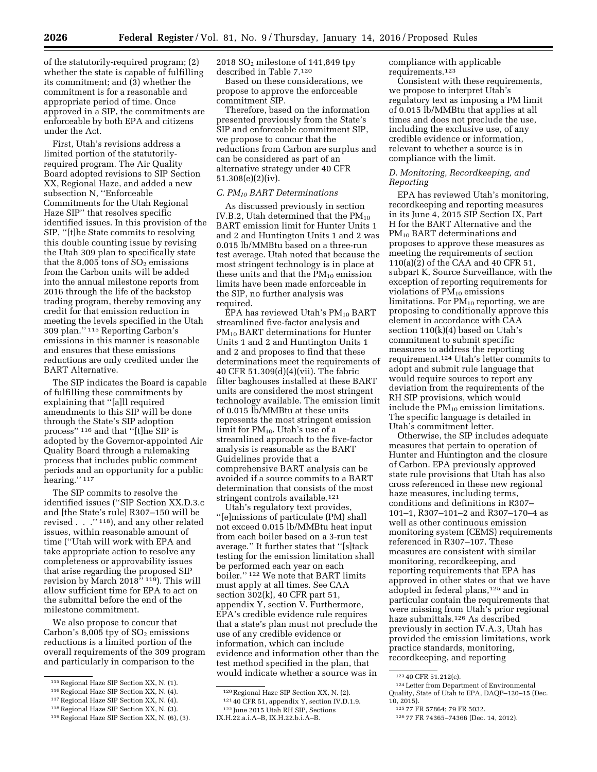of the statutorily-required program; (2) whether the state is capable of fulfilling its commitment; and (3) whether the commitment is for a reasonable and appropriate period of time. Once approved in a SIP, the commitments are enforceable by both EPA and citizens under the Act.

First, Utah's revisions address a limited portion of the statutorilyrequired program. The Air Quality Board adopted revisions to SIP Section XX, Regional Haze, and added a new subsection N, ''Enforceable Commitments for the Utah Regional Haze SIP'' that resolves specific identified issues. In this provision of the SIP, ''[t]he State commits to resolving this double counting issue by revising the Utah 309 plan to specifically state that the 8,005 tons of  $SO<sub>2</sub>$  emissions from the Carbon units will be added into the annual milestone reports from 2016 through the life of the backstop trading program, thereby removing any credit for that emission reduction in meeting the levels specified in the Utah 309 plan.'' 115 Reporting Carbon's emissions in this manner is reasonable and ensures that these emissions reductions are only credited under the BART Alternative.

The SIP indicates the Board is capable of fulfilling these commitments by explaining that ''[a]ll required amendments to this SIP will be done through the State's SIP adoption process'' 116 and that ''[t]he SIP is adopted by the Governor-appointed Air Quality Board through a rulemaking process that includes public comment periods and an opportunity for a public hearing."<sup>117</sup>

The SIP commits to resolve the identified issues (''SIP Section XX.D.3.c and [the State's rule] R307–150 will be revised . . .'' 118), and any other related issues, within reasonable amount of time (''Utah will work with EPA and take appropriate action to resolve any completeness or approvability issues that arise regarding the proposed SIP revision by March 2018'' 119). This will allow sufficient time for EPA to act on the submittal before the end of the milestone commitment.

We also propose to concur that Carbon's  $8,005$  tpy of  $SO<sub>2</sub>$  emissions reductions is a limited portion of the overall requirements of the 309 program and particularly in comparison to the

2018 SO2 milestone of 141,849 tpy described in Table 7.120

Based on these considerations, we propose to approve the enforceable commitment SIP.

Therefore, based on the information presented previously from the State's SIP and enforceable commitment SIP, we propose to concur that the reductions from Carbon are surplus and can be considered as part of an alternative strategy under 40 CFR 51.308(e)(2)(iv).

#### *C. PM10 BART Determinations*

As discussed previously in section IV.B.2, Utah determined that the  $PM_{10}$ BART emission limit for Hunter Units 1 and 2 and Huntington Units 1 and 2 was 0.015 lb/MMBtu based on a three-run test average. Utah noted that because the most stringent technology is in place at these units and that the  $PM_{10}$  emission limits have been made enforceable in the SIP, no further analysis was required.

 $EPA$  has reviewed Utah's  $PM_{10}$  BART streamlined five-factor analysis and PM10 BART determinations for Hunter Units 1 and 2 and Huntington Units 1 and 2 and proposes to find that these determinations meet the requirements of 40 CFR 51.309(d)(4)(vii). The fabric filter baghouses installed at these BART units are considered the most stringent technology available. The emission limit of 0.015 lb/MMBtu at these units represents the most stringent emission limit for  $PM_{10}$ . Utah's use of a streamlined approach to the five-factor analysis is reasonable as the BART Guidelines provide that a comprehensive BART analysis can be avoided if a source commits to a BART determination that consists of the most stringent controls available.121

Utah's regulatory text provides, ''[e]missions of particulate (PM) shall not exceed 0.015 lb/MMBtu heat input from each boiler based on a 3-run test average.'' It further states that ''[s]tack testing for the emission limitation shall be performed each year on each boiler.'' 122 We note that BART limits must apply at all times. See CAA section 302(k), 40 CFR part 51, appendix Y, section V. Furthermore, EPA's credible evidence rule requires that a state's plan must not preclude the use of any credible evidence or information, which can include evidence and information other than the test method specified in the plan, that would indicate whether a source was in

compliance with applicable requirements.123

Consistent with these requirements, we propose to interpret Utah's regulatory text as imposing a PM limit of 0.015 lb/MMBtu that applies at all times and does not preclude the use, including the exclusive use, of any credible evidence or information, relevant to whether a source is in compliance with the limit.

#### *D. Monitoring, Recordkeeping, and Reporting*

EPA has reviewed Utah's monitoring, recordkeeping and reporting measures in its June 4, 2015 SIP Section IX, Part H for the BART Alternative and the PM<sub>10</sub> BART determinations and proposes to approve these measures as meeting the requirements of section 110(a)(2) of the CAA and 40 CFR 51, subpart K, Source Surveillance, with the exception of reporting requirements for violations of  $PM_{10}$  emissions limitations. For  $PM_{10}$  reporting, we are proposing to conditionally approve this element in accordance with CAA section 110(k)(4) based on Utah's commitment to submit specific measures to address the reporting requirement.124 Utah's letter commits to adopt and submit rule language that would require sources to report any deviation from the requirements of the RH SIP provisions, which would include the PM10 emission limitations. The specific language is detailed in Utah's commitment letter.

Otherwise, the SIP includes adequate measures that pertain to operation of Hunter and Huntington and the closure of Carbon. EPA previously approved state rule provisions that Utah has also cross referenced in these new regional haze measures, including terms, conditions and definitions in R307– 101–1, R307–101–2 and R307–170–4 as well as other continuous emission monitoring system (CEMS) requirements referenced in R307–107. These measures are consistent with similar monitoring, recordkeeping, and reporting requirements that EPA has approved in other states or that we have adopted in federal plans,125 and in particular contain the requirements that were missing from Utah's prior regional haze submittals.126 As described previously in section IV.A.3, Utah has provided the emission limitations, work practice standards, monitoring, recordkeeping, and reporting

<sup>123</sup> 40 CFR 51.212(c). 124Letter from Department of Environmental Quality, State of Utah to EPA, DAQP–120–15 (Dec. 10, 2015). 125 77 FR 57864; 79 FR 5032. 126 77 FR 74365–74366 (Dec. 14, 2012).

<sup>115</sup>Regional Haze SIP Section XX, N. (1).

<sup>116</sup>Regional Haze SIP Section XX, N. (4).

<sup>117</sup>Regional Haze SIP Section XX, N. (4).

<sup>118</sup>Regional Haze SIP Section XX, N. (3).

<sup>119</sup>Regional Haze SIP Section XX, N. (6), (3).

<sup>120</sup>Regional Haze SIP Section XX, N. (2).

<sup>121</sup> 40 CFR 51, appendix Y, section IV.D.1.9.

<sup>122</sup> June 2015 Utah RH SIP, Sections

IX.H.22.a.i.A–B, IX.H.22.b.i.A–B.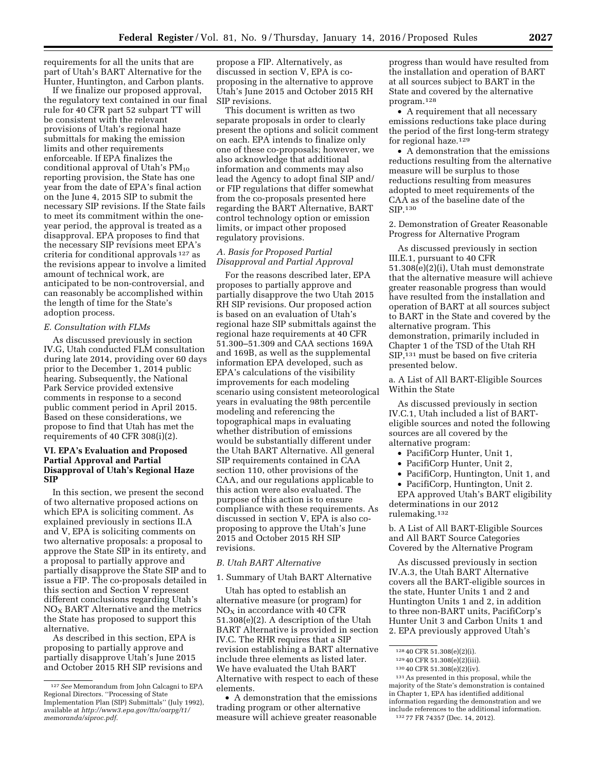requirements for all the units that are part of Utah's BART Alternative for the Hunter, Huntington, and Carbon plants.

If we finalize our proposed approval, the regulatory text contained in our final rule for 40 CFR part 52 subpart TT will be consistent with the relevant provisions of Utah's regional haze submittals for making the emission limits and other requirements enforceable. If EPA finalizes the conditional approval of Utah's  $PM_{10}$ reporting provision, the State has one year from the date of EPA's final action on the June 4, 2015 SIP to submit the necessary SIP revisions. If the State fails to meet its commitment within the oneyear period, the approval is treated as a disapproval. EPA proposes to find that the necessary SIP revisions meet EPA's criteria for conditional approvals 127 as the revisions appear to involve a limited amount of technical work, are anticipated to be non-controversial, and can reasonably be accomplished within the length of time for the State's adoption process.

#### *E. Consultation with FLMs*

As discussed previously in section IV.G, Utah conducted FLM consultation during late 2014, providing over 60 days prior to the December 1, 2014 public hearing. Subsequently, the National Park Service provided extensive comments in response to a second public comment period in April 2015. Based on these considerations, we propose to find that Utah has met the requirements of 40 CFR 308(i)(2).

#### **VI. EPA's Evaluation and Proposed Partial Approval and Partial Disapproval of Utah's Regional Haze SIP**

In this section, we present the second of two alternative proposed actions on which EPA is soliciting comment. As explained previously in sections II.A and V, EPA is soliciting comments on two alternative proposals: a proposal to approve the State SIP in its entirety, and a proposal to partially approve and partially disapprove the State SIP and to issue a FIP. The co-proposals detailed in this section and Section V represent different conclusions regarding Utah's  $NO<sub>X</sub>$  BART Alternative and the metrics the State has proposed to support this alternative.

As described in this section, EPA is proposing to partially approve and partially disapprove Utah's June 2015 and October 2015 RH SIP revisions and

propose a FIP. Alternatively, as discussed in section V, EPA is coproposing in the alternative to approve Utah's June 2015 and October 2015 RH SIP revisions.

This document is written as two separate proposals in order to clearly present the options and solicit comment on each. EPA intends to finalize only one of these co-proposals; however, we also acknowledge that additional information and comments may also lead the Agency to adopt final SIP and/ or FIP regulations that differ somewhat from the co-proposals presented here regarding the BART Alternative, BART control technology option or emission limits, or impact other proposed regulatory provisions.

## *A. Basis for Proposed Partial Disapproval and Partial Approval*

For the reasons described later, EPA proposes to partially approve and partially disapprove the two Utah 2015 RH SIP revisions. Our proposed action is based on an evaluation of Utah's regional haze SIP submittals against the regional haze requirements at 40 CFR 51.300–51.309 and CAA sections 169A and 169B, as well as the supplemental information EPA developed, such as EPA's calculations of the visibility improvements for each modeling scenario using consistent meteorological years in evaluating the 98th percentile modeling and referencing the topographical maps in evaluating whether distribution of emissions would be substantially different under the Utah BART Alternative. All general SIP requirements contained in CAA section 110, other provisions of the CAA, and our regulations applicable to this action were also evaluated. The purpose of this action is to ensure compliance with these requirements. As discussed in section V, EPA is also coproposing to approve the Utah's June 2015 and October 2015 RH SIP revisions.

#### *B. Utah BART Alternative*

1. Summary of Utah BART Alternative

Utah has opted to establish an alternative measure (or program) for  $NO<sub>X</sub>$  in accordance with 40 CFR 51.308(e)(2). A description of the Utah BART Alternative is provided in section IV.C. The RHR requires that a SIP revision establishing a BART alternative include three elements as listed later. We have evaluated the Utah BART Alternative with respect to each of these elements.

• A demonstration that the emissions trading program or other alternative measure will achieve greater reasonable

progress than would have resulted from the installation and operation of BART at all sources subject to BART in the State and covered by the alternative program.128

• A requirement that all necessary emissions reductions take place during the period of the first long-term strategy for regional haze.129

• A demonstration that the emissions reductions resulting from the alternative measure will be surplus to those reductions resulting from measures adopted to meet requirements of the CAA as of the baseline date of the SIP.130

2. Demonstration of Greater Reasonable Progress for Alternative Program

As discussed previously in section III.E.1, pursuant to 40 CFR 51.308(e)(2)(i), Utah must demonstrate that the alternative measure will achieve greater reasonable progress than would have resulted from the installation and operation of BART at all sources subject to BART in the State and covered by the alternative program. This demonstration, primarily included in Chapter 1 of the TSD of the Utah RH SIP,131 must be based on five criteria presented below.

a. A List of All BART-Eligible Sources Within the State

As discussed previously in section IV.C.1, Utah included a list of BARTeligible sources and noted the following sources are all covered by the alternative program:

- PacifiCorp Hunter, Unit 1,
- PacifiCorp Hunter, Unit 2,
- PacifiCorp, Huntington, Unit 1, and
- PacifiCorp, Huntington, Unit 2.

EPA approved Utah's BART eligibility determinations in our 2012 rulemaking.132

b. A List of All BART-Eligible Sources and All BART Source Categories Covered by the Alternative Program

As discussed previously in section IV.A.3, the Utah BART Alternative covers all the BART-eligible sources in the state, Hunter Units 1 and 2 and Huntington Units 1 and 2, in addition to three non-BART units, PacifiCorp's Hunter Unit 3 and Carbon Units 1 and 2. EPA previously approved Utah's

131As presented in this proposal, while the majority of the State's demonstration is contained in Chapter 1, EPA has identified additional information regarding the demonstration and we include references to the additional information. 132 77 FR 74357 (Dec. 14, 2012).

<sup>127</sup>*See* Memorandum from John Calcagni to EPA Regional Directors. ''Processing of State Implementation Plan (SIP) Submittals'' (July 1992), available at *[http://www3.epa.gov/ttn/oarpg/t1/](http://www3.epa.gov/ttn/oarpg/t1/memoranda/siproc.pdf) [memoranda/siproc.pdf.](http://www3.epa.gov/ttn/oarpg/t1/memoranda/siproc.pdf)* 

<sup>128</sup> 40 CFR 51.308(e)(2)(i).

<sup>129</sup> 40 CFR 51.308(e)(2)(iii).

<sup>130</sup> 40 CFR 51.308(e)(2)(iv).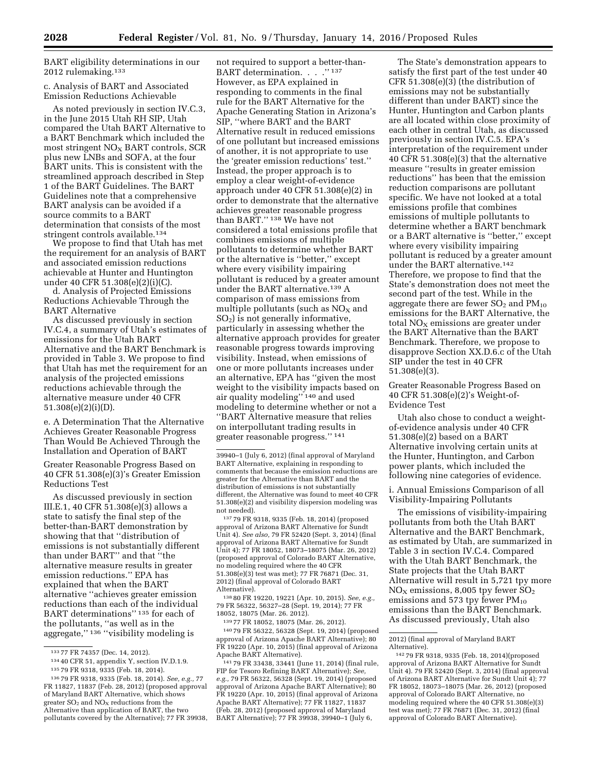## BART eligibility determinations in our 2012 rulemaking.133

#### c. Analysis of BART and Associated Emission Reductions Achievable

As noted previously in section IV.C.3, in the June 2015 Utah RH SIP, Utah compared the Utah BART Alternative to a BART Benchmark which included the most stringent  $NO<sub>x</sub>$  BART controls, SCR plus new LNBs and SOFA, at the four BART units. This is consistent with the streamlined approach described in Step 1 of the BART Guidelines. The BART Guidelines note that a comprehensive BART analysis can be avoided if a source commits to a BART determination that consists of the most stringent controls available.<sup>134</sup>

We propose to find that Utah has met the requirement for an analysis of BART and associated emission reductions achievable at Hunter and Huntington under 40 CFR 51.308(e)(2)(i)(C).

d. Analysis of Projected Emissions Reductions Achievable Through the BART Alternative

As discussed previously in section IV.C.4, a summary of Utah's estimates of emissions for the Utah BART Alternative and the BART Benchmark is provided in Table 3. We propose to find that Utah has met the requirement for an analysis of the projected emissions reductions achievable through the alternative measure under 40 CFR 51.308(e)(2)(i)(D).

e. A Determination That the Alternative Achieves Greater Reasonable Progress Than Would Be Achieved Through the Installation and Operation of BART

Greater Reasonable Progress Based on 40 CFR 51.308(e)(3)'s Greater Emission Reductions Test

As discussed previously in section III.E.1, 40 CFR 51.308(e)(3) allows a state to satisfy the final step of the better-than-BART demonstration by showing that that ''distribution of emissions is not substantially different than under BART'' and that ''the alternative measure results in greater emission reductions.'' EPA has explained that when the BART alternative ''achieves greater emission reductions than each of the individual BART determinations'' 135 for each of the pollutants, ''as well as in the aggregate,'' 136 ''visibility modeling is

not required to support a better-than-BART determination. . . . "137 However, as EPA explained in responding to comments in the final rule for the BART Alternative for the Apache Generating Station in Arizona's SIP, ''where BART and the BART Alternative result in reduced emissions of one pollutant but increased emissions of another, it is not appropriate to use the 'greater emission reductions' test.'' Instead, the proper approach is to employ a clear weight-of-evidence approach under 40 CFR 51.308(e)(2) in order to demonstrate that the alternative achieves greater reasonable progress than BART.'' 138 We have not considered a total emissions profile that combines emissions of multiple pollutants to determine whether BART or the alternative is ''better,'' except where every visibility impairing pollutant is reduced by a greater amount under the BART alternative.<sup>139</sup> A comparison of mass emissions from multiple pollutants (such as  $NO<sub>x</sub>$  and  $SO<sub>2</sub>$ ) is not generally informative, particularly in assessing whether the alternative approach provides for greater reasonable progress towards improving visibility. Instead, when emissions of one or more pollutants increases under an alternative, EPA has ''given the most weight to the visibility impacts based on air quality modeling'' 140 and used modeling to determine whether or not a ''BART Alternative measure that relies on interpollutant trading results in greater reasonable progress.'' 141

137 79 FR 9318, 9335 (Feb. 18, 2014) (proposed approval of Arizona BART Alternative for Sundt Unit 4). *See also,* 79 FR 52420 (Sept. 3, 2014) (final approval of Arizona BART Alternative for Sundt Unit 4); 77 FR 18052, 18073–18075 (Mar. 26, 2012) (proposed approval of Colorado BART Alternative, no modeling required where the 40 CFR 51.308(e)(3) test was met); 77 FR 76871 (Dec. 31, 2012) (final approval of Colorado BART Alternative).

138 80 FR 19220, 19221 (Apr. 10, 2015). *See, e.g.,*  79 FR 56322, 56327–28 (Sept. 19, 2014); 77 FR 18052, 18075 (Mar. 26. 2012).

139 77 FR 18052, 18075 (Mar. 26, 2012).

140 79 FR 56322, 56328 (Sept. 19, 2014) (proposed approval of Arizona Apache BART Alternative); 80 FR 19220 (Apr. 10, 2015) (final approval of Arizona Apache BART Alternative).

141 79 FR 33438, 33441 (June 11, 2014) (final rule, FIP for Tesoro Refining BART Alternative); *See, e.g.,* 79 FR 56322, 56328 (Sept. 19, 2014) (proposed approval of Arizona Apache BART Alternative); 80 FR 19220 (Apr. 10, 2015) (final approval of Arizona Apache BART Alternative); 77 FR 11827, 11837 (Feb. 28, 2012) (proposed approval of Maryland BART Alternative); 77 FR 39938, 39940–1 (July 6,

The State's demonstration appears to satisfy the first part of the test under 40 CFR 51.308(e)(3) (the distribution of emissions may not be substantially different than under BART) since the Hunter, Huntington and Carbon plants are all located within close proximity of each other in central Utah, as discussed previously in section IV.C.5. EPA's interpretation of the requirement under 40 CFR 51.308(e)(3) that the alternative measure ''results in greater emission reductions'' has been that the emission reduction comparisons are pollutant specific. We have not looked at a total emissions profile that combines emissions of multiple pollutants to determine whether a BART benchmark or a BART alternative is ''better,'' except where every visibility impairing pollutant is reduced by a greater amount under the BART alternative.142 Therefore, we propose to find that the State's demonstration does not meet the second part of the test. While in the aggregate there are fewer  $SO_2$  and  $PM_{10}$ emissions for the BART Alternative, the total  $NO<sub>x</sub>$  emissions are greater under the BART Alternative than the BART Benchmark. Therefore, we propose to disapprove Section XX.D.6.c of the Utah SIP under the test in 40 CFR 51.308(e)(3).

Greater Reasonable Progress Based on 40 CFR 51.308(e)(2)'s Weight-of-Evidence Test

Utah also chose to conduct a weightof-evidence analysis under 40 CFR 51.308(e)(2) based on a BART Alternative involving certain units at the Hunter, Huntington, and Carbon power plants, which included the following nine categories of evidence.

i. Annual Emissions Comparison of all Visibility-Impairing Pollutants

The emissions of visibility-impairing pollutants from both the Utah BART Alternative and the BART Benchmark, as estimated by Utah, are summarized in Table 3 in section IV.C.4. Compared with the Utah BART Benchmark, the State projects that the Utah BART Alternative will result in 5,721 tpy more NOX emissions, 8,005 tpy fewer SO2 emissions and 573 tpy fewer  $PM_{10}$ emissions than the BART Benchmark. As discussed previously, Utah also

<sup>133</sup> 77 FR 74357 (Dec. 14, 2012).

<sup>134</sup> 40 CFR 51, appendix Y, section IV.D.1.9.

<sup>135</sup> 79 FR 9318, 9335 (Feb. 18, 2014).

<sup>136</sup> 79 FR 9318, 9335 (Feb. 18, 2014). *See, e.g.,* 77 FR 11827, 11837 (Feb. 28, 2012) (proposed approval of Maryland BART Alternative, which shows greater  $SO_2$  and  $NO_X$  reductions from the Alternative than application of BART, the two pollutants covered by the Alternative); 77 FR 39938,

<sup>39940–1 (</sup>July 6, 2012) (final approval of Maryland BART Alternative, explaining in responding to comments that because the emission reductions are greater for the Alternative than BART and the distribution of emissions is not substantially different, the Alternative was found to meet 40 CFR 51.308(e)(2) and visibility dispersion modeling was not needed).

<sup>2012) (</sup>final approval of Maryland BART Alternative).

<sup>142</sup> 79 FR 9318, 9335 (Feb. 18, 2014)(proposed approval of Arizona BART Alternative for Sundt Unit 4). 79 FR 52420 (Sept. 3, 2014) (final approval of Arizona BART Alternative for Sundt Unit 4); 77 FR 18052, 18073–18075 (Mar. 26, 2012) (proposed approval of Colorado BART Alternative, no modeling required where the 40 CFR 51.308(e)(3) test was met); 77 FR 76871 (Dec. 31, 2012) (final approval of Colorado BART Alternative).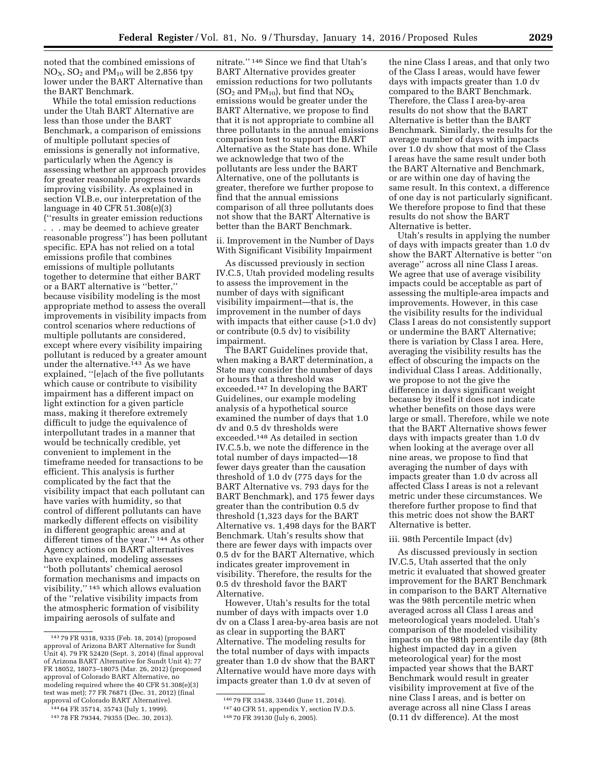noted that the combined emissions of  $NO<sub>X</sub>$ ,  $SO<sub>2</sub>$  and  $PM<sub>10</sub>$  will be 2,856 tpy lower under the BART Alternative than the BART Benchmark.

While the total emission reductions under the Utah BART Alternative are less than those under the BART Benchmark, a comparison of emissions of multiple pollutant species of emissions is generally not informative, particularly when the Agency is assessing whether an approach provides for greater reasonable progress towards improving visibility. As explained in section VI.B.e, our interpretation of the language in 40 CFR 51.308(e)(3) (''results in greater emission reductions . . . may be deemed to achieve greater reasonable progress'') has been pollutant specific. EPA has not relied on a total emissions profile that combines emissions of multiple pollutants together to determine that either BART or a BART alternative is ''better,'' because visibility modeling is the most appropriate method to assess the overall improvements in visibility impacts from control scenarios where reductions of multiple pollutants are considered, except where every visibility impairing pollutant is reduced by a greater amount under the alternative.143 As we have explained, ''[e]ach of the five pollutants which cause or contribute to visibility impairment has a different impact on light extinction for a given particle mass, making it therefore extremely difficult to judge the equivalence of interpollutant trades in a manner that would be technically credible, yet convenient to implement in the timeframe needed for transactions to be efficient. This analysis is further complicated by the fact that the visibility impact that each pollutant can have varies with humidity, so that control of different pollutants can have markedly different effects on visibility in different geographic areas and at different times of the year.'' 144 As other Agency actions on BART alternatives have explained, modeling assesses ''both pollutants' chemical aerosol formation mechanisms and impacts on visibility,'' 145 which allows evaluation of the ''relative visibility impacts from the atmospheric formation of visibility impairing aerosols of sulfate and

nitrate.'' 146 Since we find that Utah's BART Alternative provides greater emission reductions for two pollutants  $(SO<sub>2</sub>$  and PM<sub>10</sub>), but find that NO<sub>X</sub> emissions would be greater under the BART Alternative, we propose to find that it is not appropriate to combine all three pollutants in the annual emissions comparison test to support the BART Alternative as the State has done. While we acknowledge that two of the pollutants are less under the BART Alternative, one of the pollutants is greater, therefore we further propose to find that the annual emissions comparison of all three pollutants does not show that the BART Alternative is better than the BART Benchmark.

ii. Improvement in the Number of Days With Significant Visibility Impairment

As discussed previously in section IV.C.5, Utah provided modeling results to assess the improvement in the number of days with significant visibility impairment—that is, the improvement in the number of days with impacts that either cause (>1.0 dv) or contribute (0.5 dv) to visibility impairment.

The BART Guidelines provide that, when making a BART determination, a State may consider the number of days or hours that a threshold was exceeded.147 In developing the BART Guidelines, our example modeling analysis of a hypothetical source examined the number of days that 1.0 dv and 0.5 dv thresholds were exceeded.148 As detailed in section IV.C.5.b, we note the difference in the total number of days impacted—18 fewer days greater than the causation threshold of 1.0 dv (775 days for the BART Alternative vs. 793 days for the BART Benchmark), and 175 fewer days greater than the contribution 0.5 dv threshold (1,323 days for the BART Alternative vs. 1,498 days for the BART Benchmark. Utah's results show that there are fewer days with impacts over 0.5 dv for the BART Alternative, which indicates greater improvement in visibility. Therefore, the results for the 0.5 dv threshold favor the BART Alternative.

However, Utah's results for the total number of days with impacts over 1.0 dv on a Class I area-by-area basis are not as clear in supporting the BART Alternative. The modeling results for the total number of days with impacts greater than 1.0 dv show that the BART Alternative would have more days with impacts greater than 1.0 dv at seven of

the nine Class I areas, and that only two of the Class I areas, would have fewer days with impacts greater than 1.0 dv compared to the BART Benchmark. Therefore, the Class I area-by-area results do not show that the BART Alternative is better than the BART Benchmark. Similarly, the results for the average number of days with impacts over 1.0 dv show that most of the Class I areas have the same result under both the BART Alternative and Benchmark, or are within one day of having the same result. In this context, a difference of one day is not particularly significant. We therefore propose to find that these results do not show the BART Alternative is better.

Utah's results in applying the number of days with impacts greater than 1.0 dv show the BART Alternative is better ''on average'' across all nine Class I areas. We agree that use of average visibility impacts could be acceptable as part of assessing the multiple-area impacts and improvements. However, in this case the visibility results for the individual Class I areas do not consistently support or undermine the BART Alternative; there is variation by Class I area. Here, averaging the visibility results has the effect of obscuring the impacts on the individual Class I areas. Additionally, we propose to not the give the difference in days significant weight because by itself it does not indicate whether benefits on those days were large or small. Therefore, while we note that the BART Alternative shows fewer days with impacts greater than 1.0 dv when looking at the average over all nine areas, we propose to find that averaging the number of days with impacts greater than 1.0 dv across all affected Class I areas is not a relevant metric under these circumstances. We therefore further propose to find that this metric does not show the BART Alternative is better.

#### iii. 98th Percentile Impact (dv)

As discussed previously in section IV.C.5, Utah asserted that the only metric it evaluated that showed greater improvement for the BART Benchmark in comparison to the BART Alternative was the 98th percentile metric when averaged across all Class I areas and meteorological years modeled. Utah's comparison of the modeled visibility impacts on the 98th percentile day (8th highest impacted day in a given meteorological year) for the most impacted year shows that the BART Benchmark would result in greater visibility improvement at five of the nine Class I areas, and is better on average across all nine Class I areas (0.11 dv difference). At the most

<sup>143</sup> 79 FR 9318, 9335 (Feb. 18, 2014) (proposed approval of Arizona BART Alternative for Sundt Unit 4). 79 FR 52420 (Sept. 3, 2014) (final approval of Arizona BART Alternative for Sundt Unit 4); 77 FR 18052, 18073–18075 (Mar. 26, 2012) (proposed approval of Colorado BART Alternative, no modeling required where the 40 CFR 51.308(e)(3) test was met); 77 FR 76871 (Dec. 31, 2012) (final approval of Colorado BART Alternative).

<sup>144</sup> 64 FR 35714, 35743 (July 1, 1999).

<sup>145</sup> 78 FR 79344, 79355 (Dec. 30, 2013).

<sup>146</sup> 79 FR 33438, 33440 (June 11, 2014). 147 40 CFR 51, appendix Y, section IV.D.5.

<sup>148</sup> 70 FR 39130 (July 6, 2005).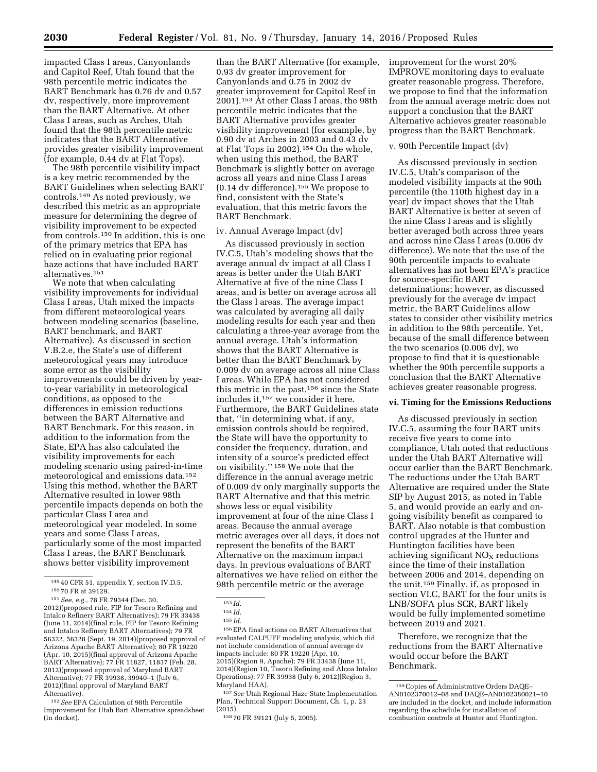impacted Class I areas, Canyonlands and Capitol Reef, Utah found that the 98th percentile metric indicates the BART Benchmark has 0.76 dv and 0.57 dv, respectively, more improvement than the BART Alternative. At other Class I areas, such as Arches, Utah found that the 98th percentile metric indicates that the BART Alternative provides greater visibility improvement (for example, 0.44 dv at Flat Tops).

The 98th percentile visibility impact is a key metric recommended by the BART Guidelines when selecting BART controls.149 As noted previously, we described this metric as an appropriate measure for determining the degree of visibility improvement to be expected from controls.150 In addition, this is one of the primary metrics that EPA has relied on in evaluating prior regional haze actions that have included BART alternatives.151

We note that when calculating visibility improvements for individual Class I areas, Utah mixed the impacts from different meteorological years between modeling scenarios (baseline, BART benchmark, and BART Alternative). As discussed in section V.B.2.e, the State's use of different meteorological years may introduce some error as the visibility improvements could be driven by yearto-year variability in meteorological conditions, as opposed to the differences in emission reductions between the BART Alternative and BART Benchmark. For this reason, in addition to the information from the State, EPA has also calculated the visibility improvements for each modeling scenario using paired-in-time meteorological and emissions data.152 Using this method, whether the BART Alternative resulted in lower 98th percentile impacts depends on both the particular Class I area and meteorological year modeled. In some years and some Class I areas, particularly some of the most impacted Class I areas, the BART Benchmark shows better visibility improvement

2012)(proposed rule, FIP for Tesoro Refining and Intalco Refinery BART Alternatives); 79 FR 33438 (June 11, 2014)(final rule, FIP for Tesoro Refining and Intalco Refinery BART Alternatives); 79 FR 56322, 56328 (Sept. 19, 2014)(proposed approval of Arizona Apache BART Alternative); 80 FR 19220 (Apr. 10, 2015)(final approval of Arizona Apache BART Alternative); 77 FR 11827, 11837 (Feb. 28, 2012)(proposed approval of Maryland BART Alternative); 77 FR 39938, 39940–1 (July 6, 2012)(final approval of Maryland BART Alternative).

152*See* EPA Calculation of 98th Percentile Improvement for Utah Bart Alternative spreadsheet (in docket).

than the BART Alternative (for example, 0.93 dv greater improvement for Canyonlands and 0.75 in 2002 dv greater improvement for Capitol Reef in 2001).153 At other Class I areas, the 98th percentile metric indicates that the BART Alternative provides greater visibility improvement (for example, by 0.90 dv at Arches in 2003 and 0.43 dv at Flat Tops in 2002).154 On the whole, when using this method, the BART Benchmark is slightly better on average across all years and nine Class I areas (0.14 dv difference).155 We propose to find, consistent with the State's evaluation, that this metric favors the BART Benchmark.

#### iv. Annual Average Impact (dv)

As discussed previously in section IV.C.5, Utah's modeling shows that the average annual dv impact at all Class I areas is better under the Utah BART Alternative at five of the nine Class I areas, and is better on average across all the Class I areas. The average impact was calculated by averaging all daily modeling results for each year and then calculating a three-year average from the annual average. Utah's information shows that the BART Alternative is better than the BART Benchmark by 0.009 dv on average across all nine Class I areas. While EPA has not considered this metric in the past,156 since the State includes it,157 we consider it here. Furthermore, the BART Guidelines state that, ''in determining what, if any, emission controls should be required, the State will have the opportunity to consider the frequency, duration, and intensity of a source's predicted effect on visibility.'' 158 We note that the difference in the annual average metric of 0.009 dv only marginally supports the BART Alternative and that this metric shows less or equal visibility improvement at four of the nine Class I areas. Because the annual average metric averages over all days, it does not represent the benefits of the BART Alternative on the maximum impact days. In previous evaluations of BART alternatives we have relied on either the 98th percentile metric or the average

156EPA final actions on BART Alternatives that evaluated CALPUFF modeling analysis, which did not include consideration of annual average dv impacts include: 80 FR 19220 (Apr. 10, 2015)(Region 9, Apache); 79 FR 33438 (June 11, 2014)(Region 10, Tesoro Refining and Alcoa Intalco Operations); 77 FR 39938 (July 6, 2012)(Region 3, Maryland HAA).

157*See* Utah Regional Haze State Implementation Plan, Technical Support Document, Ch. 1, p. 23 (2015).

improvement for the worst 20% IMPROVE monitoring days to evaluate greater reasonable progress. Therefore, we propose to find that the information from the annual average metric does not support a conclusion that the BART Alternative achieves greater reasonable progress than the BART Benchmark.

#### v. 90th Percentile Impact (dv)

As discussed previously in section IV.C.5, Utah's comparison of the modeled visibility impacts at the 90th percentile (the 110th highest day in a year) dv impact shows that the Utah BART Alternative is better at seven of the nine Class I areas and is slightly better averaged both across three years and across nine Class I areas (0.006 dv difference). We note that the use of the 90th percentile impacts to evaluate alternatives has not been EPA's practice for source-specific BART determinations; however, as discussed previously for the average dv impact metric, the BART Guidelines allow states to consider other visibility metrics in addition to the 98th percentile. Yet, because of the small difference between the two scenarios (0.006 dv), we propose to find that it is questionable whether the 90th percentile supports a conclusion that the BART Alternative achieves greater reasonable progress.

## **vi. Timing for the Emissions Reductions**

As discussed previously in section IV.C.5, assuming the four BART units receive five years to come into compliance, Utah noted that reductions under the Utah BART Alternative will occur earlier than the BART Benchmark. The reductions under the Utah BART Alternative are required under the State SIP by August 2015, as noted in Table 5, and would provide an early and ongoing visibility benefit as compared to BART. Also notable is that combustion control upgrades at the Hunter and Huntington facilities have been achieving significant  $NO<sub>x</sub>$  reductions since the time of their installation between 2006 and 2014, depending on the unit.159 Finally, if, as proposed in section VI.C, BART for the four units is LNB/SOFA plus SCR, BART likely would be fully implemented sometime between 2019 and 2021.

Therefore, we recognize that the reductions from the BART Alternative would occur before the BART Benchmark.

<sup>149</sup> 40 CFR 51, appendix Y, section IV.D.5. 150 70 FR at 39129.

<sup>151</sup>*See, e.g.,* 78 FR 79344 (Dec. 30,

<sup>153</sup> *Id.* 

<sup>154</sup> *Id.* 

<sup>155</sup> *Id.* 

<sup>158</sup> 70 FR 39121 (July 5, 2005).

<sup>159</sup>Copies of Administrative Orders DAQE– AN0102370012–08 and DAQE–AN0102380021–10 are included in the docket, and include information regarding the schedule for installation of combustion controls at Hunter and Huntington.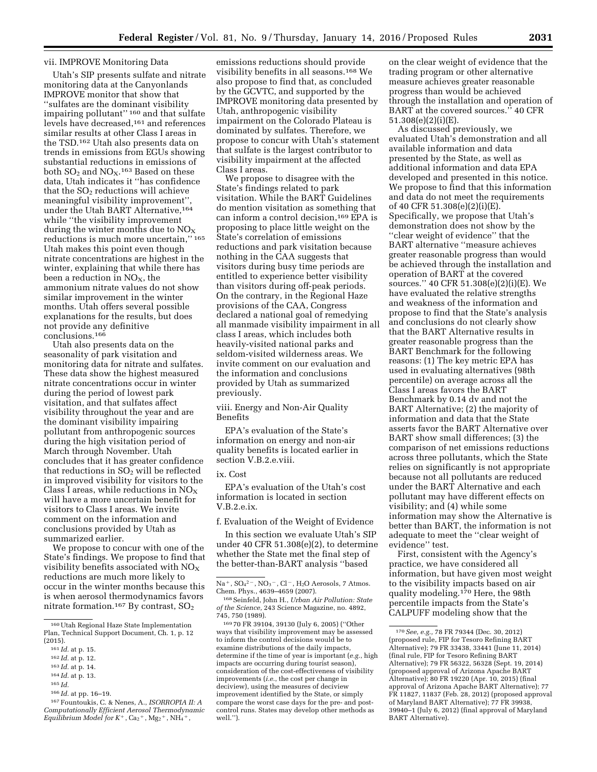#### vii. IMPROVE Monitoring Data

Utah's SIP presents sulfate and nitrate monitoring data at the Canyonlands IMPROVE monitor that show that ''sulfates are the dominant visibility impairing pollutant" 160 and that sulfate levels have decreased,161 and references similar results at other Class I areas in the TSD.162 Utah also presents data on trends in emissions from EGUs showing substantial reductions in emissions of both  $SO_2$  and  $NO_X$ .<sup>163</sup> Based on these data, Utah indicates it ''has confidence that the  $SO<sub>2</sub>$  reductions will achieve meaningful visibility improvement" under the Utah BART Alternative,164 while ''the visibility improvement during the winter months due to  $NO<sub>x</sub>$ reductions is much more uncertain,'' 165 Utah makes this point even though nitrate concentrations are highest in the winter, explaining that while there has been a reduction in  $NO<sub>x</sub>$ , the ammonium nitrate values do not show similar improvement in the winter months. Utah offers several possible explanations for the results, but does not provide any definitive conclusions.166

Utah also presents data on the seasonality of park visitation and monitoring data for nitrate and sulfates. These data show the highest measured nitrate concentrations occur in winter during the period of lowest park visitation, and that sulfates affect visibility throughout the year and are the dominant visibility impairing pollutant from anthropogenic sources during the high visitation period of March through November. Utah concludes that it has greater confidence that reductions in  $SO<sub>2</sub>$  will be reflected in improved visibility for visitors to the Class I areas, while reductions in  $NO<sub>X</sub>$ will have a more uncertain benefit for visitors to Class I areas. We invite comment on the information and conclusions provided by Utah as summarized earlier.

We propose to concur with one of the State's findings. We propose to find that visibility benefits associated with  $NO<sub>x</sub>$ reductions are much more likely to occur in the winter months because this is when aerosol thermodynamics favors nitrate formation.<sup>167</sup> By contrast,  $SO<sub>2</sub>$ 

166 *Id.* at pp. 16–19.

emissions reductions should provide visibility benefits in all seasons.168 We also propose to find that, as concluded by the GCVTC, and supported by the IMPROVE monitoring data presented by Utah, anthropogenic visibility impairment on the Colorado Plateau is dominated by sulfates. Therefore, we propose to concur with Utah's statement that sulfate is the largest contributor to visibility impairment at the affected Class I areas.

We propose to disagree with the State's findings related to park visitation. While the BART Guidelines do mention visitation as something that can inform a control decision,169 EPA is proposing to place little weight on the State's correlation of emissions reductions and park visitation because nothing in the CAA suggests that visitors during busy time periods are entitled to experience better visibility than visitors during off-peak periods. On the contrary, in the Regional Haze provisions of the CAA, Congress declared a national goal of remedying all manmade visibility impairment in all class I areas, which includes both heavily-visited national parks and seldom-visited wilderness areas. We invite comment on our evaluation and the information and conclusions provided by Utah as summarized previously.

viii. Energy and Non-Air Quality Benefits

EPA's evaluation of the State's information on energy and non-air quality benefits is located earlier in section V.B.2.e.viii.

#### ix. Cost

EPA's evaluation of the Utah's cost information is located in section  $V$   $R$  2.e.ix.

f. Evaluation of the Weight of Evidence

In this section we evaluate Utah's SIP under 40 CFR 51.308(e)(2), to determine whether the State met the final step of the better-than-BART analysis ''based

169 70 FR 39104, 39130 (July 6, 2005) (''Other ways that visibility improvement may be assessed to inform the control decisions would be to examine distributions of the daily impacts, determine if the time of year is important (*e.g.*, high impacts are occurring during tourist season), consideration of the cost-effectiveness of visibility improvements (*i.e.*, the cost per change in deciview), using the measures of deciview improvement identified by the State, or simply compare the worst case days for the pre- and postcontrol runs. States may develop other methods as well.'').

on the clear weight of evidence that the trading program or other alternative measure achieves greater reasonable progress than would be achieved through the installation and operation of BART at the covered sources.'' 40 CFR 51.308(e)(2)(i)(E).

As discussed previously, we evaluated Utah's demonstration and all available information and data presented by the State, as well as additional information and data EPA developed and presented in this notice. We propose to find that this information and data do not meet the requirements of 40 CFR 51.308(e)(2)(i)(E). Specifically, we propose that Utah's demonstration does not show by the ''clear weight of evidence'' that the BART alternative ''measure achieves greater reasonable progress than would be achieved through the installation and operation of BART at the covered sources.'' 40 CFR 51.308(e)(2)(i)(E). We have evaluated the relative strengths and weakness of the information and propose to find that the State's analysis and conclusions do not clearly show that the BART Alternative results in greater reasonable progress than the BART Benchmark for the following reasons: (1) The key metric EPA has used in evaluating alternatives (98th percentile) on average across all the Class I areas favors the BART Benchmark by 0.14 dv and not the BART Alternative; (2) the majority of information and data that the State asserts favor the BART Alternative over BART show small differences; (3) the comparison of net emissions reductions across three pollutants, which the State relies on significantly is not appropriate because not all pollutants are reduced under the BART Alternative and each pollutant may have different effects on visibility; and (4) while some information may show the Alternative is better than BART, the information is not adequate to meet the ''clear weight of evidence'' test.

First, consistent with the Agency's practice, we have considered all information, but have given most weight to the visibility impacts based on air quality modeling.<sup>170</sup> Here, the 98th percentile impacts from the State's CALPUFF modeling show that the

<sup>160</sup>Utah Regional Haze State Implementation Plan, Technical Support Document, Ch. 1, p. 12 (2015).

<sup>161</sup> *Id.* at p. 15.

<sup>162</sup> *Id.* at p. 12.

<sup>163</sup> *Id.* at p. 14.

<sup>164</sup> *Id.* at p. 13.

<sup>165</sup> *Id.* 

<sup>167</sup>Fountoukis, C. & Nenes, A., *ISORROPIA II: A Computationally Efficient Aerosol Thermodynamic*   $Equilibrium\ Model\ for\ K^+$ , Ca<sub>2</sub><sup>+</sup>, Mg<sub>2</sub><sup>+</sup>, NH<sub>4</sub><sup>+</sup>,

Na<sup>+</sup>,  $SO_4^2$ <sup>-</sup>, NO<sub>3</sub><sup>-</sup>, Cl<sup>-</sup>, H<sub>2</sub>O Aerosols, 7 Atmos. Chem. Phys., 4639–4659 (2007).

<sup>168</sup>Seinfeld, John H., *Urban Air Pollution: State of the Science,* 243 Science Magazine, no. 4892, 745, 750 (1989).

<sup>170</sup>*See, e.g.,* 78 FR 79344 (Dec. 30, 2012) (proposed rule, FIP for Tesoro Refining BART Alternative); 79 FR 33438, 33441 (June 11, 2014) (final rule, FIP for Tesoro Refining BART Alternative); 79 FR 56322, 56328 (Sept. 19, 2014) (proposed approval of Arizona Apache BART Alternative); 80 FR 19220 (Apr. 10, 2015) (final approval of Arizona Apache BART Alternative); 77 FR 11827, 11837 (Feb. 28, 2012) (proposed approval of Maryland BART Alternative); 77 FR 39938, 39940–1 (July 6, 2012) (final approval of Maryland BART Alternative).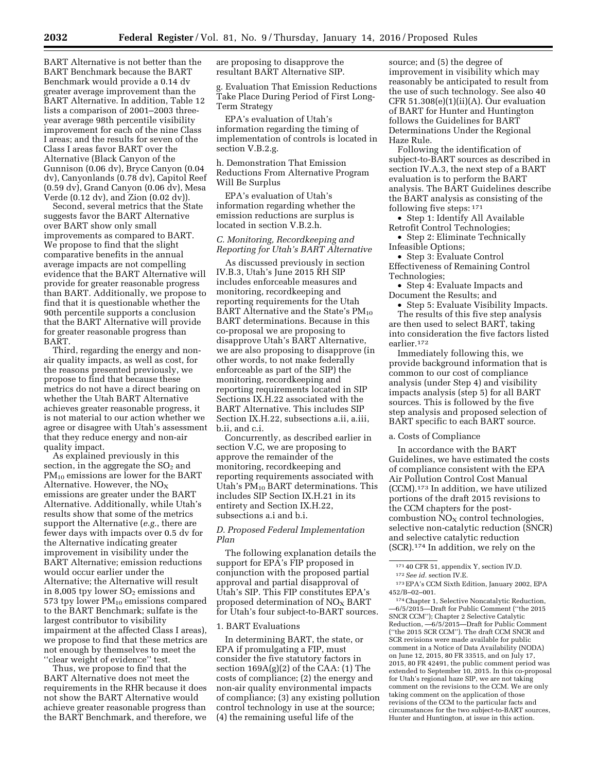BART Alternative is not better than the BART Benchmark because the BART Benchmark would provide a 0.14 dv greater average improvement than the BART Alternative. In addition, Table 12 lists a comparison of 2001–2003 threeyear average 98th percentile visibility improvement for each of the nine Class I areas; and the results for seven of the Class I areas favor BART over the Alternative (Black Canyon of the Gunnison (0.06 dv), Bryce Canyon (0.04 dv), Canyonlands (0.78 dv), Capitol Reef (0.59 dv), Grand Canyon (0.06 dv), Mesa Verde (0.12 dv), and Zion (0.02 dv)).

Second, several metrics that the State suggests favor the BART Alternative over BART show only small improvements as compared to BART. We propose to find that the slight comparative benefits in the annual average impacts are not compelling evidence that the BART Alternative will provide for greater reasonable progress than BART. Additionally, we propose to find that it is questionable whether the 90th percentile supports a conclusion that the BART Alternative will provide for greater reasonable progress than BART.

Third, regarding the energy and nonair quality impacts, as well as cost, for the reasons presented previously, we propose to find that because these metrics do not have a direct bearing on whether the Utah BART Alternative achieves greater reasonable progress, it is not material to our action whether we agree or disagree with Utah's assessment that they reduce energy and non-air quality impact.

As explained previously in this section, in the aggregate the  $SO<sub>2</sub>$  and PM<sub>10</sub> emissions are lower for the BART Alternative. However, the  $NO<sub>X</sub>$ emissions are greater under the BART Alternative. Additionally, while Utah's results show that some of the metrics support the Alternative (*e.g.*, there are fewer days with impacts over 0.5 dv for the Alternative indicating greater improvement in visibility under the BART Alternative; emission reductions would occur earlier under the Alternative; the Alternative will result in 8,005 tpy lower  $SO<sub>2</sub>$  emissions and 573 tpy lower  $PM_{10}$  emissions compared to the BART Benchmark; sulfate is the largest contributor to visibility impairment at the affected Class I areas), we propose to find that these metrics are not enough by themselves to meet the ''clear weight of evidence'' test.

Thus, we propose to find that the BART Alternative does not meet the requirements in the RHR because it does not show the BART Alternative would achieve greater reasonable progress than the BART Benchmark, and therefore, we

are proposing to disapprove the resultant BART Alternative SIP.

g. Evaluation That Emission Reductions Take Place During Period of First Long-Term Strategy

EPA's evaluation of Utah's information regarding the timing of implementation of controls is located in section V.B.2.g.

h. Demonstration That Emission Reductions From Alternative Program Will Be Surplus

EPA's evaluation of Utah's information regarding whether the emission reductions are surplus is located in section V.B.2.h.

## *C. Monitoring, Recordkeeping and Reporting for Utah's BART Alternative*

As discussed previously in section IV.B.3, Utah's June 2015 RH SIP includes enforceable measures and monitoring, recordkeeping and reporting requirements for the Utah BART Alternative and the State's  $PM_{10}$ BART determinations. Because in this co-proposal we are proposing to disapprove Utah's BART Alternative, we are also proposing to disapprove (in other words, to not make federally enforceable as part of the SIP) the monitoring, recordkeeping and reporting requirements located in SIP Sections IX.H.22 associated with the BART Alternative. This includes SIP Section IX.H.22, subsections a.ii, a.iii, b.ii, and c.i.

Concurrently, as described earlier in section V.C, we are proposing to approve the remainder of the monitoring, recordkeeping and reporting requirements associated with Utah's PM10 BART determinations. This includes SIP Section IX.H.21 in its entirety and Section IX.H.22, subsections a.i and b.i.

## *D. Proposed Federal Implementation Plan*

The following explanation details the support for EPA's FIP proposed in conjunction with the proposed partial approval and partial disapproval of Utah's SIP. This FIP constitutes EPA's proposed determination of  $NO<sub>x</sub> BART$ for Utah's four subject-to-BART sources.

#### 1. BART Evaluations

In determining BART, the state, or EPA if promulgating a FIP, must consider the five statutory factors in section  $169A(g)(2)$  of the CAA: (1) The costs of compliance; (2) the energy and non-air quality environmental impacts of compliance; (3) any existing pollution control technology in use at the source; (4) the remaining useful life of the

source; and (5) the degree of improvement in visibility which may reasonably be anticipated to result from the use of such technology. See also 40 CFR  $51.308(e)(1)(ii)(A)$ . Our evaluation of BART for Hunter and Huntington follows the Guidelines for BART Determinations Under the Regional Haze Rule.

Following the identification of subject-to-BART sources as described in section IV.A.3, the next step of a BART evaluation is to perform the BART analysis. The BART Guidelines describe the BART analysis as consisting of the following five steps: 171

• Step 1: Identify All Available Retrofit Control Technologies;

• Step 2: Eliminate Technically Infeasible Options;

• Step 3: Evaluate Control Effectiveness of Remaining Control Technologies;

• Step 4: Evaluate Impacts and Document the Results; and

• Step 5: Evaluate Visibility Impacts. The results of this five step analysis are then used to select BART, taking into consideration the five factors listed earlier.172

Immediately following this, we provide background information that is common to our cost of compliance analysis (under Step 4) and visibility impacts analysis (step 5) for all BART sources. This is followed by the five step analysis and proposed selection of BART specific to each BART source.

a. Costs of Compliance

In accordance with the BART Guidelines, we have estimated the costs of compliance consistent with the EPA Air Pollution Control Cost Manual (CCM).173 In addition, we have utilized portions of the draft 2015 revisions to the CCM chapters for the postcombustion  $NO<sub>X</sub>$  control technologies, selective non-catalytic reduction (SNCR) and selective catalytic reduction (SCR).174 In addition, we rely on the

174Chapter 1, Selective Noncatalytic Reduction, —6/5/2015—Draft for Public Comment (''the 2015 SNCR CCM''); Chapter 2 Selective Catalytic Reduction, —6/5/2015—Draft for Public Comment (''the 2015 SCR CCM''). The draft CCM SNCR and SCR revisions were made available for public comment in a Notice of Data Availability (NODA) on June 12, 2015, 80 FR 33515, and on July 17, 2015, 80 FR 42491, the public comment period was extended to September 10, 2015. In this co-proposal for Utah's regional haze SIP, we are not taking comment on the revisions to the CCM. We are only taking comment on the application of those revisions of the CCM to the particular facts and circumstances for the two subject-to-BART sources, Hunter and Huntington, at issue in this action.

<sup>171</sup> 40 CFR 51, appendix Y, section IV.D.

<sup>172</sup>*See id.* section IV.E.

<sup>173</sup>EPA's CCM Sixth Edition, January 2002, EPA 452/B–02–001.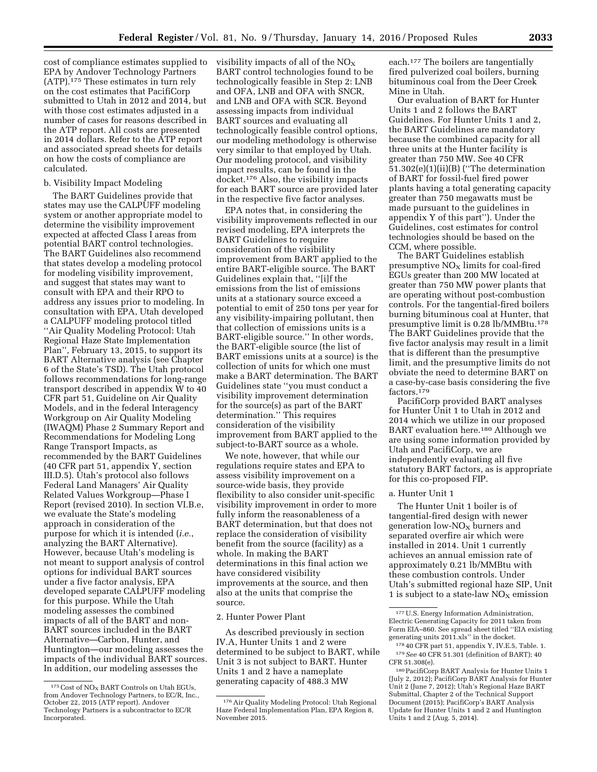cost of compliance estimates supplied to EPA by Andover Technology Partners (ATP).175 These estimates in turn rely on the cost estimates that PacifiCorp submitted to Utah in 2012 and 2014, but with those cost estimates adjusted in a number of cases for reasons described in the ATP report. All costs are presented in 2014 dollars. Refer to the ATP report and associated spread sheets for details on how the costs of compliance are calculated.

#### b. Visibility Impact Modeling

The BART Guidelines provide that states may use the CALPUFF modeling system or another appropriate model to determine the visibility improvement expected at affected Class I areas from potential BART control technologies. The BART Guidelines also recommend that states develop a modeling protocol for modeling visibility improvement, and suggest that states may want to consult with EPA and their RPO to address any issues prior to modeling. In consultation with EPA, Utah developed a CALPUFF modeling protocol titled ''Air Quality Modeling Protocol: Utah Regional Haze State Implementation Plan'', February 13, 2015, to support its BART Alternative analysis (see Chapter 6 of the State's TSD). The Utah protocol follows recommendations for long-range transport described in appendix W to 40 CFR part 51, Guideline on Air Quality Models, and in the federal Interagency Workgroup on Air Quality Modeling (IWAQM) Phase 2 Summary Report and Recommendations for Modeling Long Range Transport Impacts, as recommended by the BART Guidelines (40 CFR part 51, appendix Y, section III.D.5). Utah's protocol also follows Federal Land Managers' Air Quality Related Values Workgroup—Phase I Report (revised 2010). In section VI.B.e, we evaluate the State's modeling approach in consideration of the purpose for which it is intended (*i.e.*, analyzing the BART Alternative). However, because Utah's modeling is not meant to support analysis of control options for individual BART sources under a five factor analysis, EPA developed separate CALPUFF modeling for this purpose. While the Utah modeling assesses the combined impacts of all of the BART and non-BART sources included in the BART Alternative—Carbon, Hunter, and Huntington—our modeling assesses the impacts of the individual BART sources. In addition, our modeling assesses the

visibility impacts of all of the  $NO<sub>x</sub>$ BART control technologies found to be technologically feasible in Step 2: LNB and OFA, LNB and OFA with SNCR, and LNB and OFA with SCR. Beyond assessing impacts from individual BART sources and evaluating all technologically feasible control options, our modeling methodology is otherwise very similar to that employed by Utah. Our modeling protocol, and visibility impact results, can be found in the docket.176 Also, the visibility impacts for each BART source are provided later in the respective five factor analyses.

EPA notes that, in considering the visibility improvements reflected in our revised modeling, EPA interprets the BART Guidelines to require consideration of the visibility improvement from BART applied to the entire BART-eligible source. The BART Guidelines explain that, ''[i]f the emissions from the list of emissions units at a stationary source exceed a potential to emit of 250 tons per year for any visibility-impairing pollutant, then that collection of emissions units is a BART-eligible source.'' In other words, the BART-eligible source (the list of BART emissions units at a source) is the collection of units for which one must make a BART determination. The BART Guidelines state ''you must conduct a visibility improvement determination for the source(s) as part of the BART determination.'' This requires consideration of the visibility improvement from BART applied to the subject-to-BART source as a whole.

We note, however, that while our regulations require states and EPA to assess visibility improvement on a source-wide basis, they provide flexibility to also consider unit-specific visibility improvement in order to more fully inform the reasonableness of a BART determination, but that does not replace the consideration of visibility benefit from the source (facility) as a whole. In making the BART determinations in this final action we have considered visibility improvements at the source, and then also at the units that comprise the source.

#### 2. Hunter Power Plant

As described previously in section IV.A, Hunter Units 1 and 2 were determined to be subject to BART, while Unit 3 is not subject to BART. Hunter Units 1 and 2 have a nameplate generating capacity of 488.3 MW

each.177 The boilers are tangentially fired pulverized coal boilers, burning bituminous coal from the Deer Creek Mine in Utah.

Our evaluation of BART for Hunter Units 1 and 2 follows the BART Guidelines. For Hunter Units 1 and 2, the BART Guidelines are mandatory because the combined capacity for all three units at the Hunter facility is greater than 750 MW. See 40 CFR 51.302(e)(1)(ii)(B) (''The determination of BART for fossil-fuel fired power plants having a total generating capacity greater than 750 megawatts must be made pursuant to the guidelines in appendix Y of this part''). Under the Guidelines, cost estimates for control technologies should be based on the CCM, where possible.

The BART Guidelines establish presumptive  $NO<sub>x</sub>$  limits for coal-fired EGUs greater than 200 MW located at greater than 750 MW power plants that are operating without post-combustion controls. For the tangential-fired boilers burning bituminous coal at Hunter, that presumptive limit is 0.28 lb/MMBtu.178 The BART Guidelines provide that the five factor analysis may result in a limit that is different than the presumptive limit, and the presumptive limits do not obviate the need to determine BART on a case-by-case basis considering the five factors.<sup>179</sup>

PacifiCorp provided BART analyses for Hunter Unit 1 to Utah in 2012 and 2014 which we utilize in our proposed BART evaluation here.180 Although we are using some information provided by Utah and PacifiCorp, we are independently evaluating all five statutory BART factors, as is appropriate for this co-proposed FIP.

#### a. Hunter Unit 1

The Hunter Unit 1 boiler is of tangential-fired design with newer generation low-NO<sub>x</sub> burners and separated overfire air which were installed in 2014. Unit 1 currently achieves an annual emission rate of approximately 0.21 lb/MMBtu with these combustion controls. Under Utah's submitted regional haze SIP, Unit 1 is subject to a state-law  $NO<sub>x</sub>$  emission

<sup>175</sup> Cost of NO<sub>X</sub> BART Controls on Utah EGUs, from Andover Technology Partners, to EC/R, Inc., October 22, 2015 (ATP report). Andover Technology Partners is a subcontractor to EC/R Incorporated.

<sup>176</sup>Air Quality Modeling Protocol: Utah Regional Haze Federal Implementation Plan, EPA Region 8, November 2015.

<sup>177</sup>U.S. Energy Information Administration, Electric Generating Capacity for 2011 taken from Form EIA–860. See spread sheet titled ''EIA existing generating units 2011.xls'' in the docket.

<sup>178</sup> 40 CFR part 51, appendix Y, IV.E.5, Table. 1. 179*See* 40 CFR 51.301 (definition of BART); 40 CFR 51.308(e).

<sup>180</sup>PacifiCorp BART Analysis for Hunter Units 1 (July 2, 2012); PacifiCorp BART Analysis for Hunter Unit 2 (June 7, 2012); Utah's Regional Haze BART Submittal, Chapter 2 of the Technical Support Document (2015); PacifiCorp's BART Analysis Update for Hunter Units 1 and 2 and Huntington Units 1 and 2 (Aug. 5, 2014).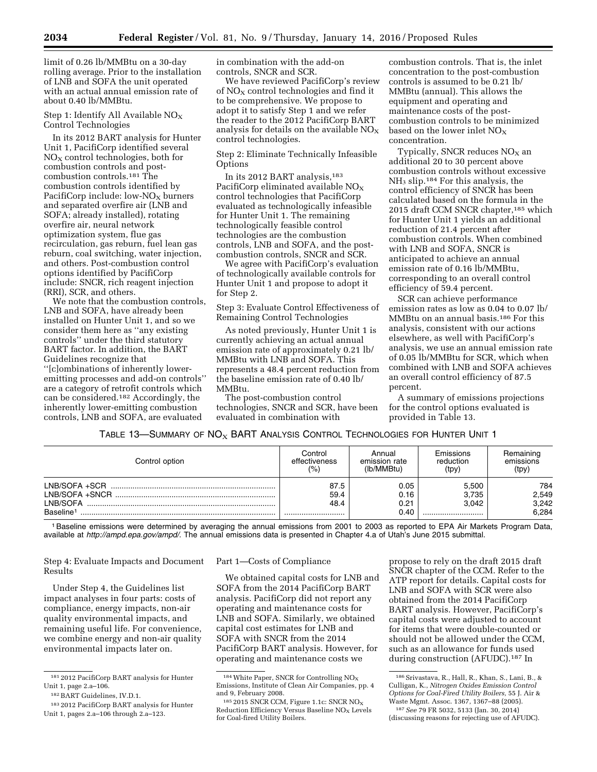limit of 0.26 lb/MMBtu on a 30-day rolling average. Prior to the installation of LNB and SOFA the unit operated with an actual annual emission rate of about 0.40 lb/MMBtu.

#### Step 1: Identify All Available  $NO<sub>x</sub>$ Control Technologies

In its 2012 BART analysis for Hunter Unit 1, PacifiCorp identified several  $NO<sub>x</sub>$  control technologies, both for combustion controls and postcombustion controls.181 The combustion controls identified by PacifiCorp include: low- $NO<sub>X</sub>$  burners and separated overfire air (LNB and SOFA; already installed), rotating overfire air, neural network optimization system, flue gas recirculation, gas reburn, fuel lean gas reburn, coal switching, water injection, and others. Post-combustion control options identified by PacifiCorp include: SNCR, rich reagent injection (RRI), SCR, and others.

We note that the combustion controls, LNB and SOFA, have already been installed on Hunter Unit 1, and so we consider them here as ''any existing controls'' under the third statutory BART factor. In addition, the BART Guidelines recognize that ''[c]ombinations of inherently loweremitting processes and add-on controls'' are a category of retrofit controls which can be considered.182 Accordingly, the inherently lower-emitting combustion controls, LNB and SOFA, are evaluated

in combination with the add-on controls, SNCR and SCR.

We have reviewed PacifiCorp's review of NO<sub>X</sub> control technologies and find it to be comprehensive. We propose to adopt it to satisfy Step 1 and we refer the reader to the 2012 PacifiCorp BART analysis for details on the available  $NO_X$ control technologies.

Step 2: Eliminate Technically Infeasible **Options** 

In its 2012 BART analysis,183 PacifiCorp eliminated available  $NO<sub>x</sub>$ control technologies that PacifiCorp evaluated as technologically infeasible for Hunter Unit 1. The remaining technologically feasible control technologies are the combustion controls, LNB and SOFA, and the postcombustion controls, SNCR and SCR.

We agree with PacifiCorp's evaluation of technologically available controls for Hunter Unit 1 and propose to adopt it for Step 2.

Step 3: Evaluate Control Effectiveness of Remaining Control Technologies

As noted previously, Hunter Unit 1 is currently achieving an actual annual emission rate of approximately 0.21 lb/ MMBtu with LNB and SOFA. This represents a 48.4 percent reduction from the baseline emission rate of 0.40 lb/ MMBtu.

The post-combustion control technologies, SNCR and SCR, have been evaluated in combination with

combustion controls. That is, the inlet concentration to the post-combustion controls is assumed to be 0.21 lb/ MMBtu (annual). This allows the equipment and operating and maintenance costs of the postcombustion controls to be minimized based on the lower inlet  $NO<sub>x</sub>$ concentration.

Typically, SNCR reduces  $NO<sub>x</sub>$  an additional 20 to 30 percent above combustion controls without excessive NH<sup>3</sup> slip.184 For this analysis, the control efficiency of SNCR has been calculated based on the formula in the 2015 draft CCM SNCR chapter,<sup>185</sup> which for Hunter Unit 1 yields an additional reduction of 21.4 percent after combustion controls. When combined with LNB and SOFA, SNCR is anticipated to achieve an annual emission rate of 0.16 lb/MMBtu, corresponding to an overall control efficiency of 59.4 percent.

SCR can achieve performance emission rates as low as 0.04 to 0.07 lb/ MMBtu on an annual basis.186 For this analysis, consistent with our actions elsewhere, as well with PacifiCorp's analysis, we use an annual emission rate of 0.05 lb/MMBtu for SCR, which when combined with LNB and SOFA achieves an overall control efficiency of 87.5 percent.

A summary of emissions projections for the control options evaluated is provided in Table 13.

TABLE 13—SUMMARY OF  $N\text{O}_X$  BART ANALYSIS CONTROL TECHNOLOGIES FOR HUNTER UNIT 1

| Control option        | Control<br>effectiveness<br>(%) | Annual<br>emission rate<br>(Ib/MMBtu) | Emissions<br>reduction<br>(tpy) | Remaining<br>emissions<br>(tpy) |  |
|-----------------------|---------------------------------|---------------------------------------|---------------------------------|---------------------------------|--|
| LNB/SOFA +SCR         | 87.5                            | 0.05                                  | 5,500                           | 784                             |  |
| $LNB/SOFA + SNCR$     | 59.4                            | 0.16                                  | 3,735                           | 2,549                           |  |
| LNB/SOFA              | 48.4                            | 0.21                                  | 3.042                           | 3,242                           |  |
| Baseline <sup>1</sup> |                                 | 0.40                                  |                                 | 6.284                           |  |

1Baseline emissions were determined by averaging the annual emissions from 2001 to 2003 as reported to EPA Air Markets Program Data, available at *<http://ampd.epa.gov/ampd/>*. The annual emissions data is presented in Chapter 4.a of Utah's June 2015 submittal.

Step 4: Evaluate Impacts and Document Results

Under Step 4, the Guidelines list impact analyses in four parts: costs of compliance, energy impacts, non-air quality environmental impacts, and remaining useful life. For convenience, we combine energy and non-air quality environmental impacts later on.

#### Part 1—Costs of Compliance

We obtained capital costs for LNB and SOFA from the 2014 PacifiCorp BART analysis. PacifiCorp did not report any operating and maintenance costs for LNB and SOFA. Similarly, we obtained capital cost estimates for LNB and SOFA with SNCR from the 2014 PacifiCorp BART analysis. However, for operating and maintenance costs we

propose to rely on the draft 2015 draft SNCR chapter of the CCM. Refer to the ATP report for details. Capital costs for LNB and SOFA with SCR were also obtained from the 2014 PacifiCorp BART analysis. However, PacifiCorp's capital costs were adjusted to account for items that were double-counted or should not be allowed under the CCM, such as an allowance for funds used during construction (AFUDC).187 In

<sup>181</sup> 2012 PacifiCorp BART analysis for Hunter Unit 1, page 2.a–106.

<sup>182</sup>BART Guidelines, IV.D.1.

<sup>183</sup> 2012 PacifiCorp BART analysis for Hunter Unit 1, pages 2.a–106 through 2.a–123.

 $184$  White Paper, SNCR for Controlling NO<sub>X</sub> Emissions, Institute of Clean Air Companies, pp. 4 and 9, February 2008.

<sup>&</sup>lt;sup>185</sup> 2015 SNCR CCM, Figure 1.1c: SNCR NO<sub>X</sub> Reduction Efficiency Versus Baseline  $NO<sub>x</sub>$  Levels for Coal-fired Utility Boilers.

<sup>186</sup> Srivastava, R., Hall, R., Khan, S., Lani, B., & Culligan, K., *Nitrogen Oxides Emission Control Options for Coal-Fired Utility Boilers,* 55 J. Air & Waste Mgmt. Assoc. 1367, 1367–88 (2005).

<sup>187</sup>*See* 79 FR 5032, 5133 (Jan. 30, 2014) (discussing reasons for rejecting use of AFUDC).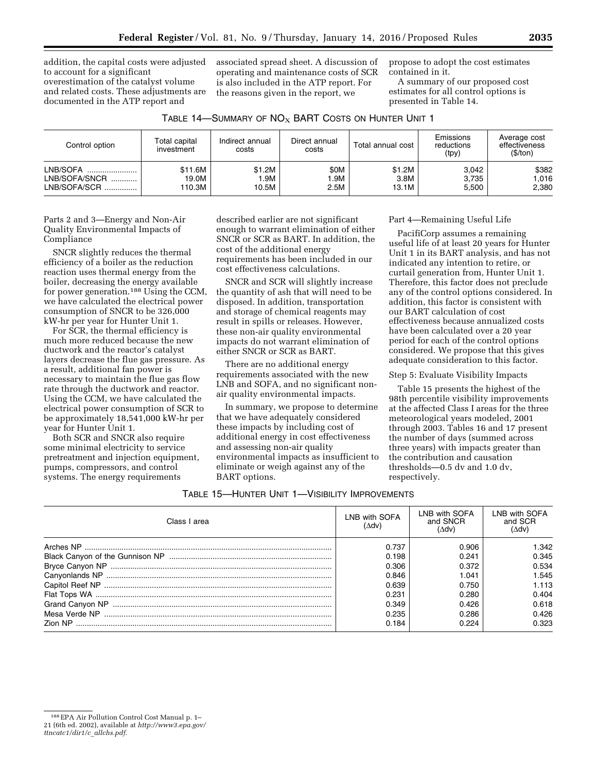addition, the capital costs were adjusted to account for a significant overestimation of the catalyst volume and related costs. These adjustments are documented in the ATP report and

associated spread sheet. A discussion of operating and maintenance costs of SCR is also included in the ATP report. For the reasons given in the report, we

propose to adopt the cost estimates contained in it.

A summary of our proposed cost estimates for all control options is presented in Table 14.

| Table 14—Summary of $\mathsf{NO}_{\mathsf{X}}$ BART Costs on Hunter Unit 1 $\,$ |
|---------------------------------------------------------------------------------|
|                                                                                 |

| Control option | Total capital<br>investment | Indirect annual<br>costs | Direct annual<br>Total annual cost<br>costs |        | Emissions<br>reductions<br>(tpy) | Average cost<br>effectiveness<br>(S/ton) |  |
|----------------|-----------------------------|--------------------------|---------------------------------------------|--------|----------------------------------|------------------------------------------|--|
| LNB/SOFA       | \$11.6M                     | \$1.2M                   | \$0M                                        | \$1.2M | 3.042                            | \$382                                    |  |
| LNB/SOFA/SNCR  | 19.0M                       | I.9M                     | I.9M                                        | 3.8M   | 3.735                            | 1.016                                    |  |
| LNB/SOFA/SCR   | 110.3M                      | 10.5M                    | 2.5M                                        | 13.1M  | 5.500                            | 2,380                                    |  |

Parts 2 and 3—Energy and Non-Air Quality Environmental Impacts of Compliance

SNCR slightly reduces the thermal efficiency of a boiler as the reduction reaction uses thermal energy from the boiler, decreasing the energy available for power generation.188 Using the CCM, we have calculated the electrical power consumption of SNCR to be 326,000 kW-hr per year for Hunter Unit 1.

For SCR, the thermal efficiency is much more reduced because the new ductwork and the reactor's catalyst layers decrease the flue gas pressure. As a result, additional fan power is necessary to maintain the flue gas flow rate through the ductwork and reactor. Using the CCM, we have calculated the electrical power consumption of SCR to be approximately 18,541,000 kW-hr per year for Hunter Unit 1.

Both SCR and SNCR also require some minimal electricity to service pretreatment and injection equipment, pumps, compressors, and control systems. The energy requirements

described earlier are not significant enough to warrant elimination of either SNCR or SCR as BART. In addition, the cost of the additional energy requirements has been included in our cost effectiveness calculations.

SNCR and SCR will slightly increase the quantity of ash that will need to be disposed. In addition, transportation and storage of chemical reagents may result in spills or releases. However, these non-air quality environmental impacts do not warrant elimination of either SNCR or SCR as BART.

There are no additional energy requirements associated with the new LNB and SOFA, and no significant nonair quality environmental impacts.

In summary, we propose to determine that we have adequately considered these impacts by including cost of additional energy in cost effectiveness and assessing non-air quality environmental impacts as insufficient to eliminate or weigh against any of the BART options.

## Part 4—Remaining Useful Life

PacifiCorp assumes a remaining useful life of at least 20 years for Hunter Unit 1 in its BART analysis, and has not indicated any intention to retire, or curtail generation from, Hunter Unit 1. Therefore, this factor does not preclude any of the control options considered. In addition, this factor is consistent with our BART calculation of cost effectiveness because annualized costs have been calculated over a 20 year period for each of the control options considered. We propose that this gives adequate consideration to this factor.

#### Step 5: Evaluate Visibility Impacts

Table 15 presents the highest of the 98th percentile visibility improvements at the affected Class I areas for the three meteorological years modeled, 2001 through 2003. Tables 16 and 17 present the number of days (summed across three years) with impacts greater than the contribution and causation thresholds—0.5 dv and 1.0 dv, respectively.

| Table 15—Hunter Unit 1—Visibility Improvements |
|------------------------------------------------|
|                                                |

| Class I area | LNB with SOFA<br>$(\Delta dv)$ | LNB with SOFA<br>and SNCR<br>(∆dv) | LNB with SOFA<br>and SCR<br>(∆dv) |
|--------------|--------------------------------|------------------------------------|-----------------------------------|
|              | 0.737                          | 0.906                              | 1.342                             |
|              | 0.198                          | 0.241                              | 0.345                             |
|              | 0.306                          | 0.372                              | 0.534                             |
|              | 0.846                          | 1.041                              | 1.545                             |
|              | 0.639                          | 0.750                              | 1.113                             |
|              | 0.231                          | 0.280                              | 0.404                             |
|              | 0.349                          | 0.426                              | 0.618                             |
|              | 0.235                          | 0.286                              | 0.426                             |
|              | 0.184                          | በ 224                              | 0.323                             |

<sup>188</sup>EPA Air Pollution Control Cost Manual p. 1– 21 (6th ed. 2002), available at *[http://www3.epa.gov/](http://www3.epa.gov/ttncatc1/dir1/c_allchs.pdf) [ttncatc1/dir1/c](http://www3.epa.gov/ttncatc1/dir1/c_allchs.pdf)*\_*allchs.pdf.*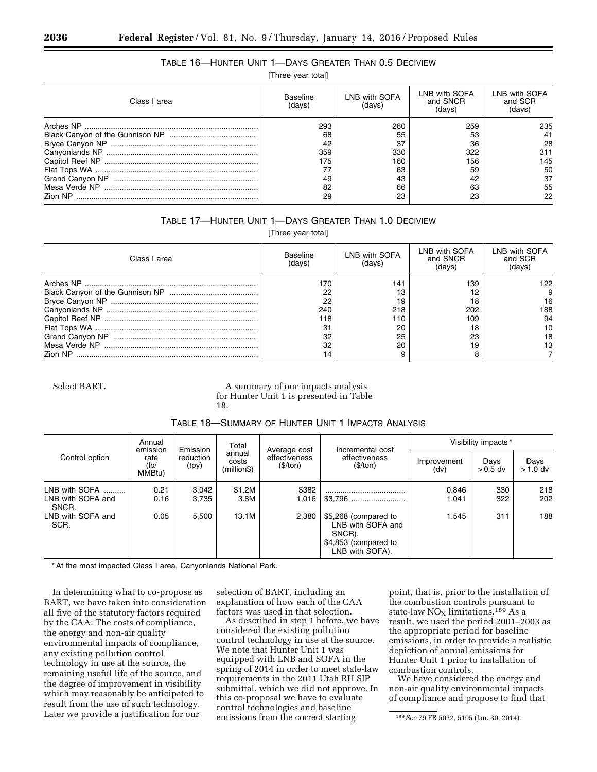## TABLE 16—HUNTER UNIT 1—DAYS GREATER THAN 0.5 DECIVIEW

[Three year total]

| Class I area   | Baseline<br>(davs) | LNB with SOFA<br>(davs) | LNB with SOFA<br>and SNCR | LNB with SOFA<br>and SCR<br>(davs) |
|----------------|--------------------|-------------------------|---------------------------|------------------------------------|
|                | 293                | 260                     | 259                       | 235                                |
|                | 68                 | 55                      | 53                        |                                    |
|                | 42                 | 37                      | 36                        | 28                                 |
|                | 359                | 330                     | 322                       | 311                                |
|                | '75                | 160                     | 156                       | 145                                |
|                |                    | 63                      | 59                        | 50                                 |
|                | 49                 | 43                      |                           | 37                                 |
|                | 82                 | 66                      | 63                        | 55                                 |
| <b>Zion NP</b> | 29                 | 23                      | 23                        | 22                                 |

## TABLE 17—HUNTER UNIT 1—DAYS GREATER THAN 1.0 DECIVIEW

[Three year total]

| Class I area | Baseline<br>(davs) | LNB with SOFA<br>(davs) | LNB with SOFA<br>and SNCR<br>(davs) | LNB with SOFA<br>and SCR<br>(days) |
|--------------|--------------------|-------------------------|-------------------------------------|------------------------------------|
|              | 170                | 141                     | 139                                 | 122                                |
|              | 22                 | 13                      |                                     |                                    |
|              | 22                 | 19                      |                                     | 16                                 |
|              | 240                | 218                     | 202                                 | 188                                |
|              | 118                | 110                     | 109                                 | 94                                 |
|              |                    | 20                      |                                     |                                    |
|              | 32                 | 25                      | 23                                  | 18                                 |
|              | 32                 | 20                      | 19                                  | ıз                                 |
|              |                    |                         |                                     |                                    |

Select BART. A summary of our impacts analysis for Hunter Unit 1 is presented in Table 18.

| TABLE 18-SUMMARY OF HUNTER UNIT 1 IMPACTS ANALYSIS |  |
|----------------------------------------------------|--|
|----------------------------------------------------|--|

| Annual<br>Total<br>emission<br>Emission<br>Average cost<br>annual<br>Control option<br>reduction<br>rate<br>costs<br>(\$/ton)<br>(lb/<br>(tpy)<br>(million\$)<br>MMBtu) |               |                                               |                     |                   |                                                                                                | Visibility impacts* |            |            |
|-------------------------------------------------------------------------------------------------------------------------------------------------------------------------|---------------|-----------------------------------------------|---------------------|-------------------|------------------------------------------------------------------------------------------------|---------------------|------------|------------|
|                                                                                                                                                                         | effectiveness | Incremental cost<br>effectiveness<br>(\$/ton) | Improvement<br>(dv) | Days<br>$>0.5$ dv | Days<br>$>1.0$ dv                                                                              |                     |            |            |
| LNB with SOFA<br>LNB with SOFA and<br>SNCR.                                                                                                                             | 0.21<br>0.16  | 3,042<br>3,735                                | \$1.2M<br>3.8M      | \$382<br>1,016    |                                                                                                | 0.846<br>1.041      | 330<br>322 | 218<br>202 |
| LNB with SOFA and<br>SCR.                                                                                                                                               | 0.05          | 5.500                                         | 13.1M               | 2.380             | \$5,268 (compared to<br>LNB with SOFA and<br>SNCR).<br>\$4,853 (compared to<br>LNB with SOFA). | 1.545               | 311        | 188        |

\* At the most impacted Class I area, Canyonlands National Park.

In determining what to co-propose as BART, we have taken into consideration all five of the statutory factors required by the CAA: The costs of compliance, the energy and non-air quality environmental impacts of compliance, any existing pollution control technology in use at the source, the remaining useful life of the source, and the degree of improvement in visibility which may reasonably be anticipated to result from the use of such technology. Later we provide a justification for our

selection of BART, including an explanation of how each of the CAA factors was used in that selection.

As described in step 1 before, we have considered the existing pollution control technology in use at the source. We note that Hunter Unit 1 was equipped with LNB and SOFA in the spring of 2014 in order to meet state-law requirements in the 2011 Utah RH SIP submittal, which we did not approve. In this co-proposal we have to evaluate control technologies and baseline emissions from the correct starting

point, that is, prior to the installation of the combustion controls pursuant to state-law  $NO<sub>X</sub>$  limitations.<sup>189</sup> As a result, we used the period 2001–2003 as the appropriate period for baseline emissions, in order to provide a realistic depiction of annual emissions for Hunter Unit 1 prior to installation of combustion controls.

We have considered the energy and non-air quality environmental impacts of compliance and propose to find that

<sup>189</sup>*See* 79 FR 5032, 5105 (Jan. 30, 2014).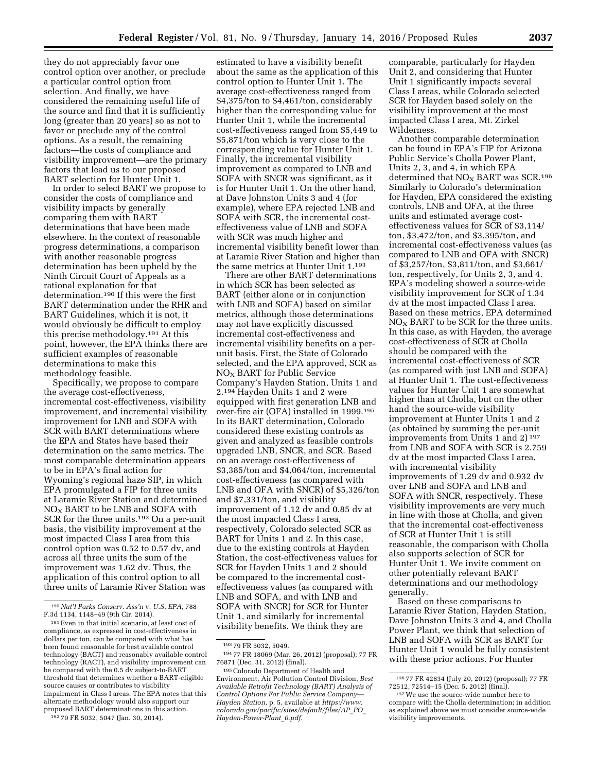they do not appreciably favor one control option over another, or preclude a particular control option from selection. And finally, we have considered the remaining useful life of the source and find that it is sufficiently long (greater than 20 years) so as not to favor or preclude any of the control options. As a result, the remaining factors—the costs of compliance and visibility improvement—are the primary factors that lead us to our proposed BART selection for Hunter Unit 1.

In order to select BART we propose to consider the costs of compliance and visibility impacts by generally comparing them with BART determinations that have been made elsewhere. In the context of reasonable progress determinations, a comparison with another reasonable progress determination has been upheld by the Ninth Circuit Court of Appeals as a rational explanation for that determination.190 If this were the first BART determination under the RHR and BART Guidelines, which it is not, it would obviously be difficult to employ this precise methodology.191 At this point, however, the EPA thinks there are sufficient examples of reasonable determinations to make this methodology feasible.

Specifically, we propose to compare the average cost-effectiveness, incremental cost-effectiveness, visibility improvement, and incremental visibility improvement for LNB and SOFA with SCR with BART determinations where the EPA and States have based their determination on the same metrics. The most comparable determination appears to be in EPA's final action for Wyoming's regional haze SIP, in which EPA promulgated a FIP for three units at Laramie River Station and determined  $NO<sub>X</sub>$  BART to be LNB and SOFA with SCR for the three units.192 On a per-unit basis, the visibility improvement at the most impacted Class I area from this control option was 0.52 to 0.57 dv, and across all three units the sum of the improvement was 1.62 dv. Thus, the application of this control option to all three units of Laramie River Station was

estimated to have a visibility benefit about the same as the application of this control option to Hunter Unit 1. The average cost-effectiveness ranged from \$4,375/ton to \$4,461/ton, considerably higher than the corresponding value for Hunter Unit 1, while the incremental cost-effectiveness ranged from \$5,449 to \$5,871/ton which is very close to the corresponding value for Hunter Unit 1. Finally, the incremental visibility improvement as compared to LNB and SOFA with SNCR was significant, as it is for Hunter Unit 1. On the other hand, at Dave Johnston Units 3 and 4 (for example), where EPA rejected LNB and SOFA with SCR, the incremental costeffectiveness value of LNB and SOFA with SCR was much higher and incremental visibility benefit lower than at Laramie River Station and higher than the same metrics at Hunter Unit 1.193

There are other BART determinations in which SCR has been selected as BART (either alone or in conjunction with LNB and SOFA) based on similar metrics, although those determinations may not have explicitly discussed incremental cost-effectiveness and incremental visibility benefits on a perunit basis. First, the State of Colorado selected, and the EPA approved, SCR as  $NO<sub>x</sub>$  BART for Public Service Company's Hayden Station, Units 1 and 2.194 Hayden Units 1 and 2 were equipped with first generation LNB and over-fire air (OFA) installed in 1999.195 In its BART determination, Colorado considered these existing controls as given and analyzed as feasible controls upgraded LNB, SNCR, and SCR. Based on an average cost-effectiveness of \$3,385/ton and \$4,064/ton, incremental cost-effectiveness (as compared with LNB and OFA with SNCR) of \$5,326/ton and \$7,331/ton, and visibility improvement of 1.12 dv and 0.85 dv at the most impacted Class I area, respectively, Colorado selected SCR as BART for Units 1 and 2. In this case, due to the existing controls at Hayden Station, the cost-effectiveness values for SCR for Hayden Units 1 and 2 should be compared to the incremental costeffectiveness values (as compared with LNB and SOFA, and with LNB and SOFA with SNCR) for SCR for Hunter Unit 1, and similarly for incremental visibility benefits. We think they are

comparable, particularly for Hayden Unit 2, and considering that Hunter Unit 1 significantly impacts several Class I areas, while Colorado selected SCR for Hayden based solely on the visibility improvement at the most impacted Class I area, Mt. Zirkel Wilderness.

Another comparable determination can be found in EPA's FIP for Arizona Public Service's Cholla Power Plant, Units 2, 3, and 4, in which EPA determined that  $NO<sub>X</sub>$  BART was SCR.<sup>196</sup> Similarly to Colorado's determination for Hayden, EPA considered the existing controls, LNB and OFA, at the three units and estimated average costeffectiveness values for SCR of \$3,114/ ton, \$3,472/ton, and \$3,395/ton, and incremental cost-effectiveness values (as compared to LNB and OFA with SNCR) of \$3,257/ton, \$3,811/ton, and \$3,661/ ton, respectively, for Units 2, 3, and 4. EPA's modeling showed a source-wide visibility improvement for SCR of 1.34 dv at the most impacted Class I area. Based on these metrics, EPA determined NOX BART to be SCR for the three units. In this case, as with Hayden, the average cost-effectiveness of SCR at Cholla should be compared with the incremental cost-effectiveness of SCR (as compared with just LNB and SOFA) at Hunter Unit 1. The cost-effectiveness values for Hunter Unit 1 are somewhat higher than at Cholla, but on the other hand the source-wide visibility improvement at Hunter Units 1 and 2 (as obtained by summing the per-unit improvements from Units 1 and 2) 197 from LNB and SOFA with SCR is 2.759 dv at the most impacted Class I area, with incremental visibility improvements of 1.29 dv and 0.932 dv over LNB and SOFA and LNB and SOFA with SNCR, respectively. These visibility improvements are very much in line with those at Cholla, and given that the incremental cost-effectiveness of SCR at Hunter Unit 1 is still reasonable, the comparison with Cholla also supports selection of SCR for Hunter Unit 1. We invite comment on other potentially relevant BART determinations and our methodology generally.

Based on these comparisons to Laramie River Station, Hayden Station, Dave Johnston Units 3 and 4, and Cholla Power Plant, we think that selection of LNB and SOFA with SCR as BART for Hunter Unit 1 would be fully consistent with these prior actions. For Hunter

<sup>190</sup>*Nat'l Parks Conserv. Ass'n* v. *U.S. EPA*, 788 F.3d 1134, 1148–49 (9th Cir. 2014).

<sup>191</sup>Even in that initial scenario, at least cost of compliance, as expressed in cost-effectiveness in dollars per ton, can be compared with what has been found reasonable for best available control technology (BACT) and reasonably available control technology (RACT), and visibility improvement can be compared with the 0.5 dv subject-to-BART threshold that determines whether a BART-eligible source causes or contributes to visibility impairment in Class I areas. The EPA notes that this alternate methodology would also support our proposed BART determinations in this action.

<sup>192</sup> 79 FR 5032, 5047 (Jan. 30, 2014).

<sup>193</sup> 79 FR 5032, 5049.

<sup>194</sup> 77 FR 18069 (Mar. 26, 2012) (proposal); 77 FR 76871 (Dec. 31, 2012) (final).

<sup>195</sup>Colorado Department of Health and Environment, Air Pollution Control Division, *Best Available Retrofit Technology (BART) Analysis of Control Options For Public Service Company— Hayden Station*, p. 5, available at *[https://www.](https://www.colorado.gov/pacific/sites/default/files/AP_PO_Hayden-Power-Plant_0.pdf) [colorado.gov/pacific/sites/default/files/AP](https://www.colorado.gov/pacific/sites/default/files/AP_PO_Hayden-Power-Plant_0.pdf)*\_*PO*\_ *[Hayden-Power-Plant](https://www.colorado.gov/pacific/sites/default/files/AP_PO_Hayden-Power-Plant_0.pdf)*\_*0.pdf.* 

<sup>196</sup> 77 FR 42834 (July 20, 2012) (proposal); 77 FR

<sup>&</sup>lt;sup>197</sup> We use the source-wide number here to compare with the Cholla determination; in addition as explained above we must consider source-wide visibility improvements.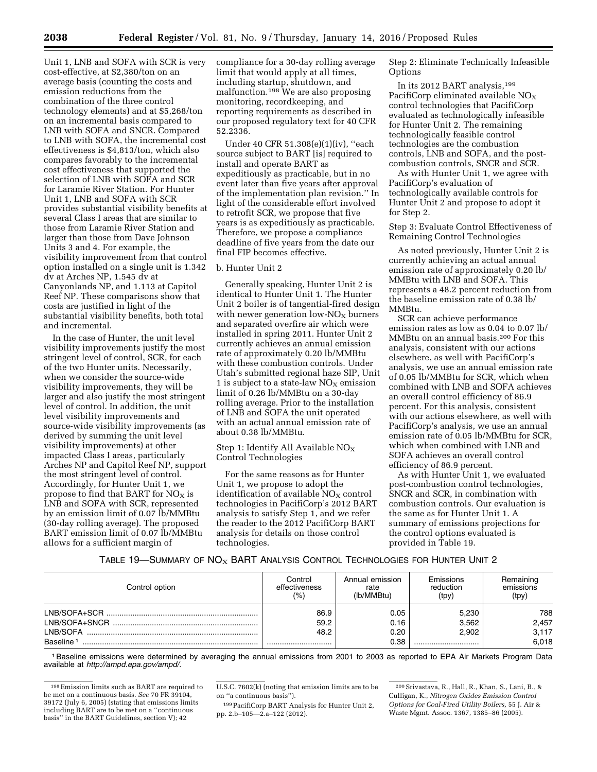Unit 1, LNB and SOFA with SCR is very cost-effective, at \$2,380/ton on an average basis (counting the costs and emission reductions from the combination of the three control technology elements) and at \$5,268/ton on an incremental basis compared to LNB with SOFA and SNCR. Compared to LNB with SOFA, the incremental cost effectiveness is \$4,813/ton, which also compares favorably to the incremental cost effectiveness that supported the selection of LNB with SOFA and SCR for Laramie River Station. For Hunter Unit 1, LNB and SOFA with SCR provides substantial visibility benefits at several Class I areas that are similar to those from Laramie River Station and larger than those from Dave Johnson Units 3 and 4. For example, the visibility improvement from that control option installed on a single unit is 1.342 dv at Arches NP, 1.545 dv at Canyonlands NP, and 1.113 at Capitol Reef NP. These comparisons show that costs are justified in light of the substantial visibility benefits, both total and incremental.

In the case of Hunter, the unit level visibility improvements justify the most stringent level of control, SCR, for each of the two Hunter units. Necessarily, when we consider the source-wide visibility improvements, they will be larger and also justify the most stringent level of control. In addition, the unit level visibility improvements and source-wide visibility improvements (as derived by summing the unit level visibility improvements) at other impacted Class I areas, particularly Arches NP and Capitol Reef NP, support the most stringent level of control. Accordingly, for Hunter Unit 1, we propose to find that BART for  $NO<sub>x</sub>$  is LNB and SOFA with SCR, represented by an emission limit of 0.07 lb/MMBtu (30-day rolling average). The proposed BART emission limit of 0.07 lb/MMBtu allows for a sufficient margin of

compliance for a 30-day rolling average limit that would apply at all times, including startup, shutdown, and malfunction.198 We are also proposing monitoring, recordkeeping, and reporting requirements as described in our proposed regulatory text for 40 CFR 52.2336.

Under 40 CFR 51.308(e)(1)(iv), ''each source subject to BART [is] required to install and operate BART as expeditiously as practicable, but in no event later than five years after approval of the implementation plan revision.'' In light of the considerable effort involved to retrofit SCR, we propose that five years is as expeditiously as practicable. Therefore, we propose a compliance deadline of five years from the date our final FIP becomes effective.

#### b. Hunter Unit 2

Generally speaking, Hunter Unit 2 is identical to Hunter Unit 1. The Hunter Unit 2 boiler is of tangential-fired design with newer generation low- $NO<sub>X</sub>$  burners and separated overfire air which were installed in spring 2011. Hunter Unit 2 currently achieves an annual emission rate of approximately 0.20 lb/MMBtu with these combustion controls. Under Utah's submitted regional haze SIP, Unit 1 is subject to a state-law  $NO<sub>x</sub>$  emission limit of 0.26 lb/MMBtu on a 30-day rolling average. Prior to the installation of LNB and SOFA the unit operated with an actual annual emission rate of about 0.38 lb/MMBtu.

#### Step 1: Identify All Available  $NO<sub>x</sub>$ Control Technologies

For the same reasons as for Hunter Unit 1, we propose to adopt the identification of available  $NO<sub>X</sub>$  control technologies in PacifiCorp's 2012 BART analysis to satisfy Step 1, and we refer the reader to the 2012 PacifiCorp BART analysis for details on those control technologies.

Step 2: Eliminate Technically Infeasible **Options** 

In its 2012 BART analysis,199 PacifiCorp eliminated available  $NO<sub>X</sub>$ control technologies that PacifiCorp evaluated as technologically infeasible for Hunter Unit 2. The remaining technologically feasible control technologies are the combustion controls, LNB and SOFA, and the postcombustion controls, SNCR and SCR.

As with Hunter Unit 1, we agree with PacifiCorp's evaluation of technologically available controls for Hunter Unit 2 and propose to adopt it for Step 2.

Step 3: Evaluate Control Effectiveness of Remaining Control Technologies

As noted previously, Hunter Unit 2 is currently achieving an actual annual emission rate of approximately 0.20 lb/ MMBtu with LNB and SOFA. This represents a 48.2 percent reduction from the baseline emission rate of 0.38 lb/ MMBtu.

SCR can achieve performance emission rates as low as 0.04 to 0.07 lb/ MMBtu on an annual basis.200 For this analysis, consistent with our actions elsewhere, as well with PacifiCorp's analysis, we use an annual emission rate of 0.05 lb/MMBtu for SCR, which when combined with LNB and SOFA achieves an overall control efficiency of 86.9 percent. For this analysis, consistent with our actions elsewhere, as well with PacifiCorp's analysis, we use an annual emission rate of 0.05 lb/MMBtu for SCR, which when combined with LNB and SOFA achieves an overall control efficiency of 86.9 percent.

As with Hunter Unit 1, we evaluated post-combustion control technologies, SNCR and SCR, in combination with combustion controls. Our evaluation is the same as for Hunter Unit 1. A summary of emissions projections for the control options evaluated is provided in Table 19.

TABLE 19—SUMMARY OF  $\mathsf{NO}_{\mathsf{X}}$  BART Analysis Control Technologies for Hunter Unit 2

| Control option        | Control<br>effectiveness<br>(%) | Annual emission<br>rate<br>(lb/MMBtu) | Emissions<br>reduction<br>(tpy) | Remaining<br>emissions<br>(tpy) |
|-----------------------|---------------------------------|---------------------------------------|---------------------------------|---------------------------------|
|                       | 86.9                            | 0.05                                  | 5,230                           | 788                             |
|                       | 59.2                            | 0.16                                  | 3,562                           | 2,457                           |
| LNB/SOFA              | 48.2                            | 0.20                                  | 2.902                           | 3,117                           |
| Baseline <sup>1</sup> |                                 | 0.38                                  |                                 | 6.018                           |

1Baseline emissions were determined by averaging the annual emissions from 2001 to 2003 as reported to EPA Air Markets Program Data available at *[http://ampd.epa.gov/ampd/.](http://ampd.epa.gov/ampd/)* 

U.S.C. 7602(k) (noting that emission limits are to be on ''a continuous basis'').

199PacifiCorp BART Analysis for Hunter Unit 2, pp. 2.b–105—2.a–122 (2012).

200Srivastava, R., Hall, R., Khan, S., Lani, B., & Culligan, K., *Nitrogen Oxides Emission Control Options for Coal-Fired Utility Boilers,* 55 J. Air & Waste Mgmt. Assoc. 1367, 1385–86 (2005).

<sup>198</sup>Emission limits such as BART are required to be met on a continuous basis. *See* 70 FR 39104, 39172 (July 6, 2005) (stating that emissions limits including BART are to be met on a ''continuous basis'' in the BART Guidelines, section V); 42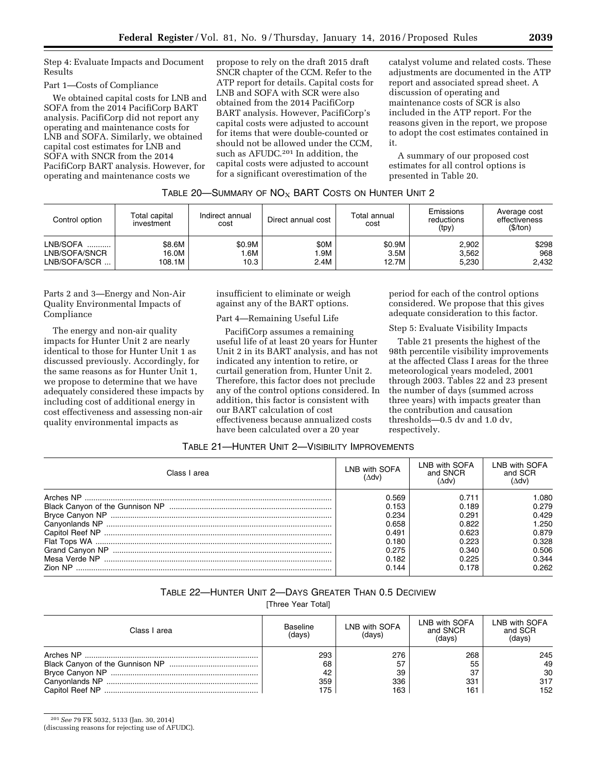Step 4: Evaluate Impacts and Document Results

#### Part 1—Costs of Compliance

We obtained capital costs for LNB and SOFA from the 2014 PacifiCorp BART analysis. PacifiCorp did not report any operating and maintenance costs for LNB and SOFA. Similarly, we obtained capital cost estimates for LNB and SOFA with SNCR from the 2014 PacifiCorp BART analysis. However, for operating and maintenance costs we

propose to rely on the draft 2015 draft SNCR chapter of the CCM. Refer to the ATP report for details. Capital costs for LNB and SOFA with SCR were also obtained from the 2014 PacifiCorp BART analysis. However, PacifiCorp's capital costs were adjusted to account for items that were double-counted or should not be allowed under the CCM, such as AFUDC.201 In addition, the capital costs were adjusted to account for a significant overestimation of the

catalyst volume and related costs. These adjustments are documented in the ATP report and associated spread sheet. A discussion of operating and maintenance costs of SCR is also included in the ATP report. For the reasons given in the report, we propose to adopt the cost estimates contained in it.

A summary of our proposed cost estimates for all control options is presented in Table 20.

## TABLE 20-SUMMARY OF  $NO<sub>X</sub>$  BART COSTS ON HUNTER UNIT 2

| Control option | Total capital<br>investment | Indirect annual<br>cost | Direct annual cost | Total annual<br>cost | Emissions<br>reductions<br>(tpy) | Average cost<br>effectiveness<br>(\$/ton) |
|----------------|-----------------------------|-------------------------|--------------------|----------------------|----------------------------------|-------------------------------------------|
| LNB/SOFA       | \$8.6M                      | \$0.9M                  | \$0M               | \$0.9M               | 2,902                            | \$298                                     |
| LNB/SOFA/SNCR  | 16.0M                       | .6M                     | .9M                | 3.5M                 | 3,562                            | 968                                       |
| LNB/SOFA/SCR   | 108.1M                      | 10.3                    | 2.4M               | 12.7M                | 5.230                            | 2.432                                     |

Parts 2 and 3—Energy and Non-Air Quality Environmental Impacts of Compliance

The energy and non-air quality impacts for Hunter Unit 2 are nearly identical to those for Hunter Unit 1 as discussed previously. Accordingly, for the same reasons as for Hunter Unit 1, we propose to determine that we have adequately considered these impacts by including cost of additional energy in cost effectiveness and assessing non-air quality environmental impacts as

insufficient to eliminate or weigh against any of the BART options.

Part 4—Remaining Useful Life

PacifiCorp assumes a remaining useful life of at least 20 years for Hunter Unit 2 in its BART analysis, and has not indicated any intention to retire, or curtail generation from, Hunter Unit 2. Therefore, this factor does not preclude any of the control options considered. In addition, this factor is consistent with our BART calculation of cost effectiveness because annualized costs have been calculated over a 20 year

period for each of the control options considered. We propose that this gives adequate consideration to this factor.

Step 5: Evaluate Visibility Impacts

Table 21 presents the highest of the 98th percentile visibility improvements at the affected Class I areas for the three meteorological years modeled, 2001 through 2003. Tables 22 and 23 present the number of days (summed across three years) with impacts greater than the contribution and causation thresholds—0.5 dv and 1.0 dv, respectively.

## TABLE 21—HUNTER UNIT 2—VISIBILITY IMPROVEMENTS

| Class I area   | LNB with SOFA<br>(VhV) | LNB with SOFA<br>and SNCR<br>(Adv) | LNB with SOFA<br>and SCR<br>Adv) |
|----------------|------------------------|------------------------------------|----------------------------------|
|                | 0.569                  | 0.711                              | .080                             |
|                | 0.153                  | 0.189                              | 0.279                            |
|                | 0.234                  | 0.291                              | 0.429                            |
|                | 0.658                  | 0.822                              | 1.250                            |
|                | 0.491                  | 0.623                              | 0.879                            |
|                | 0.180                  | 0.223                              | 0.328                            |
|                | 0.275                  | 0.340                              | 0.506                            |
|                | 0.182                  | 0.225                              | 0.344                            |
| <b>Zion NP</b> | 0.144                  | 0.178                              | 0.262                            |

## TABLE 22—HUNTER UNIT 2—DAYS GREATER THAN 0.5 DECIVIEW

[Three Year Total]

| Class I area | <b>Baseline</b><br>(days) | LNB with SOFA<br>(days) | LNB with SOFA<br>and SNCR<br>(days) | LNB with SOFA<br>and SCR<br>(days) |
|--------------|---------------------------|-------------------------|-------------------------------------|------------------------------------|
|              | 293                       | 276                     | 268                                 | 245                                |
|              | 68                        | 57                      | 55                                  | 49                                 |
|              | 42                        | 39                      | 37                                  | 30                                 |
|              | 359                       | 336                     | 331                                 | 317                                |
|              | 175                       | 163                     | 161                                 | 152                                |

201*See* 79 FR 5032, 5133 (Jan. 30, 2014)

(discussing reasons for rejecting use of AFUDC).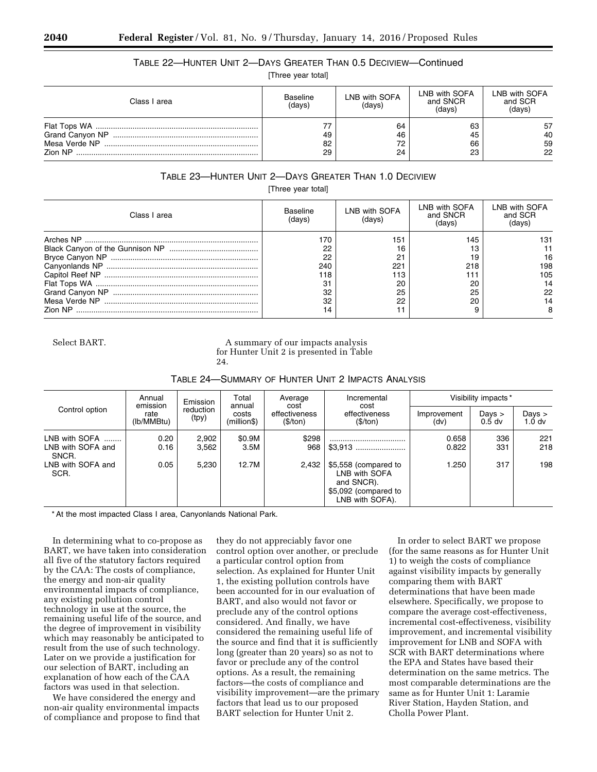## TABLE 22—HUNTER UNIT 2—DAYS GREATER THAN 0.5 DECIVIEW—Continued

[Three year total]

| Class I area             | Baseline<br>(days) | LNB with SOFA<br>(days) | LNB with SOFA<br>and SNCR<br>(days) | LNB with SOFA<br>and SCR<br>(days) |  |
|--------------------------|--------------------|-------------------------|-------------------------------------|------------------------------------|--|
| Mesa Verde NP<br>Zion NP | 49<br>82<br>29     | 64<br>46<br>72<br>24    | 63<br>45<br>66<br>23                | 57<br>40<br>59<br>22               |  |

## TABLE 23—HUNTER UNIT 2—DAYS GREATER THAN 1.0 DECIVIEW

[Three year total]

| Class I area | Baseline<br>(davs) | LNB with SOFA<br>(davs) | LNB with SOFA<br>and SNCR<br>(davs) | LNB with SOFA<br>and SCR<br>(davs) |  |
|--------------|--------------------|-------------------------|-------------------------------------|------------------------------------|--|
|              | 176                | 151                     | 145                                 | 131                                |  |
|              | 22                 | 16                      |                                     |                                    |  |
|              | 22                 | 21                      | 19                                  | 16                                 |  |
|              | 240                | 221                     | 218                                 | 198                                |  |
|              | 118                | 113                     |                                     | 105                                |  |
|              | 31                 | 20                      | 20                                  |                                    |  |
|              | 32                 | 25                      | 25                                  | 22                                 |  |
|              | 32                 | 22                      | 20                                  |                                    |  |
|              |                    |                         |                                     |                                    |  |

Select BART. A summary of our impacts analysis for Hunter Unit 2 is presented in Table 24.

| TABLE 24-SUMMARY OF HUNTER UNIT 2 IMPACTS ANALYSIS |  |  |  |
|----------------------------------------------------|--|--|--|
|----------------------------------------------------|--|--|--|

|                                             | Annual<br>emission | Emission           | Total                          | Average                           | Incremental                                                                                    | Visibility impacts* |                               |                               |  |
|---------------------------------------------|--------------------|--------------------|--------------------------------|-----------------------------------|------------------------------------------------------------------------------------------------|---------------------|-------------------------------|-------------------------------|--|
| Control option                              | rate<br>(lb/MMBtu) | reduction<br>(tpy) | annual<br>costs<br>(million\$) | cost<br>effectiveness<br>(\$/ton) | cost<br>effectiveness<br>(\$/ton)                                                              | Improvement<br>(dv) | Days $>$<br>0.5 <sub>dv</sub> | Days $>$<br>1.0 <sub>dv</sub> |  |
| LNB with SOFA<br>LNB with SOFA and<br>SNCR. | 0.20<br>0.16       | 2,902<br>3.562     | \$0.9M<br>3.5M                 | \$298<br>968                      |                                                                                                | 0.658<br>0.822      | 336<br>331                    | 221<br>218                    |  |
| LNB with SOFA and<br>SCR.                   | 0.05               | 5.230              | 12.7M                          | 2.432                             | \$5,558 (compared to<br>LNB with SOFA<br>and SNCR).<br>\$5,092 (compared to<br>LNB with SOFA). | 1.250               | 317                           | 198                           |  |

\* At the most impacted Class I area, Canyonlands National Park.

In determining what to co-propose as BART, we have taken into consideration all five of the statutory factors required by the CAA: The costs of compliance, the energy and non-air quality environmental impacts of compliance, any existing pollution control technology in use at the source, the remaining useful life of the source, and the degree of improvement in visibility which may reasonably be anticipated to result from the use of such technology. Later on we provide a justification for our selection of BART, including an explanation of how each of the CAA factors was used in that selection.

We have considered the energy and non-air quality environmental impacts of compliance and propose to find that

they do not appreciably favor one control option over another, or preclude a particular control option from selection. As explained for Hunter Unit 1, the existing pollution controls have been accounted for in our evaluation of BART, and also would not favor or preclude any of the control options considered. And finally, we have considered the remaining useful life of the source and find that it is sufficiently long (greater than 20 years) so as not to favor or preclude any of the control options. As a result, the remaining factors—the costs of compliance and visibility improvement—are the primary factors that lead us to our proposed BART selection for Hunter Unit 2.

In order to select BART we propose (for the same reasons as for Hunter Unit 1) to weigh the costs of compliance against visibility impacts by generally comparing them with BART determinations that have been made elsewhere. Specifically, we propose to compare the average cost-effectiveness, incremental cost-effectiveness, visibility improvement, and incremental visibility improvement for LNB and SOFA with SCR with BART determinations where the EPA and States have based their determination on the same metrics. The most comparable determinations are the same as for Hunter Unit 1: Laramie River Station, Hayden Station, and Cholla Power Plant.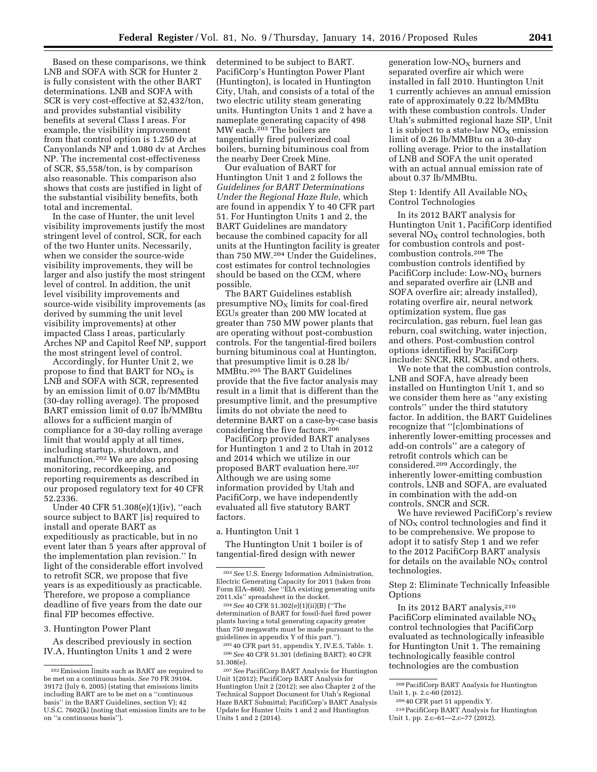Based on these comparisons, we think LNB and SOFA with SCR for Hunter 2 is fully consistent with the other BART determinations. LNB and SOFA with SCR is very cost-effective at \$2,432/ton, and provides substantial visibility benefits at several Class I areas. For example, the visibility improvement from that control option is 1.250 dv at Canyonlands NP and 1.080 dv at Arches NP. The incremental cost-effectiveness of SCR, \$5,558/ton, is by comparison also reasonable. This comparison also shows that costs are justified in light of the substantial visibility benefits, both total and incremental.

In the case of Hunter, the unit level visibility improvements justify the most stringent level of control, SCR, for each of the two Hunter units. Necessarily, when we consider the source-wide visibility improvements, they will be larger and also justify the most stringent level of control. In addition, the unit level visibility improvements and source-wide visibility improvements (as derived by summing the unit level visibility improvements) at other impacted Class I areas, particularly Arches NP and Capitol Reef NP, support the most stringent level of control.

Accordingly, for Hunter Unit 2, we propose to find that BART for  $NO<sub>X</sub>$  is LNB and SOFA with SCR, represented by an emission limit of 0.07 lb/MMBtu (30-day rolling average). The proposed BART emission limit of 0.07 lb/MMBtu allows for a sufficient margin of compliance for a 30-day rolling average limit that would apply at all times, including startup, shutdown, and malfunction.202 We are also proposing monitoring, recordkeeping, and reporting requirements as described in our proposed regulatory text for 40 CFR 52.2336.

Under 40 CFR 51.308(e)(1)(iv), ''each source subject to BART [is] required to install and operate BART as expeditiously as practicable, but in no event later than 5 years after approval of the implementation plan revision.'' In light of the considerable effort involved to retrofit SCR, we propose that five years is as expeditiously as practicable. Therefore, we propose a compliance deadline of five years from the date our final FIP becomes effective.

3. Huntington Power Plant

As described previously in section IV.A, Huntington Units 1 and 2 were determined to be subject to BART. PacifiCorp's Huntington Power Plant (Huntington), is located in Huntington City, Utah, and consists of a total of the two electric utility steam generating units. Huntington Units 1 and 2 have a nameplate generating capacity of 498 MW each.203 The boilers are tangentially fired pulverized coal boilers, burning bituminous coal from the nearby Deer Creek Mine.

Our evaluation of BART for Huntington Unit 1 and 2 follows the *Guidelines for BART Determinations Under the Regional Haze Rule*, which are found in appendix Y to 40 CFR part 51. For Huntington Units 1 and 2, the BART Guidelines are mandatory because the combined capacity for all units at the Huntington facility is greater than 750 MW.204 Under the Guidelines, cost estimates for control technologies should be based on the CCM, where possible.

The BART Guidelines establish presumptive  $NO<sub>x</sub>$  limits for coal-fired EGUs greater than 200 MW located at greater than 750 MW power plants that are operating without post-combustion controls. For the tangential-fired boilers burning bituminous coal at Huntington, that presumptive limit is 0.28 lb/ MMBtu.205 The BART Guidelines provide that the five factor analysis may result in a limit that is different than the presumptive limit, and the presumptive limits do not obviate the need to determine BART on a case-by-case basis considering the five factors.206

PacifiCorp provided BART analyses for Huntington 1 and 2 to Utah in 2012 and 2014 which we utilize in our proposed BART evaluation here.207 Although we are using some information provided by Utah and PacifiCorp, we have independently evaluated all five statutory BART factors.

#### a. Huntington Unit 1

The Huntington Unit 1 boiler is of tangential-fired design with newer

204*See* 40 CFR 51.302(e)(1)(ii)(B) (''The determination of BART for fossil-fuel fired power plants having a total generating capacity greater than 750 megawatts must be made pursuant to the guidelines in appendix Y of this part.'').

205 40 CFR part 51, appendix Y, IV.E.5, Table. 1. 206*See* 40 CFR 51.301 (defining BART); 40 CFR 51.308(e).

207*See* PacifiCorp BART Analysis for Huntington Unit 1(2012); PacifiCorp BART Analysis for Huntington Unit 2 (2012); see also Chapter 2 of the Technical Support Document for Utah's Regional Haze BART Submittal; PacifiCorp's BART Analysis Update for Hunter Units 1 and 2 and Huntington Units 1 and 2 (2014).

generation low- $NO<sub>x</sub>$  burners and separated overfire air which were installed in fall 2010. Huntington Unit 1 currently achieves an annual emission rate of approximately 0.22 lb/MMBtu with these combustion controls. Under Utah's submitted regional haze SIP, Unit 1 is subject to a state-law  $NO<sub>x</sub>$  emission limit of 0.26 lb/MMBtu on a 30-day rolling average. Prior to the installation of LNB and SOFA the unit operated with an actual annual emission rate of about 0.37 lb/MMBtu.

Step 1: Identify All Available  $NO<sub>X</sub>$ Control Technologies

In its 2012 BART analysis for Huntington Unit 1, PacifiCorp identified several  $NO<sub>X</sub>$  control technologies, both for combustion controls and postcombustion controls.208 The combustion controls identified by PacifiCorp include: Low- $NO<sub>X</sub>$  burners and separated overfire air (LNB and SOFA overfire air; already installed), rotating overfire air, neural network optimization system, flue gas recirculation, gas reburn, fuel lean gas reburn, coal switching, water injection, and others. Post-combustion control options identified by PacifiCorp include: SNCR, RRI, SCR, and others.

We note that the combustion controls, LNB and SOFA, have already been installed on Huntington Unit 1, and so we consider them here as ''any existing controls'' under the third statutory factor. In addition, the BART Guidelines recognize that ''[c]ombinations of inherently lower-emitting processes and add-on controls'' are a category of retrofit controls which can be considered.209 Accordingly, the inherently lower-emitting combustion controls, LNB and SOFA, are evaluated in combination with the add-on controls, SNCR and SCR.

We have reviewed PacifiCorp's review of  $NO<sub>X</sub>$  control technologies and find it to be comprehensive. We propose to adopt it to satisfy Step 1 and we refer to the 2012 PacifiCorp BART analysis for details on the available  $NO<sub>X</sub>$  control technologies.

Step 2: Eliminate Technically Infeasible **Options** 

In its 2012 BART analysis,<sup>210</sup> PacifiCorp eliminated available  $NO_X$ control technologies that PacifiCorp evaluated as technologically infeasible for Huntington Unit 1. The remaining technologically feasible control technologies are the combustion

<sup>202</sup>Emission limits such as BART are required to be met on a continuous basis. *See* 70 FR 39104, 39172 (July 6, 2005) (stating that emissions limits including BART are to be met on a ''continuous basis'' in the BART Guidelines, section V); 42 U.S.C. 7602(k) (noting that emission limits are to be on ''a continuous basis'').

<sup>203</sup>*See* U.S. Energy Information Administration, Electric Generating Capacity for 2011 (taken from Form EIA-860). See "EIA existing generating units 2011.xls'' spreadsheet in the docket.

<sup>208</sup>PacifiCorp BART Analysis for Huntington Unit 1, p. 2.c-60 (2012).

<sup>209</sup> 40 CFR part 51 appendix Y.

<sup>210</sup>PacifiCorp BART Analysis for Huntington Unit 1, pp. 2.c–61—2.c–77 (2012).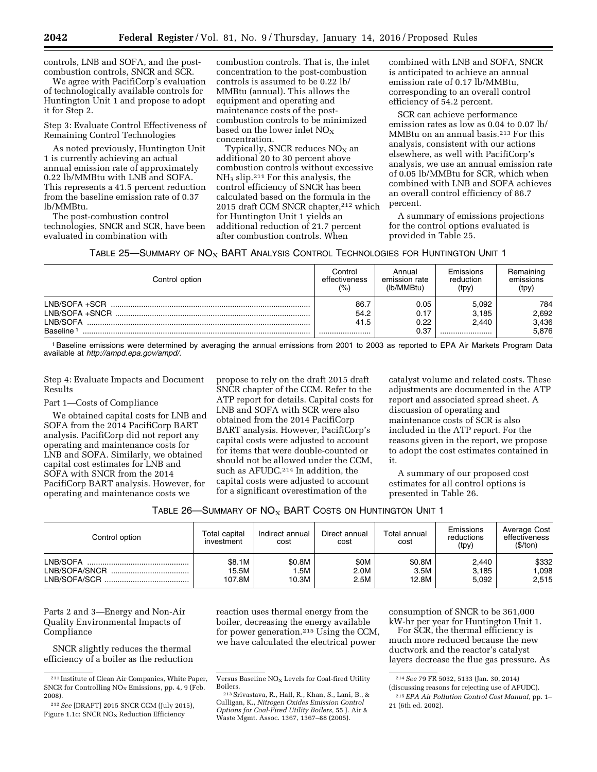controls, LNB and SOFA, and the postcombustion controls, SNCR and SCR.

We agree with PacifiCorp's evaluation of technologically available controls for Huntington Unit 1 and propose to adopt it for Step 2.

Step 3: Evaluate Control Effectiveness of Remaining Control Technologies

As noted previously, Huntington Unit 1 is currently achieving an actual annual emission rate of approximately 0.22 lb/MMBtu with LNB and SOFA. This represents a 41.5 percent reduction from the baseline emission rate of 0.37 lb/MMBtu.

The post-combustion control technologies, SNCR and SCR, have been evaluated in combination with

combustion controls. That is, the inlet concentration to the post-combustion controls is assumed to be 0.22 lb/ MMBtu (annual). This allows the equipment and operating and maintenance costs of the postcombustion controls to be minimized based on the lower inlet  $NO<sub>x</sub>$ concentration.

Typically, SNCR reduces  $NO<sub>X</sub>$  an additional 20 to 30 percent above combustion controls without excessive NH<sup>3</sup> slip.211 For this analysis, the control efficiency of SNCR has been calculated based on the formula in the 2015 draft CCM SNCR chapter,212 which for Huntington Unit 1 yields an additional reduction of 21.7 percent after combustion controls. When

combined with LNB and SOFA, SNCR is anticipated to achieve an annual emission rate of 0.17 lb/MMBtu, corresponding to an overall control efficiency of 54.2 percent.

SCR can achieve performance emission rates as low as 0.04 to 0.07 lb/ MMBtu on an annual basis.213 For this analysis, consistent with our actions elsewhere, as well with PacifiCorp's analysis, we use an annual emission rate of 0.05 lb/MMBtu for SCR, which when combined with LNB and SOFA achieves an overall control efficiency of 86.7 percent.

A summary of emissions projections for the control options evaluated is provided in Table 25.

|  |  | TABLE 25—SUMMARY OF $NOX$ BART ANALYSIS CONTROL TECHNOLOGIES FOR HUNTINGTON UNIT 1 |  |
|--|--|------------------------------------------------------------------------------------|--|
|--|--|------------------------------------------------------------------------------------|--|

| Control option        | Control<br>effectiveness<br>(%) | Annual<br>emission rate<br>(lb/MMBtu) | Emissions<br>reduction<br>(tpy) | Remaining<br>emissions<br>(tpy) |
|-----------------------|---------------------------------|---------------------------------------|---------------------------------|---------------------------------|
| LNB/SOFA +SCR         | 86.7                            | 0.05                                  | 5.092                           | 784                             |
| I NB/SOFA +SNCR       | 54.2                            | 0.17                                  | 3.185                           | 2,692                           |
| LNB/SOFA              | 41.5                            | 0.22                                  | 2.440                           | 3,436                           |
| Baseline <sup>1</sup> |                                 | 0.37                                  |                                 | 5.876                           |

1Baseline emissions were determined by averaging the annual emissions from 2001 to 2003 as reported to EPA Air Markets Program Data available at *[http://ampd.epa.gov/ampd/.](http://ampd.epa.gov/ampd/)* 

Step 4: Evaluate Impacts and Document Results

#### Part 1—Costs of Compliance

We obtained capital costs for LNB and SOFA from the 2014 PacifiCorp BART analysis. PacifiCorp did not report any operating and maintenance costs for LNB and SOFA. Similarly, we obtained capital cost estimates for LNB and SOFA with SNCR from the 2014 PacifiCorp BART analysis. However, for operating and maintenance costs we

propose to rely on the draft 2015 draft SNCR chapter of the CCM. Refer to the ATP report for details. Capital costs for LNB and SOFA with SCR were also obtained from the 2014 PacifiCorp BART analysis. However, PacifiCorp's capital costs were adjusted to account for items that were double-counted or should not be allowed under the CCM, such as AFUDC.<sup>214</sup> In addition, the capital costs were adjusted to account for a significant overestimation of the

catalyst volume and related costs. These adjustments are documented in the ATP report and associated spread sheet. A discussion of operating and maintenance costs of SCR is also included in the ATP report. For the reasons given in the report, we propose to adopt the cost estimates contained in it.

A summary of our proposed cost estimates for all control options is presented in Table 26.

| Table 26—Summary of NO $_{\rm X}$ BART Costs on Huntington Unit 1 $\,$ |  |
|------------------------------------------------------------------------|--|
|------------------------------------------------------------------------|--|

| Control option                                | Total capital<br>investment | Indirect annual<br>cost | Direct annual<br>cost | Total annual<br>cost    | Emissions<br>reductions<br>(tpy) | Average Cost<br>effectiveness<br>(\$/ton) |
|-----------------------------------------------|-----------------------------|-------------------------|-----------------------|-------------------------|----------------------------------|-------------------------------------------|
| LNB/SOFA<br>LNB/SOFA/SNCR<br><br>LNB/SOFA/SCR | \$8.1M<br>15.5M<br>107.8M   | \$0.8M<br>.5M<br>10.3M  | \$0M<br>2.0M<br>2.5M  | \$0.8M<br>3.5M<br>12.8M | 2,440<br>3.185<br>5,092          | \$332<br>.098<br>2,515                    |

Parts 2 and 3—Energy and Non-Air Quality Environmental Impacts of Compliance

SNCR slightly reduces the thermal efficiency of a boiler as the reduction reaction uses thermal energy from the boiler, decreasing the energy available for power generation.215 Using the CCM, we have calculated the electrical power

consumption of SNCR to be 361,000 kW-hr per year for Huntington Unit 1.

For SCR, the thermal efficiency is much more reduced because the new ductwork and the reactor's catalyst layers decrease the flue gas pressure. As

<sup>211</sup> Institute of Clean Air Companies, White Paper, SNCR for Controlling  $NO<sub>x</sub>$  Emissions, pp. 4, 9 (Feb. 2008).

<sup>212</sup>*See* [DRAFT] 2015 SNCR CCM (July 2015), Figure 1.1c: SNCR  $NO<sub>x</sub>$  Reduction Efficiency

Versus Baseline  $NO<sub>x</sub>$  Levels for Coal-fired Utility Boilers.

<sup>&</sup>lt;sup>213</sup> Srivastava, R., Hall, R., Khan, S., Lani, B., & Culligan, K., *Nitrogen Oxides Emission Control Options for Coal-Fired Utility Boilers,* 55 J. Air & Waste Mgmt. Assoc. 1367, 1367–88 (2005).

<sup>214</sup>*See* 79 FR 5032, 5133 (Jan. 30, 2014)

<sup>(</sup>discussing reasons for rejecting use of AFUDC).

<sup>215</sup>*EPA Air Pollution Control Cost Manual,* pp. 1– 21 (6th ed. 2002).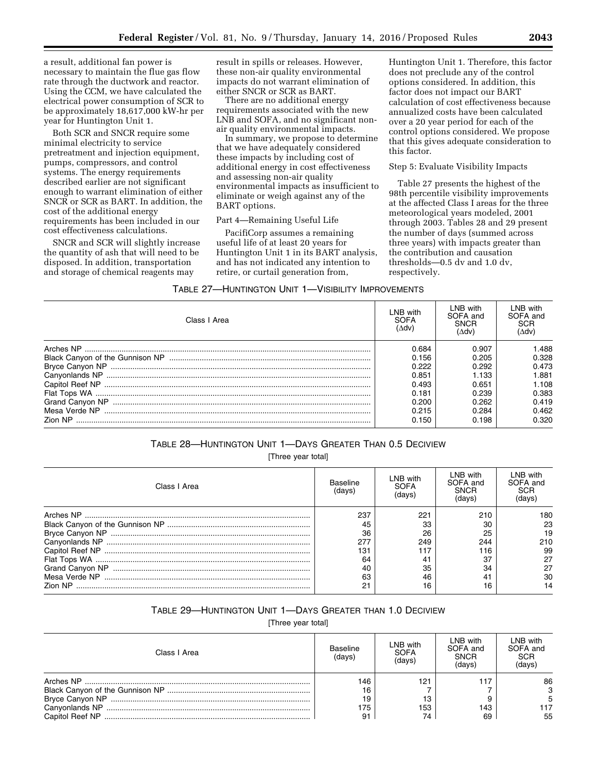a result, additional fan power is necessary to maintain the flue gas flow rate through the ductwork and reactor. Using the CCM, we have calculated the electrical power consumption of SCR to be approximately 18,617,000 kW-hr per year for Huntington Unit 1.

Both SCR and SNCR require some minimal electricity to service pretreatment and injection equipment, pumps, compressors, and control systems. The energy requirements described earlier are not significant enough to warrant elimination of either SNCR or SCR as BART. In addition, the cost of the additional energy requirements has been included in our cost effectiveness calculations.

SNCR and SCR will slightly increase the quantity of ash that will need to be disposed. In addition, transportation and storage of chemical reagents may

result in spills or releases. However, these non-air quality environmental impacts do not warrant elimination of either SNCR or SCR as BART.

There are no additional energy requirements associated with the new LNB and SOFA, and no significant nonair quality environmental impacts.

In summary, we propose to determine that we have adequately considered these impacts by including cost of additional energy in cost effectiveness and assessing non-air quality environmental impacts as insufficient to eliminate or weigh against any of the BART options.

#### Part 4—Remaining Useful Life

PacifiCorp assumes a remaining useful life of at least 20 years for Huntington Unit 1 in its BART analysis, and has not indicated any intention to retire, or curtail generation from,

Huntington Unit 1. Therefore, this factor does not preclude any of the control options considered. In addition, this factor does not impact our BART calculation of cost effectiveness because annualized costs have been calculated over a 20 year period for each of the control options considered. We propose that this gives adequate consideration to this factor.

## Step 5: Evaluate Visibility Impacts

Table 27 presents the highest of the 98th percentile visibility improvements at the affected Class I areas for the three meteorological years modeled, 2001 through 2003. Tables 28 and 29 present the number of days (summed across three years) with impacts greater than the contribution and causation thresholds—0.5 dv and 1.0 dv, respectively.

#### TABLE 27—HUNTINGTON UNIT 1—VISIBILITY IMPROVEMENTS

| Class I Area | LNB with<br>SOFA<br>(Adv) | I NB with<br>SOFA and<br>SNCR<br>(Adv) | i NB with<br>SOFA and<br>SCR<br>'∆dv) |
|--------------|---------------------------|----------------------------------------|---------------------------------------|
|              | 0.684                     | 0.907                                  | 488. ا                                |
|              | 0.156                     | 0.205                                  | 0.328                                 |
|              | 0.222                     | 0.292                                  | 0.473                                 |
|              | 0.851                     | 1.133                                  | 1.881                                 |
|              | 0.493                     | 0.651                                  | 1.108                                 |
|              | 0.181                     | 0.239                                  | 0.383                                 |
|              | 0.200                     | 0.262                                  | 0.419                                 |
|              | 0.215                     | 0.284                                  | 0.462                                 |
|              | 0.150                     | 0.198                                  | 0.320                                 |

#### TABLE 28—HUNTINGTON UNIT 1—DAYS GREATER THAN 0.5 DECIVIEW

[Three year total]

| Class I Area   | Baseline<br>(davs' | LNB with<br>SOFA<br>davs | LNB with<br>SOFA and<br><b>SNCR</b><br>davs | LNB with<br>SOFA and<br>SCR<br>(days |
|----------------|--------------------|--------------------------|---------------------------------------------|--------------------------------------|
|                | 237                | 221                      | 210                                         | 180                                  |
|                | 45                 | 33                       | 30                                          | 23                                   |
|                | 36                 | 26                       | 25                                          | 19                                   |
|                | 277                | 249                      | 244                                         | 210                                  |
|                | 131                | 117                      | 116                                         | 99                                   |
|                | 64                 | 41                       | 37                                          | 27                                   |
|                |                    | 35                       | 34                                          | 27                                   |
|                | 63                 | 46                       |                                             | 30                                   |
| <b>Zion NP</b> | Ω1                 | 16                       |                                             |                                      |

## TABLE 29—HUNTINGTON UNIT 1—DAYS GREATER THAN 1.0 DECIVIEW

[Three year total]

| Class   Area | Baseline<br>(days) | LNB with<br><b>SOFA</b><br>(days) | LNB with<br>SOFA and<br><b>SNCR</b><br>(davs) | LNB with<br>SOFA and<br><b>SCR</b><br>(davs) |
|--------------|--------------------|-----------------------------------|-----------------------------------------------|----------------------------------------------|
| Arches NP    | 146                | 121                               |                                               | 86                                           |
|              |                    |                                   |                                               | 3                                            |
|              |                    | 13                                |                                               |                                              |
|              | 175                | 153                               | 143                                           | 117                                          |
|              |                    | 74                                | 69                                            | 55                                           |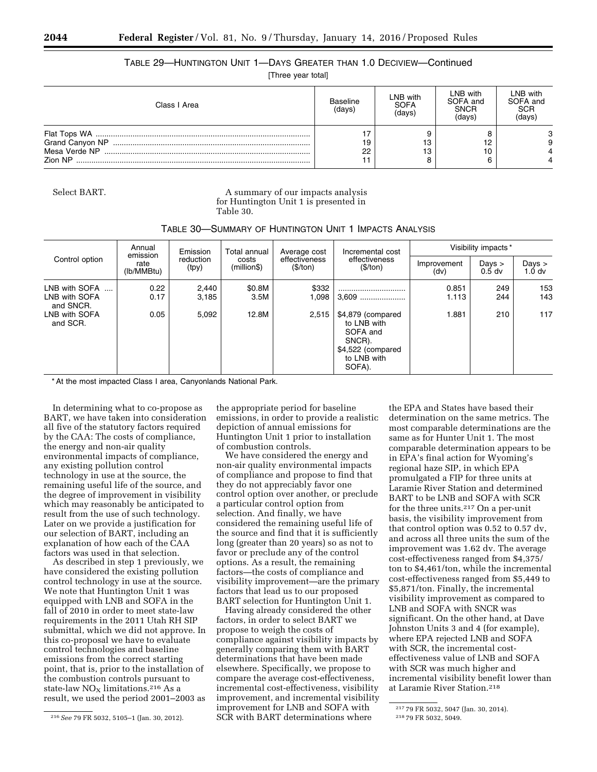## TABLE 29—HUNTINGTON UNIT 1—DAYS GREATER THAN 1.0 DECIVIEW—Continued

[Three year total]

| Class I Area   | Baseline<br>(days) | LNB with<br><b>SOFA</b><br>(davs) | LNB with<br>SOFA and<br><b>SNCR</b><br>(days) | LNB with<br>SOFA and<br><b>SCR</b><br>(davs) |
|----------------|--------------------|-----------------------------------|-----------------------------------------------|----------------------------------------------|
| <b>Zion NP</b> | 19<br>22           | 13<br>13                          |                                               | 9                                            |

Select BART. **A** summary of our impacts analysis for Huntington Unit 1 is presented in Table 30.

| Annual<br>Emission<br>emission                                           |                      | Total annual            | Average cost            | Incremental cost          | Visibility impacts*                                                                                             |                         |                      |                                       |
|--------------------------------------------------------------------------|----------------------|-------------------------|-------------------------|---------------------------|-----------------------------------------------------------------------------------------------------------------|-------------------------|----------------------|---------------------------------------|
| Control option                                                           | rate<br>(lb/MMBtu)   | reduction<br>(tpy)      | costs<br>(million\$)    | effectiveness<br>(\$/ton) | effectiveness<br>(\$/ton)                                                                                       | Improvement<br>(dv)     | Days $>$<br>$0.5$ dv | $_{\text{Days}}$<br>1.0 <sub>dv</sub> |
| LNB with SOFA<br>LNB with SOFA<br>and SNCR.<br>LNB with SOFA<br>and SCR. | 0.22<br>0.17<br>0.05 | 2,440<br>3,185<br>5,092 | \$0.8M<br>3.5M<br>12.8M | \$332<br>1,098<br>2.515   | $3,609$<br>\$4,879 (compared<br>to LNB with<br>SOFA and<br>SNCR).<br>\$4,522 (compared<br>to LNB with<br>SOFA). | 0.851<br>1.113<br>1.881 | 249<br>244<br>210    | 153<br>143<br>117                     |

\* At the most impacted Class I area, Canyonlands National Park.

In determining what to co-propose as BART, we have taken into consideration all five of the statutory factors required by the CAA: The costs of compliance, the energy and non-air quality environmental impacts of compliance, any existing pollution control technology in use at the source, the remaining useful life of the source, and the degree of improvement in visibility which may reasonably be anticipated to result from the use of such technology. Later on we provide a justification for our selection of BART, including an explanation of how each of the CAA factors was used in that selection.

As described in step 1 previously, we have considered the existing pollution control technology in use at the source. We note that Huntington Unit 1 was equipped with LNB and SOFA in the fall of 2010 in order to meet state-law requirements in the 2011 Utah RH SIP submittal, which we did not approve. In this co-proposal we have to evaluate control technologies and baseline emissions from the correct starting point, that is, prior to the installation of the combustion controls pursuant to state-law  $NO<sub>x</sub>$  limitations.<sup>216</sup> As a result, we used the period 2001–2003 as

the appropriate period for baseline emissions, in order to provide a realistic depiction of annual emissions for Huntington Unit 1 prior to installation of combustion controls.

We have considered the energy and non-air quality environmental impacts of compliance and propose to find that they do not appreciably favor one control option over another, or preclude a particular control option from selection. And finally, we have considered the remaining useful life of the source and find that it is sufficiently long (greater than 20 years) so as not to favor or preclude any of the control options. As a result, the remaining factors—the costs of compliance and visibility improvement—are the primary factors that lead us to our proposed BART selection for Huntington Unit 1.

Having already considered the other factors, in order to select BART we propose to weigh the costs of compliance against visibility impacts by generally comparing them with BART determinations that have been made elsewhere. Specifically, we propose to compare the average cost-effectiveness, incremental cost-effectiveness, visibility improvement, and incremental visibility improvement for LNB and SOFA with SCR with BART determinations where

the EPA and States have based their determination on the same metrics. The most comparable determinations are the same as for Hunter Unit 1. The most comparable determination appears to be in EPA's final action for Wyoming's regional haze SIP, in which EPA promulgated a FIP for three units at Laramie River Station and determined BART to be LNB and SOFA with SCR for the three units.217 On a per-unit basis, the visibility improvement from that control option was 0.52 to 0.57 dv, and across all three units the sum of the improvement was 1.62 dv. The average cost-effectiveness ranged from \$4,375/ ton to \$4,461/ton, while the incremental cost-effectiveness ranged from \$5,449 to \$5,871/ton. Finally, the incremental visibility improvement as compared to LNB and SOFA with SNCR was significant. On the other hand, at Dave Johnston Units 3 and 4 (for example), where EPA rejected LNB and SOFA with SCR, the incremental costeffectiveness value of LNB and SOFA with SCR was much higher and incremental visibility benefit lower than at Laramie River Station.218

<sup>216</sup>*See* 79 FR 5032, 5105–1 (Jan. 30, 2012).

<sup>217</sup> 79 FR 5032, 5047 (Jan. 30, 2014).

<sup>218</sup> 79 FR 5032, 5049.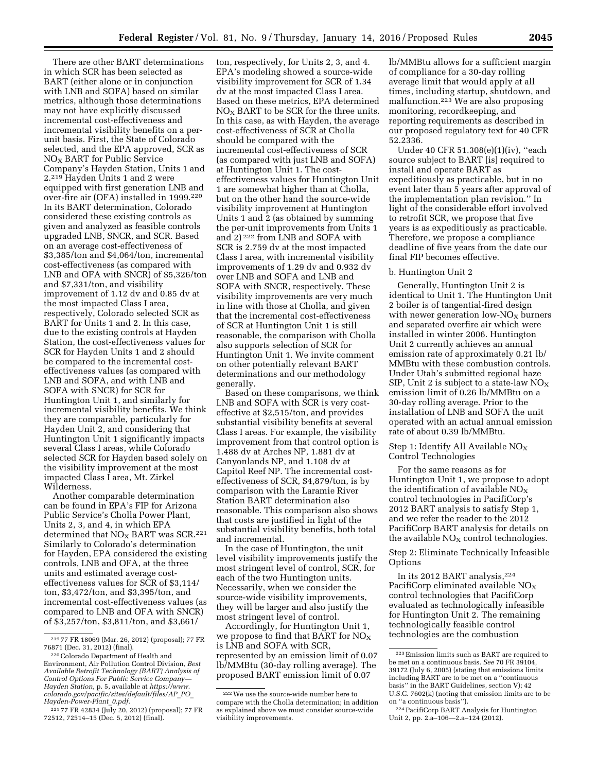There are other BART determinations in which SCR has been selected as BART (either alone or in conjunction with LNB and SOFA) based on similar metrics, although those determinations may not have explicitly discussed incremental cost-effectiveness and incremental visibility benefits on a perunit basis. First, the State of Colorado selected, and the EPA approved, SCR as NOX BART for Public Service Company's Hayden Station, Units 1 and 2.219 Hayden Units 1 and 2 were equipped with first generation LNB and over-fire air (OFA) installed in 1999.220 In its BART determination, Colorado considered these existing controls as given and analyzed as feasible controls upgraded LNB, SNCR, and SCR. Based on an average cost-effectiveness of \$3,385/ton and \$4,064/ton, incremental cost-effectiveness (as compared with LNB and OFA with SNCR) of \$5,326/ton and \$7,331/ton, and visibility improvement of 1.12 dv and 0.85 dv at the most impacted Class I area, respectively, Colorado selected SCR as BART for Units 1 and 2. In this case, due to the existing controls at Hayden Station, the cost-effectiveness values for SCR for Hayden Units 1 and 2 should be compared to the incremental costeffectiveness values (as compared with LNB and SOFA, and with LNB and SOFA with SNCR) for SCR for Huntington Unit 1, and similarly for incremental visibility benefits. We think they are comparable, particularly for Hayden Unit 2, and considering that Huntington Unit 1 significantly impacts several Class I areas, while Colorado selected SCR for Hayden based solely on the visibility improvement at the most impacted Class I area, Mt. Zirkel Wilderness.

Another comparable determination can be found in EPA's FIP for Arizona Public Service's Cholla Power Plant, Units 2, 3, and 4, in which EPA determined that  $NO<sub>x</sub>$  BART was SCR.<sup>221</sup> Similarly to Colorado's determination for Hayden, EPA considered the existing controls, LNB and OFA, at the three units and estimated average costeffectiveness values for SCR of \$3,114/ ton, \$3,472/ton, and \$3,395/ton, and incremental cost-effectiveness values (as compared to LNB and OFA with SNCR) of \$3,257/ton, \$3,811/ton, and \$3,661/

ton, respectively, for Units 2, 3, and 4. EPA's modeling showed a source-wide visibility improvement for SCR of 1.34 dv at the most impacted Class I area. Based on these metrics, EPA determined  $NO<sub>x</sub>$  BART to be SCR for the three units. In this case, as with Hayden, the average cost-effectiveness of SCR at Cholla should be compared with the incremental cost-effectiveness of SCR (as compared with just LNB and SOFA) at Huntington Unit 1. The costeffectiveness values for Huntington Unit 1 are somewhat higher than at Cholla, but on the other hand the source-wide visibility improvement at Huntington Units 1 and 2 (as obtained by summing the per-unit improvements from Units 1 and 2) 222 from LNB and SOFA with SCR is 2.759 dv at the most impacted Class I area, with incremental visibility improvements of 1.29 dv and 0.932 dv over LNB and SOFA and LNB and SOFA with SNCR, respectively. These visibility improvements are very much in line with those at Cholla, and given that the incremental cost-effectiveness of SCR at Huntington Unit 1 is still reasonable, the comparison with Cholla also supports selection of SCR for Huntington Unit 1. We invite comment on other potentially relevant BART determinations and our methodology generally.

Based on these comparisons, we think LNB and SOFA with SCR is very costeffective at \$2,515/ton, and provides substantial visibility benefits at several Class I areas. For example, the visibility improvement from that control option is 1.488 dv at Arches NP, 1.881 dv at Canyonlands NP, and 1.108 dv at Capitol Reef NP. The incremental costeffectiveness of SCR, \$4,879/ton, is by comparison with the Laramie River Station BART determination also reasonable. This comparison also shows that costs are justified in light of the substantial visibility benefits, both total and incremental.

In the case of Huntington, the unit level visibility improvements justify the most stringent level of control, SCR, for each of the two Huntington units. Necessarily, when we consider the source-wide visibility improvements, they will be larger and also justify the most stringent level of control.

Accordingly, for Huntington Unit 1, we propose to find that BART for  $NO<sub>x</sub>$ is LNB and SOFA with SCR, represented by an emission limit of 0.07 lb/MMBtu (30-day rolling average). The proposed BART emission limit of 0.07

lb/MMBtu allows for a sufficient margin of compliance for a 30-day rolling average limit that would apply at all times, including startup, shutdown, and malfunction.223 We are also proposing monitoring, recordkeeping, and reporting requirements as described in our proposed regulatory text for 40 CFR 52.2336.

Under 40 CFR 51.308(e)(1)(iv), ''each source subject to BART [is] required to install and operate BART as expeditiously as practicable, but in no event later than 5 years after approval of the implementation plan revision.'' In light of the considerable effort involved to retrofit SCR, we propose that five years is as expeditiously as practicable. Therefore, we propose a compliance deadline of five years from the date our final FIP becomes effective.

## b. Huntington Unit 2

Generally, Huntington Unit 2 is identical to Unit 1. The Huntington Unit 2 boiler is of tangential-fired design with newer generation low- $NO<sub>x</sub>$  burners and separated overfire air which were installed in winter 2006. Huntington Unit 2 currently achieves an annual emission rate of approximately 0.21 lb/ MMBtu with these combustion controls. Under Utah's submitted regional haze SIP, Unit 2 is subject to a state-law  $NO<sub>x</sub>$ emission limit of 0.26 lb/MMBtu on a 30-day rolling average. Prior to the installation of LNB and SOFA the unit operated with an actual annual emission rate of about 0.39 lb/MMBtu.

Step 1: Identify All Available  $NO<sub>X</sub>$ Control Technologies

For the same reasons as for Huntington Unit 1, we propose to adopt the identification of available  $NO<sub>x</sub>$ control technologies in PacifiCorp's 2012 BART analysis to satisfy Step 1, and we refer the reader to the 2012 PacifiCorp BART analysis for details on the available  $NO<sub>x</sub>$  control technologies.

Step 2: Eliminate Technically Infeasible **Options** 

In its 2012 BART analysis,224 PacifiCorp eliminated available  $NO<sub>x</sub>$ control technologies that PacifiCorp evaluated as technologically infeasible for Huntington Unit 2. The remaining technologically feasible control technologies are the combustion

<sup>219</sup> 77 FR 18069 (Mar. 26, 2012) (proposal); 77 FR

<sup>&</sup>lt;sup>220</sup> Colorado Department of Health and Environment, Air Pollution Control Division, *Best Available Retrofit Technology (BART) Analysis of Control Options For Public Service Company— Hayden Station,* p. 5, available at *[https://www.](https://www.colorado.gov/pacific/sites/default/files/AP_PO_Hayden-Power-Plant_0.pdf) [colorado.gov/pacific/sites/default/files/AP](https://www.colorado.gov/pacific/sites/default/files/AP_PO_Hayden-Power-Plant_0.pdf)*\_*PO*\_ *[Hayden-Power-Plant](https://www.colorado.gov/pacific/sites/default/files/AP_PO_Hayden-Power-Plant_0.pdf)*\_*0.pdf.* 

<sup>221</sup> 77 FR 42834 (July 20, 2012) (proposal); 77 FR 72512, 72514–15 (Dec. 5, 2012) (final).

<sup>222</sup>We use the source-wide number here to compare with the Cholla determination; in addition as explained above we must consider source-wide visibility improvements.

<sup>223</sup>Emission limits such as BART are required to be met on a continuous basis. *See* 70 FR 39104, 39172 (July 6, 2005) (stating that emissions limits including BART are to be met on a ''continuous basis'' in the BART Guidelines, section V); 42 U.S.C. 7602(k) (noting that emission limits are to be on ''a continuous basis'').

<sup>224</sup>PacifiCorp BART Analysis for Huntington Unit 2, pp. 2.a–106—2.a–124 (2012).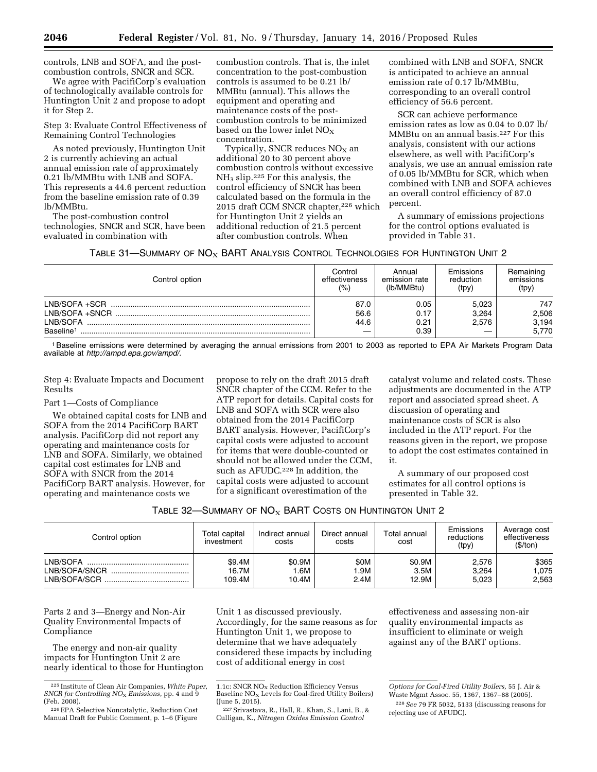controls, LNB and SOFA, and the postcombustion controls, SNCR and SCR.

We agree with PacifiCorp's evaluation of technologically available controls for Huntington Unit 2 and propose to adopt it for Step 2.

Step 3: Evaluate Control Effectiveness of Remaining Control Technologies

As noted previously, Huntington Unit 2 is currently achieving an actual annual emission rate of approximately 0.21 lb/MMBtu with LNB and SOFA. This represents a 44.6 percent reduction from the baseline emission rate of 0.39 lb/MMBtu.

The post-combustion control technologies, SNCR and SCR, have been evaluated in combination with

combustion controls. That is, the inlet concentration to the post-combustion controls is assumed to be 0.21 lb/ MMBtu (annual). This allows the equipment and operating and maintenance costs of the postcombustion controls to be minimized based on the lower inlet  $NO<sub>x</sub>$ concentration.

Typically, SNCR reduces  $NO<sub>X</sub>$  an additional 20 to 30 percent above combustion controls without excessive NH<sup>3</sup> slip.225 For this analysis, the control efficiency of SNCR has been calculated based on the formula in the 2015 draft CCM SNCR chapter,<sup>226</sup> which for Huntington Unit 2 yields an additional reduction of 21.5 percent after combustion controls. When

combined with LNB and SOFA, SNCR is anticipated to achieve an annual emission rate of 0.17 lb/MMBtu, corresponding to an overall control efficiency of 56.6 percent.

SCR can achieve performance emission rates as low as 0.04 to 0.07 lb/ MMBtu on an annual basis.227 For this analysis, consistent with our actions elsewhere, as well with PacifiCorp's analysis, we use an annual emission rate of 0.05 lb/MMBtu for SCR, which when combined with LNB and SOFA achieves an overall control efficiency of 87.0 percent.

A summary of emissions projections for the control options evaluated is provided in Table 31.

|  |  | TABLE 31—SUMMARY OF $NOX$ BART ANALYSIS CONTROL TECHNOLOGIES FOR HUNTINGTON UNIT 2 |
|--|--|------------------------------------------------------------------------------------|
|--|--|------------------------------------------------------------------------------------|

| Control option        | Control<br>effectiveness<br>(%) | Annual<br>emission rate<br>(lb/MMBtu) | Emissions<br>reduction<br>(tpy) | Remaining<br>emissions<br>(tpy) |
|-----------------------|---------------------------------|---------------------------------------|---------------------------------|---------------------------------|
| LNB/SOFA +SCR         | 87.0                            | 0.05                                  | 5.023                           | 747                             |
| I NB/SOFA +SNCR       | 56.6                            | 0.17                                  | 3.264                           | 2,506                           |
| LNB/SOFA              | 44.6                            | 0.21                                  | 2.576                           | 3,194                           |
| Baseline <sup>1</sup> |                                 | 0.39                                  |                                 | 5,770                           |

1Baseline emissions were determined by averaging the annual emissions from 2001 to 2003 as reported to EPA Air Markets Program Data available at *[http://ampd.epa.gov/ampd/.](http://ampd.epa.gov/ampd/)* 

Step 4: Evaluate Impacts and Document Results

Part 1—Costs of Compliance

We obtained capital costs for LNB and SOFA from the 2014 PacifiCorp BART analysis. PacifiCorp did not report any operating and maintenance costs for LNB and SOFA. Similarly, we obtained capital cost estimates for LNB and SOFA with SNCR from the 2014 PacifiCorp BART analysis. However, for operating and maintenance costs we

propose to rely on the draft 2015 draft SNCR chapter of the CCM. Refer to the ATP report for details. Capital costs for LNB and SOFA with SCR were also obtained from the 2014 PacifiCorp BART analysis. However, PacifiCorp's capital costs were adjusted to account for items that were double-counted or should not be allowed under the CCM, such as AFUDC.<sup>228</sup> In addition, the capital costs were adjusted to account for a significant overestimation of the

catalyst volume and related costs. These adjustments are documented in the ATP report and associated spread sheet. A discussion of operating and maintenance costs of SCR is also included in the ATP report. For the reasons given in the report, we propose to adopt the cost estimates contained in it.

A summary of our proposed cost estimates for all control options is presented in Table 32.

| Table 32—Summary of $\mathsf{NO}_{\mathsf{X}}$ BART Costs on Huntington Unit 2. |  |
|---------------------------------------------------------------------------------|--|
|---------------------------------------------------------------------------------|--|

| Control option | Total capital<br>investment | Indirect annual<br>costs | Direct annual<br>costs | Total annual<br>cost | Emissions<br>reductions<br>(tpy) | Average cost<br>effectiveness<br>(\$/ton) |
|----------------|-----------------------------|--------------------------|------------------------|----------------------|----------------------------------|-------------------------------------------|
| LNB/SOFA       | \$9.4M                      | \$0.9M                   | \$0M                   | \$0.9M               | 2,576                            | \$365                                     |
|                | 16.7M                       | .6M                      | .9M                    | 3.5M                 | 3.264                            | .075                                      |
|                | 109.4M                      | 10.4M                    | 2.4M                   | 12.9M                | 5,023                            | 2,563                                     |

Parts 2 and 3—Energy and Non-Air Quality Environmental Impacts of Compliance

The energy and non-air quality impacts for Huntington Unit 2 are nearly identical to those for Huntington Unit 1 as discussed previously. Accordingly, for the same reasons as for Huntington Unit 1, we propose to determine that we have adequately considered these impacts by including cost of additional energy in cost

effectiveness and assessing non-air quality environmental impacts as insufficient to eliminate or weigh against any of the BART options.

<sup>225</sup> Institute of Clean Air Companies, *White Paper, SNCR for Controlling NO*X *Emissions,* pp. 4 and 9 (Feb. 2008).

<sup>226</sup>EPA Selective Noncatalytic, Reduction Cost Manual Draft for Public Comment, p. 1–6 (Figure

<sup>1.1</sup>c: SNCR NO<sub>X</sub> Reduction Efficiency Versus Baseline  $NO<sub>x</sub>$  Levels for Coal-fired Utility Boilers) (June 5, 2015).

<sup>227</sup>Srivastava, R., Hall, R., Khan, S., Lani, B., & Culligan, K., *Nitrogen Oxides Emission Control* 

*Options for Coal-Fired Utility Boilers,* 55 J. Air & Waste Mgmt Assoc. 55, 1367, 1367–88 (2005).

<sup>228</sup>*See* 79 FR 5032, 5133 (discussing reasons for rejecting use of AFUDC).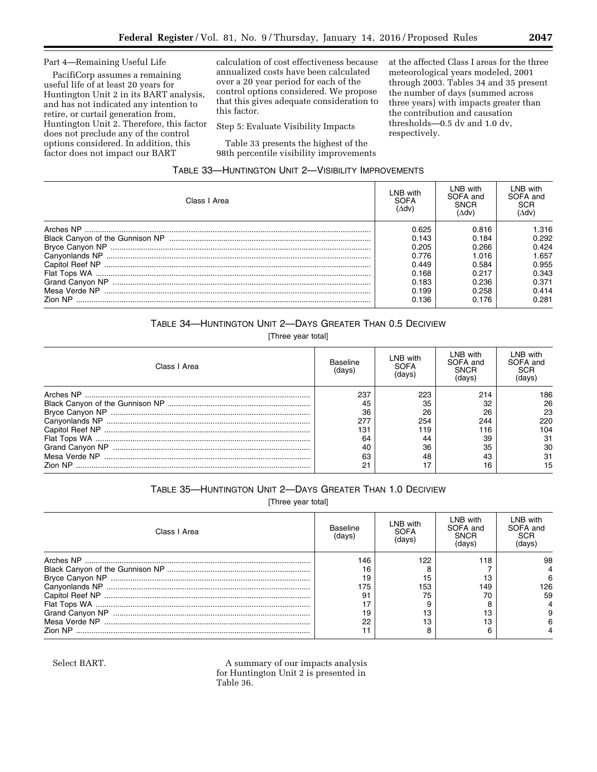#### Part 4—Remaining Useful Life

PacifiCorp assumes a remaining useful life of at least 20 years for Huntington Unit 2 in its BART analysis, and has not indicated any intention to retire, or curtail generation from, Huntington Unit 2. Therefore, this factor does not preclude any of the control options considered. In addition, this factor does not impact our BART

calculation of cost effectiveness because annualized costs have been calculated over a 20 year period for each of the control options considered. We propose that this gives adequate consideration to this factor.

Step 5: Evaluate Visibility Impacts

Table 33 presents the highest of the 98th percentile visibility improvements at the affected Class I areas for the three meteorological years modeled, 2001 through 2003. Tables 34 and 35 present the number of days (summed across three years) with impacts greater than the contribution and causation thresholds—0.5 dv and 1.0 dv, respectively.

## TABLE 33—HUNTINGTON UNIT 2—VISIBILITY IMPROVEMENTS

| Class I Area   | LNB with<br><b>SOFA</b><br>(∆dv)                                     | LNB with<br>SOFA and<br>SNCR<br>(∆dv)                                | LNB with<br>SOFA and<br>SCR<br>(∆dv)                                 |
|----------------|----------------------------------------------------------------------|----------------------------------------------------------------------|----------------------------------------------------------------------|
|                | 0.625<br>0.143<br>0.205<br>0.776<br>0.449<br>0.168<br>0.183<br>0.199 | 0.816<br>0.184<br>0.266<br>1.016<br>0.584<br>0.217<br>0.236<br>0.258 | 1.316<br>0.292<br>0.424<br>1.657<br>0.955<br>0.343<br>0.371<br>0.414 |
| <b>Zion NP</b> | 0.136                                                                | 0.176                                                                | 0.281                                                                |

## TABLE 34—HUNTINGTON UNIT 2—DAYS GREATER THAN 0.5 DECIVIEW

[Three year total]

| Class I Area   | Baseline<br>′davs | LNB with<br>SOFA<br>davs | LNB with<br>SOFA and<br><b>SNCR</b><br>davs | LNB with<br>SOFA and<br>SCR<br>(davs) |
|----------------|-------------------|--------------------------|---------------------------------------------|---------------------------------------|
|                | 237               | 223                      | 214                                         | 186                                   |
|                | 45                | 35                       | 32                                          | 26                                    |
|                | 36                | 26                       | 26                                          | 23                                    |
|                | 277               | 254                      | 244                                         | 220                                   |
|                | 131               | 119                      | 116                                         | 104                                   |
|                | 64                | 44                       | 39                                          | 31                                    |
|                |                   | 36                       | 35                                          | 30                                    |
|                | 63                | 48                       | 43                                          | 31                                    |
| <b>Zion NP</b> | n-1               | 17                       |                                             | 15                                    |

## TABLE 35—HUNTINGTON UNIT 2—DAYS GREATER THAN 1.0 DECIVIEW

[Three year total]

| Class I Area | Baseline<br>(davs | LNB with<br>SOFA | LNB with<br>SOFA and<br>SNCR<br>'davs | LNB with<br>SOFA and<br>SCR |
|--------------|-------------------|------------------|---------------------------------------|-----------------------------|
|              | 146               | 122              | 118                                   | 98                          |
|              | 16                |                  |                                       |                             |
|              | 19                | 15               |                                       | ิค                          |
|              | 75                | 153              | 149                                   | 126                         |
|              |                   | 75               |                                       | 59                          |
|              |                   |                  |                                       |                             |
|              | 19                | 13               |                                       |                             |
|              | 22                | 13               |                                       |                             |
|              |                   |                  |                                       |                             |

Select BART. A summary of our impacts analysis for Huntington Unit 2 is presented in Table 36.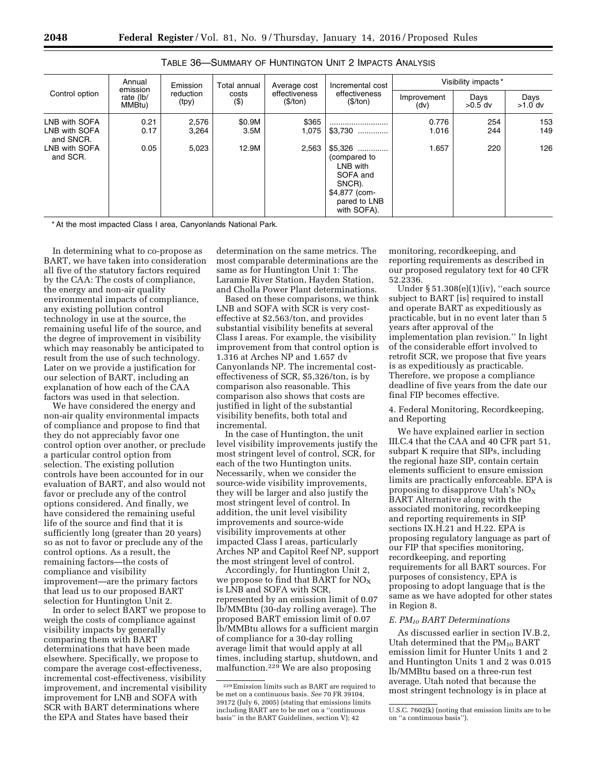| Control option                                                           | Annual<br>emission<br>rate (lb/<br>MMBtu) | Emission<br>reduction<br>(tpy) | Total annual<br>costs<br>$($ \$) | Average cost<br>effectiveness<br>(\$/ton) | Incremental cost<br>effectiveness<br>(\$/ton)                                                                              | Visibility impacts*     |                   |                   |
|--------------------------------------------------------------------------|-------------------------------------------|--------------------------------|----------------------------------|-------------------------------------------|----------------------------------------------------------------------------------------------------------------------------|-------------------------|-------------------|-------------------|
|                                                                          |                                           |                                |                                  |                                           |                                                                                                                            | Improvement<br>(dv)     | Days<br>$>0.5$ dv | Days<br>$>1.0$ dv |
| LNB with SOFA<br>LNB with SOFA<br>and SNCR.<br>LNB with SOFA<br>and SCR. | 0.21<br>0.17<br>0.05                      | 2,576<br>3,264<br>5,023        | \$0.9M<br>3.5M<br>12.9M          | \$365<br>1,075<br>2,563                   | <br>$$3,730$<br>$$5,326$<br>(compared to<br>LNB with<br>SOFA and<br>SNCR).<br>\$4,877 (com-<br>pared to LNB<br>with SOFA). | 0.776<br>1.016<br>1.657 | 254<br>244<br>220 | 153<br>149<br>126 |

TABLE 36—SUMMARY OF HUNTINGTON UNIT 2 IMPACTS ANALYSIS

\* At the most impacted Class I area, Canyonlands National Park.

In determining what to co-propose as BART, we have taken into consideration all five of the statutory factors required by the CAA: The costs of compliance, the energy and non-air quality environmental impacts of compliance, any existing pollution control technology in use at the source, the remaining useful life of the source, and the degree of improvement in visibility which may reasonably be anticipated to result from the use of such technology. Later on we provide a justification for our selection of BART, including an explanation of how each of the CAA factors was used in that selection.

We have considered the energy and non-air quality environmental impacts of compliance and propose to find that they do not appreciably favor one control option over another, or preclude a particular control option from selection. The existing pollution controls have been accounted for in our evaluation of BART, and also would not favor or preclude any of the control options considered. And finally, we have considered the remaining useful life of the source and find that it is sufficiently long (greater than 20 years) so as not to favor or preclude any of the control options. As a result, the remaining factors—the costs of compliance and visibility improvement—are the primary factors that lead us to our proposed BART selection for Huntington Unit 2.

In order to select BART we propose to weigh the costs of compliance against visibility impacts by generally comparing them with BART determinations that have been made elsewhere. Specifically, we propose to compare the average cost-effectiveness, incremental cost-effectiveness, visibility improvement, and incremental visibility improvement for LNB and SOFA with SCR with BART determinations where the EPA and States have based their

determination on the same metrics. The most comparable determinations are the same as for Huntington Unit 1: The Laramie River Station, Hayden Station, and Cholla Power Plant determinations.

Based on these comparisons, we think LNB and SOFA with SCR is very costeffective at \$2,563/ton, and provides substantial visibility benefits at several Class I areas. For example, the visibility improvement from that control option is 1.316 at Arches NP and 1.657 dv Canyonlands NP. The incremental costeffectiveness of SCR, \$5,326/ton, is by comparison also reasonable. This comparison also shows that costs are justified in light of the substantial visibility benefits, both total and incremental.

In the case of Huntington, the unit level visibility improvements justify the most stringent level of control, SCR, for each of the two Huntington units. Necessarily, when we consider the source-wide visibility improvements, they will be larger and also justify the most stringent level of control. In addition, the unit level visibility improvements and source-wide visibility improvements at other impacted Class I areas, particularly Arches NP and Capitol Reef NP, support the most stringent level of control.

Accordingly, for Huntington Unit 2, we propose to find that BART for  $NO_X$ is LNB and SOFA with SCR, represented by an emission limit of 0.07 lb/MMBtu (30-day rolling average). The proposed BART emission limit of 0.07 lb/MMBtu allows for a sufficient margin of compliance for a 30-day rolling average limit that would apply at all times, including startup, shutdown, and malfunction.229 We are also proposing

monitoring, recordkeeping, and reporting requirements as described in our proposed regulatory text for 40 CFR 52.2336.

Under § 51.308(e)(1)(iv), ''each source subject to BART [is] required to install and operate BART as expeditiously as practicable, but in no event later than 5 years after approval of the implementation plan revision.'' In light of the considerable effort involved to retrofit SCR, we propose that five years is as expeditiously as practicable. Therefore, we propose a compliance deadline of five years from the date our final FIP becomes effective.

4. Federal Monitoring, Recordkeeping, and Reporting

We have explained earlier in section III.C.4 that the CAA and 40 CFR part 51, subpart K require that SIPs, including the regional haze SIP, contain certain elements sufficient to ensure emission limits are practically enforceable. EPA is proposing to disapprove Utah's  $NO<sub>x</sub>$ BART Alternative along with the associated monitoring, recordkeeping and reporting requirements in SIP sections IX.H.21 and H.22. EPA is proposing regulatory language as part of our FIP that specifies monitoring, recordkeeping, and reporting requirements for all BART sources. For purposes of consistency, EPA is proposing to adopt language that is the same as we have adopted for other states in Region 8.

#### *E. PM10 BART Determinations*

As discussed earlier in section IV.B.2, Utah determined that the  $PM_{10}$  BART emission limit for Hunter Units 1 and 2 and Huntington Units 1 and 2 was 0.015 lb/MMBtu based on a three-run test average. Utah noted that because the most stringent technology is in place at

<sup>229</sup>Emission limits such as BART are required to be met on a continuous basis. *See* 70 FR 39104, 39172 (July 6, 2005) (stating that emissions limits including BART are to be met on a ''continuous basis'' in the BART Guidelines, section V); 42

U.S.C. 7602(k) (noting that emission limits are to be on ''a continuous basis'').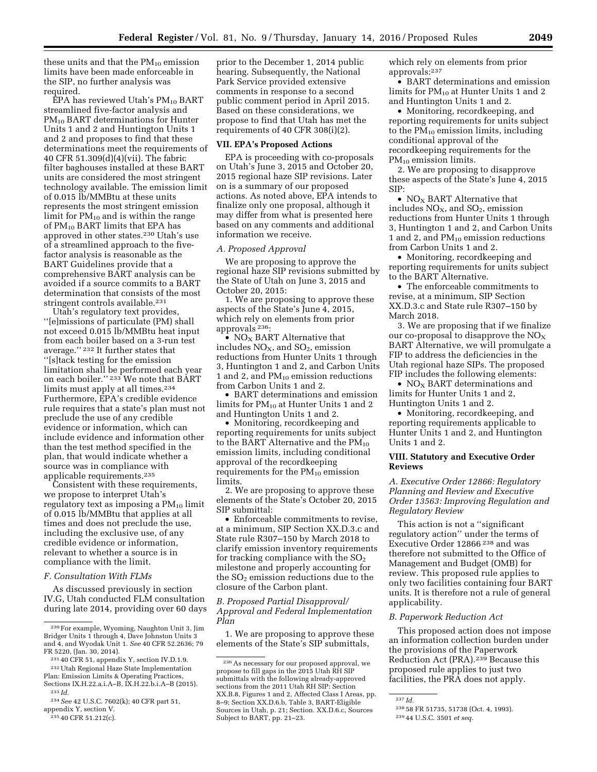these units and that the  $PM_{10}$  emission limits have been made enforceable in the SIP, no further analysis was required.

 $EPA$  has reviewed Utah's  $PM_{10}$  BART streamlined five-factor analysis and PM10 BART determinations for Hunter Units 1 and 2 and Huntington Units 1 and 2 and proposes to find that these determinations meet the requirements of 40 CFR 51.309(d)(4)(vii). The fabric filter baghouses installed at these BART units are considered the most stringent technology available. The emission limit of 0.015 lb/MMBtu at these units represents the most stringent emission limit for  $PM_{10}$  and is within the range of PM10 BART limits that EPA has approved in other states.230 Utah's use of a streamlined approach to the fivefactor analysis is reasonable as the BART Guidelines provide that a comprehensive BART analysis can be avoided if a source commits to a BART determination that consists of the most stringent controls available.<sup>231</sup>

Utah's regulatory text provides, ''[e]missions of particulate (PM) shall not exceed 0.015 lb/MMBtu heat input from each boiler based on a 3-run test average.'' 232 It further states that ''[s]tack testing for the emission limitation shall be performed each year on each boiler." <sup>233</sup> We note that BART limits must apply at all times.<sup>234</sup> Furthermore, EPA's credible evidence rule requires that a state's plan must not preclude the use of any credible evidence or information, which can include evidence and information other than the test method specified in the plan, that would indicate whether a source was in compliance with applicable requirements.235

Consistent with these requirements, we propose to interpret Utah's regulatory text as imposing a  $PM_{10}$  limit of 0.015 lb/MMBtu that applies at all times and does not preclude the use, including the exclusive use, of any credible evidence or information, relevant to whether a source is in compliance with the limit.

#### *F. Consultation With FLMs*

As discussed previously in section IV.G, Utah conducted FLM consultation during late 2014, providing over 60 days prior to the December 1, 2014 public hearing. Subsequently, the National Park Service provided extensive comments in response to a second public comment period in April 2015. Based on these considerations, we propose to find that Utah has met the requirements of 40 CFR 308(i)(2).

#### **VII. EPA's Proposed Actions**

EPA is proceeding with co-proposals on Utah's June 3, 2015 and October 20, 2015 regional haze SIP revisions. Later on is a summary of our proposed actions. As noted above, EPA intends to finalize only one proposal, although it may differ from what is presented here based on any comments and additional information we receive.

#### *A. Proposed Approval*

We are proposing to approve the regional haze SIP revisions submitted by the State of Utah on June 3, 2015 and October 20, 2015:

1. We are proposing to approve these aspects of the State's June 4, 2015, which rely on elements from prior approvals 236:

•  $NO<sub>x</sub>$  BART Alternative that includes  $NO<sub>x</sub>$ , and  $SO<sub>2</sub>$ , emission reductions from Hunter Units 1 through 3, Huntington 1 and 2, and Carbon Units 1 and 2, and  $PM_{10}$  emission reductions from Carbon Units 1 and 2.

• BART determinations and emission limits for  $PM_{10}$  at Hunter Units 1 and 2 and Huntington Units 1 and 2.

• Monitoring, recordkeeping and reporting requirements for units subject to the BART Alternative and the  $PM_{10}$ emission limits, including conditional approval of the recordkeeping requirements for the  $PM_{10}$  emission limits.

2. We are proposing to approve these elements of the State's October 20, 2015 SIP submittal:

• Enforceable commitments to revise, at a minimum, SIP Section XX.D.3.c and State rule R307–150 by March 2018 to clarify emission inventory requirements for tracking compliance with the  $SO<sub>2</sub>$ milestone and properly accounting for the  $SO<sub>2</sub>$  emission reductions due to the closure of the Carbon plant.

#### *B. Proposed Partial Disapproval/ Approval and Federal Implementation Plan*

1. We are proposing to approve these elements of the State's SIP submittals,

which rely on elements from prior approvals:237

• BART determinations and emission limits for PM10 at Hunter Units 1 and 2 and Huntington Units 1 and 2.

• Monitoring, recordkeeping, and reporting requirements for units subject to the  $PM_{10}$  emission limits, including conditional approval of the recordkeeping requirements for the PM<sub>10</sub> emission limits.

2. We are proposing to disapprove these aspects of the State's June 4, 2015 SIP:

•  $NO<sub>x</sub>$  BART Alternative that includes  $NO<sub>X</sub>$ , and  $SO<sub>2</sub>$ , emission reductions from Hunter Units 1 through 3, Huntington 1 and 2, and Carbon Units 1 and 2, and  $PM_{10}$  emission reductions from Carbon Units 1 and 2.

• Monitoring, recordkeeping and reporting requirements for units subject to the BART Alternative.

• The enforceable commitments to revise, at a minimum, SIP Section XX.D.3.c and State rule R307–150 by March 2018.

3. We are proposing that if we finalize our co-proposal to disapprove the  $NO<sub>x</sub>$ BART Alternative, we will promulgate a FIP to address the deficiencies in the Utah regional haze SIPs. The proposed FIP includes the following elements:

•  $NO<sub>x</sub>$  BART determinations and limits for Hunter Units 1 and 2, Huntington Units 1 and 2.

• Monitoring, recordkeeping, and reporting requirements applicable to Hunter Units 1 and 2, and Huntington Units 1 and 2.

#### **VIII. Statutory and Executive Order Reviews**

## *A. Executive Order 12866: Regulatory Planning and Review and Executive Order 13563: Improving Regulation and Regulatory Review*

This action is not a ''significant regulatory action'' under the terms of Executive Order 12866 238 and was therefore not submitted to the Office of Management and Budget (OMB) for review. This proposed rule applies to only two facilities containing four BART units. It is therefore not a rule of general applicability.

#### *B. Paperwork Reduction Act*

This proposed action does not impose an information collection burden under the provisions of the Paperwork Reduction Act (PRA).239 Because this proposed rule applies to just two facilities, the PRA does not apply.

<sup>230</sup>For example, Wyoming, Naughton Unit 3, Jim Bridger Units 1 through 4, Dave Johnston Units 3 and 4, and Wyodak Unit 1. *See* 40 CFR 52.2636; 79 FR 5220, (Jan. 30, 2014).

<sup>231</sup> 40 CFR 51, appendix Y, section IV.D.1.9.

<sup>232</sup>Utah Regional Haze State Implementation Plan: Emission Limits & Operating Practices,

Sections IX.H.22.a.i.A–B, IX.H.22.b.i.A–B (2015). 233 *Id.* 

<sup>234</sup>*See* 42 U.S.C. 7602(k); 40 CFR part 51,

appendix Y, section V. 235 40 CFR 51.212(c).

<sup>236</sup>As necessary for our proposed approval, we propose to fill gaps in the 2015 Utah RH SIP submittals with the following already-approved sections from the 2011 Utah RH SIP: Section XX.B.8, Figures 1 and 2, Affected Class I Areas, pp. 8–9; Section XX.D.6.b, Table 3, BART-Eligible Sources in Utah, p. 21; Section. XX.D.6.c, Sources Subject to BART, pp. 21-23.

<sup>237</sup> *Id.* 

<sup>238</sup> 58 FR 51735, 51738 (Oct. 4, 1993).

<sup>239</sup> 44 U.S.C. 3501 *et seq.*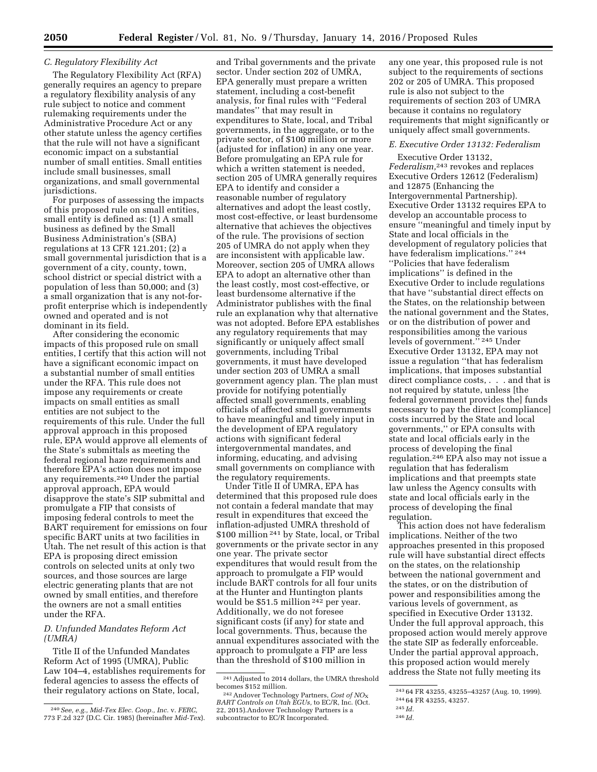#### *C. Regulatory Flexibility Act*

The Regulatory Flexibility Act (RFA) generally requires an agency to prepare a regulatory flexibility analysis of any rule subject to notice and comment rulemaking requirements under the Administrative Procedure Act or any other statute unless the agency certifies that the rule will not have a significant economic impact on a substantial number of small entities. Small entities include small businesses, small organizations, and small governmental jurisdictions.

For purposes of assessing the impacts of this proposed rule on small entities, small entity is defined as: (1) A small business as defined by the Small Business Administration's (SBA) regulations at 13 CFR 121.201; (2) a small governmental jurisdiction that is a government of a city, county, town, school district or special district with a population of less than 50,000; and (3) a small organization that is any not-forprofit enterprise which is independently owned and operated and is not dominant in its field.

After considering the economic impacts of this proposed rule on small entities, I certify that this action will not have a significant economic impact on a substantial number of small entities under the RFA. This rule does not impose any requirements or create impacts on small entities as small entities are not subject to the requirements of this rule. Under the full approval approach in this proposed rule, EPA would approve all elements of the State's submittals as meeting the federal regional haze requirements and therefore EPA's action does not impose any requirements.240 Under the partial approval approach, EPA would disapprove the state's SIP submittal and promulgate a FIP that consists of imposing federal controls to meet the BART requirement for emissions on four specific BART units at two facilities in Utah. The net result of this action is that EPA is proposing direct emission controls on selected units at only two sources, and those sources are large electric generating plants that are not owned by small entities, and therefore the owners are not a small entities under the RFA.

#### *D. Unfunded Mandates Reform Act (UMRA)*

Title II of the Unfunded Mandates Reform Act of 1995 (UMRA), Public Law 104–4, establishes requirements for federal agencies to assess the effects of their regulatory actions on State, local,

and Tribal governments and the private sector. Under section 202 of UMRA, EPA generally must prepare a written statement, including a cost-benefit analysis, for final rules with ''Federal mandates'' that may result in expenditures to State, local, and Tribal governments, in the aggregate, or to the private sector, of \$100 million or more (adjusted for inflation) in any one year. Before promulgating an EPA rule for which a written statement is needed, section 205 of UMRA generally requires EPA to identify and consider a reasonable number of regulatory alternatives and adopt the least costly, most cost-effective, or least burdensome alternative that achieves the objectives of the rule. The provisions of section 205 of UMRA do not apply when they are inconsistent with applicable law. Moreover, section 205 of UMRA allows EPA to adopt an alternative other than the least costly, most cost-effective, or least burdensome alternative if the Administrator publishes with the final rule an explanation why that alternative was not adopted. Before EPA establishes any regulatory requirements that may significantly or uniquely affect small governments, including Tribal governments, it must have developed under section 203 of UMRA a small government agency plan. The plan must provide for notifying potentially affected small governments, enabling officials of affected small governments to have meaningful and timely input in the development of EPA regulatory actions with significant federal intergovernmental mandates, and informing, educating, and advising small governments on compliance with the regulatory requirements.

Under Title II of UMRA, EPA has determined that this proposed rule does not contain a federal mandate that may result in expenditures that exceed the inflation-adjusted UMRA threshold of \$100 million <sup>241</sup> by State, local, or Tribal governments or the private sector in any one year. The private sector expenditures that would result from the approach to promulgate a FIP would include BART controls for all four units at the Hunter and Huntington plants would be \$51.5 million 242 per year. Additionally, we do not foresee significant costs (if any) for state and local governments. Thus, because the annual expenditures associated with the approach to promulgate a FIP are less than the threshold of \$100 million in

any one year, this proposed rule is not subject to the requirements of sections 202 or 205 of UMRA. This proposed rule is also not subject to the requirements of section 203 of UMRA because it contains no regulatory requirements that might significantly or uniquely affect small governments.

## *E. Executive Order 13132: Federalism*

Executive Order 13132, *Federalism,*243 revokes and replaces Executive Orders 12612 (Federalism) and 12875 (Enhancing the Intergovernmental Partnership). Executive Order 13132 requires EPA to develop an accountable process to ensure ''meaningful and timely input by State and local officials in the development of regulatory policies that have federalism implications."<sup>244</sup> ''Policies that have federalism implications'' is defined in the Executive Order to include regulations that have ''substantial direct effects on the States, on the relationship between the national government and the States, or on the distribution of power and responsibilities among the various levels of government.'' 245 Under Executive Order 13132, EPA may not issue a regulation ''that has federalism implications, that imposes substantial direct compliance costs, . . . and that is not required by statute, unless [the federal government provides the] funds necessary to pay the direct [compliance] costs incurred by the State and local governments,'' or EPA consults with state and local officials early in the process of developing the final regulation.246 EPA also may not issue a regulation that has federalism implications and that preempts state law unless the Agency consults with state and local officials early in the process of developing the final regulation.

This action does not have federalism implications. Neither of the two approaches presented in this proposed rule will have substantial direct effects on the states, on the relationship between the national government and the states, or on the distribution of power and responsibilities among the various levels of government, as specified in Executive Order 13132. Under the full approval approach, this proposed action would merely approve the state SIP as federally enforceable. Under the partial approval approach, this proposed action would merely address the State not fully meeting its

<sup>240</sup>*See, e.g., Mid-Tex Elec. Coop., Inc.* v. *FERC,*  773 F.2d 327 (D.C. Cir. 1985) (hereinafter *Mid-Tex*).

 $^{241}\Lambda$  djusted to 2014 dollars, the UMRA threshold becomes \$152 million.

becomes \$152 million.<br><sup>242</sup> Andover Technology Partners, *Cost of NO<sub>X</sub>*<br>*BART Controls on Utah EGUs,* to EC/R, Inc. (Oct. 22, 2015).Andover Technology Partners is a subcontractor to EC/R Incorporated.

<sup>243</sup> 64 FR 43255, 43255–43257 (Aug. 10, 1999).

<sup>244</sup> 64 FR 43255, 43257.

<sup>245</sup> *Id.* 

<sup>246</sup> *Id.*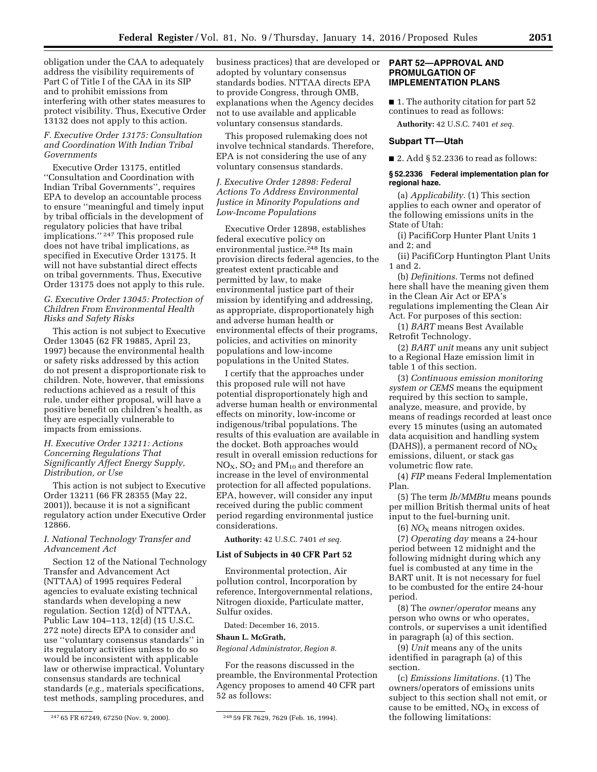obligation under the CAA to adequately address the visibility requirements of Part C of Title I of the CAA in its SIP and to prohibit emissions from interfering with other states measures to protect visibility. Thus, Executive Order 13132 does not apply to this action.

## *F. Executive Order 13175: Consultation and Coordination With Indian Tribal Governments*

Executive Order 13175, entitled ''Consultation and Coordination with Indian Tribal Governments'', requires EPA to develop an accountable process to ensure ''meaningful and timely input by tribal officials in the development of regulatory policies that have tribal implications.'' 247 This proposed rule does not have tribal implications, as specified in Executive Order 13175. It will not have substantial direct effects on tribal governments. Thus, Executive Order 13175 does not apply to this rule.

## *G. Executive Order 13045: Protection of Children From Environmental Health Risks and Safety Risks*

This action is not subject to Executive Order 13045 (62 FR 19885, April 23, 1997) because the environmental health or safety risks addressed by this action do not present a disproportionate risk to children. Note, however, that emissions reductions achieved as a result of this rule, under either proposal, will have a positive benefit on children's health, as they are especially vulnerable to impacts from emissions.

#### *H. Executive Order 13211: Actions Concerning Regulations That Significantly Affect Energy Supply, Distribution, or Use*

This action is not subject to Executive Order 13211 (66 FR 28355 (May 22, 2001)), because it is not a significant regulatory action under Executive Order 12866.

## *I. National Technology Transfer and Advancement Act*

Section 12 of the National Technology Transfer and Advancement Act (NTTAA) of 1995 requires Federal agencies to evaluate existing technical standards when developing a new regulation. Section 12(d) of NTTAA, Public Law 104–113, 12(d) (15 U.S.C. 272 note) directs EPA to consider and use ''voluntary consensus standards'' in its regulatory activities unless to do so would be inconsistent with applicable law or otherwise impractical. Voluntary consensus standards are technical standards (*e.g.,* materials specifications, test methods, sampling procedures, and

business practices) that are developed or adopted by voluntary consensus standards bodies. NTTAA directs EPA to provide Congress, through OMB, explanations when the Agency decides not to use available and applicable voluntary consensus standards.

This proposed rulemaking does not involve technical standards. Therefore, EPA is not considering the use of any voluntary consensus standards.

## *J. Executive Order 12898: Federal Actions To Address Environmental Justice in Minority Populations and Low-Income Populations*

Executive Order 12898, establishes federal executive policy on environmental justice.248 Its main provision directs federal agencies, to the greatest extent practicable and permitted by law, to make environmental justice part of their mission by identifying and addressing, as appropriate, disproportionately high and adverse human health or environmental effects of their programs, policies, and activities on minority populations and low-income populations in the United States.

I certify that the approaches under this proposed rule will not have potential disproportionately high and adverse human health or environmental effects on minority, low-income or indigenous/tribal populations. The results of this evaluation are available in the docket. Both approaches would result in overall emission reductions for  $NO<sub>x</sub>$ ,  $SO<sub>2</sub>$  and PM<sub>10</sub> and therefore an increase in the level of environmental protection for all affected populations. EPA, however, will consider any input received during the public comment period regarding environmental justice considerations.

## **Authority:** 42 U.S.C. 7401 *et seq.*

#### **List of Subjects in 40 CFR Part 52**

Environmental protection, Air pollution control, Incorporation by reference, Intergovernmental relations, Nitrogen dioxide, Particulate matter, Sulfur oxides.

Dated: December 16, 2015.

#### **Shaun L. McGrath,**

*Regional Administrator, Region 8.* 

For the reasons discussed in the preamble, the Environmental Protection Agency proposes to amend 40 CFR part 52 as follows:

#### **PART 52—APPROVAL AND PROMULGATION OF IMPLEMENTATION PLANS**

■ 1. The authority citation for part 52 continues to read as follows:

**Authority:** 42 U.S.C. 7401 *et seq.* 

#### **Subpart TT—Utah**

 $\blacksquare$  2. Add § 52.2336 to read as follows:

#### **§ 52.2336 Federal implementation plan for regional haze.**

(a) *Applicability.* (1) This section applies to each owner and operator of the following emissions units in the State of Utah:

(i) PacifiCorp Hunter Plant Units 1 and 2; and

(ii) PacifiCorp Huntington Plant Units 1 and 2.

(b) *Definitions.* Terms not defined here shall have the meaning given them in the Clean Air Act or EPA's regulations implementing the Clean Air Act. For purposes of this section:

(1) *BART* means Best Available Retrofit Technology.

(2) *BART unit* means any unit subject to a Regional Haze emission limit in table 1 of this section.

(3) *Continuous emission monitoring system or CEMS* means the equipment required by this section to sample, analyze, measure, and provide, by means of readings recorded at least once every 15 minutes (using an automated data acquisition and handling system (DAHS)), a permanent record of  $NO<sub>x</sub>$ emissions, diluent, or stack gas volumetric flow rate.

(4) *FIP* means Federal Implementation Plan.

(5) The term *lb/MMBtu* means pounds per million British thermal units of heat input to the fuel-burning unit.

 $(6)$  *NO*<sub>x</sub> means nitrogen oxides.

(7) *Operating day* means a 24-hour period between 12 midnight and the following midnight during which any fuel is combusted at any time in the BART unit. It is not necessary for fuel to be combusted for the entire 24-hour period.

(8) The *owner/operator* means any person who owns or who operates, controls, or supervises a unit identified in paragraph (a) of this section.

(9) *Unit* means any of the units identified in paragraph (a) of this section.

(c) *Emissions limitations.* (1) The owners/operators of emissions units subject to this section shall not emit, or cause to be emitted,  $NO<sub>x</sub>$  in excess of the following limitations:

<sup>247</sup> 65 FR 67249, 67250 (Nov. 9, 2000). 248 59 FR 7629, 7629 (Feb. 16, 1994).